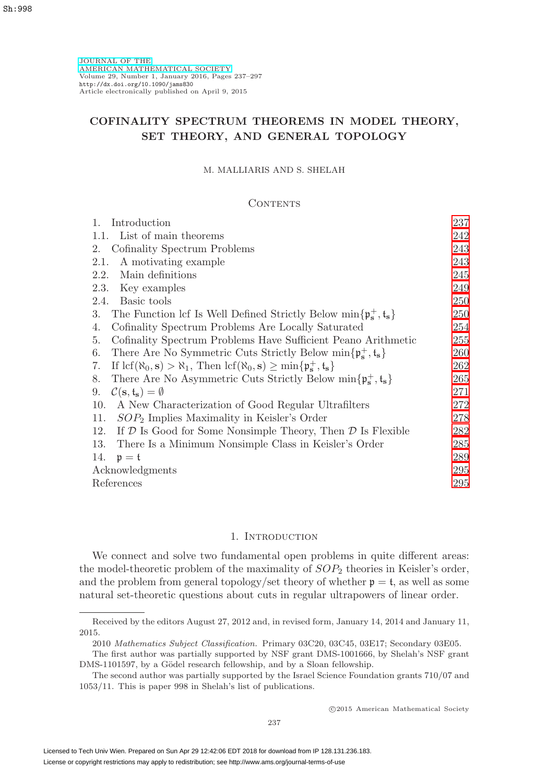[JOURNAL OF THE](http://www.ams.org/jams/) [AMERICAN MATHEMATICAL SOCIETY](http://www.ams.org/jams/) Volume 29, Number 1, January 2016, Pages 237–297 <http://dx.doi.org/10.1090/jams830> Article electronically published on April 9, 2015

## **COFINALITY SPECTRUM THEOREMS IN MODEL THEORY, SET THEORY, AND GENERAL TOPOLOGY**

#### M. MALLIARIS AND S. SHELAH

#### **CONTENTS**

| Introduction<br>1.                                                                                                                                               | 237 |
|------------------------------------------------------------------------------------------------------------------------------------------------------------------|-----|
| List of main theorems<br>1.1.                                                                                                                                    | 242 |
| Cofinality Spectrum Problems<br>2.                                                                                                                               | 243 |
| A motivating example<br>2.1.                                                                                                                                     | 243 |
| Main definitions<br>2.2.                                                                                                                                         | 245 |
| Key examples<br>2.3.                                                                                                                                             | 249 |
| 2.4.<br>Basic tools                                                                                                                                              | 250 |
| The Function lcf Is Well Defined Strictly Below $\min\{\mathfrak{p}_s^+, \mathfrak{t}_s\}$<br>3.                                                                 | 250 |
| Cofinality Spectrum Problems Are Locally Saturated<br>4.                                                                                                         | 254 |
| Cofinality Spectrum Problems Have Sufficient Peano Arithmetic<br>5.                                                                                              | 255 |
| There Are No Symmetric Cuts Strictly Below $\min\{\mathfrak{p}_{s}^{+},\mathfrak{t}_{s}\}\$<br>6.                                                                | 260 |
| If $\text{lcf}(\aleph_0, \mathbf{s}) > \aleph_1$ , Then $\text{lcf}(\aleph_0, \mathbf{s}) \ge \min\{\mathfrak{p}_\mathbf{s}^+, \mathfrak{t}_\mathbf{s}\}\$<br>7. | 262 |
| There Are No Asymmetric Cuts Strictly Below $\min\{\mathfrak{p}_s^+, \mathfrak{t}_s\}$<br>8.                                                                     | 265 |
| $\mathcal{C}(\mathbf{s},\mathfrak{t}_{\mathbf{s}})=\emptyset$<br>9.                                                                                              | 271 |
| A New Characterization of Good Regular Ultrafilters<br>10.                                                                                                       | 272 |
| $SOP2$ Implies Maximality in Keisler's Order<br>11.                                                                                                              | 278 |
| 12.<br>If $D$ Is Good for Some Nonsimple Theory, Then $D$ Is Flexible                                                                                            | 282 |
| 13.<br>There Is a Minimum Nonsimple Class in Keisler's Order                                                                                                     | 285 |
| 14.<br>$\mathfrak{p}=\mathfrak{t}$                                                                                                                               | 289 |
| Acknowledgments                                                                                                                                                  | 295 |
| References                                                                                                                                                       | 295 |

### 1. INTRODUCTION

<span id="page-0-0"></span>We connect and solve two fundamental open problems in quite different areas: the model-theoretic problem of the maximality of  $SOP<sub>2</sub>$  theories in Keisler's order, and the problem from general topology/set theory of whether  $p = t$ , as well as some natural set-theoretic questions about cuts in regular ultrapowers of linear order.

Received by the editors August 27, 2012 and, in revised form, January 14, 2014 and January 11, 2015.

<sup>2010</sup> Mathematics Subject Classification. Primary 03C20, 03C45, 03E17; Secondary 03E05.

The first author was partially supported by NSF grant DMS-1001666, by Shelah's NSF grant DMS-1101597, by a Gödel research fellowship, and by a Sloan fellowship.

The second author was partially supported by the Israel Science Foundation grants 710/07 and 1053/11. This is paper 998 in Shelah's list of publications.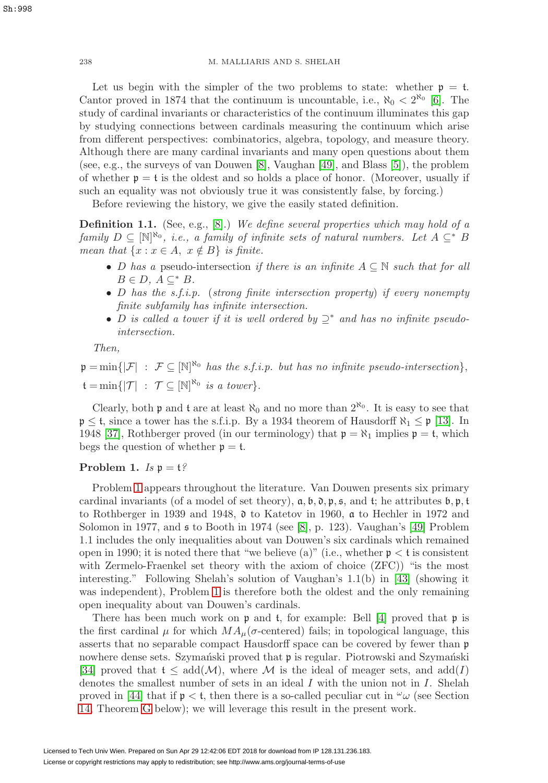Let us begin with the simpler of the two problems to state: whether  $p = t$ . Cantor proved in 1874 that the continuum is uncountable, i.e.,  $\aleph_0 < 2^{\aleph_0}$  [\[6\]](#page-58-2). The study of cardinal invariants or characteristics of the continuum illuminates this gap by studying connections between cardinals measuring the continuum which arise from different perspectives: combinatorics, algebra, topology, and measure theory. Although there are many cardinal invariants and many open questions about them (see, e.g., the surveys of van Douwen [\[8\]](#page-58-3), Vaughan [\[49\]](#page-59-0), and Blass [\[5\]](#page-58-4)), the problem of whether  $p = t$  is the oldest and so holds a place of honor. (Moreover, usually if such an equality was not obviously true it was consistently false, by forcing.)

Before reviewing the history, we give the easily stated definition.

<span id="page-1-1"></span>**Definition 1.1.** (See, e.g., [\[8\]](#page-58-3).) We define several properties which may hold of a family  $D \subseteq [\mathbb{N}]^{\aleph_0}$ , i.e., a family of infinite sets of natural numbers. Let  $A \subseteq^* B$ mean that  $\{x : x \in A, x \notin B\}$  is finite.

- D has a pseudo-intersection if there is an infinite  $A \subseteq \mathbb{N}$  such that for all  $B \in D$ ,  $A \subset^* B$ .
- D has the s.f.i.p. (strong finite intersection property) if every nonempty finite subfamily has infinite intersection.
- D is called a tower if it is well ordered by  $\supseteq^*$  and has no infinite pseudointersection.

Then,

 $\mathfrak{p} = \min\{|\mathcal{F}| : \mathcal{F} \subseteq [\mathbb{N}]^{\mathbb{N}_0} \text{ has the s.f.i.p. but has no infinite pseudo-intersection}\},\$  $\mathfrak{t} = \min \{ | \mathcal{T} | : \mathcal{T} \subseteq [\mathbb{N}]^{\aleph_0} \text{ is a tower} \}.$ 

Clearly, both **p** and **t** are at least  $\aleph_0$  and no more than  $2^{\aleph_0}$ . It is easy to see that  $\mathfrak{p} \leq \mathfrak{t}$ , since a tower has the s.f.i.p. By a 1934 theorem of Hausdorff  $\aleph_1 \leq \mathfrak{p}$  [\[13\]](#page-58-5). In 1948 [\[37\]](#page-59-1), Rothberger proved (in our terminology) that  $\mathfrak{p} = \aleph_1$  implies  $\mathfrak{p} = \mathfrak{t}$ , which begs the question of whether  $p = t$ .

## <span id="page-1-0"></span>**Problem 1.**  $Is \mathfrak{p} = \mathfrak{t}$ ?

Problem [1](#page-1-0) appears throughout the literature. Van Douwen presents six primary cardinal invariants (of a model of set theory),  $a, b, \delta, p, s$ , and t; he attributes  $b, p, t$ to Rothberger in 1939 and 1948, d to Katetov in 1960, a to Hechler in 1972 and Solomon in 1977, and  $\mathfrak s$  to Booth in 1974 (see [\[8\]](#page-58-3), p. 123). Vaughan's [\[49\]](#page-59-0) Problem 1.1 includes the only inequalities about van Douwen's six cardinals which remained open in 1990; it is noted there that "we believe (a)" (i.e., whether  $p < t$  is consistent with Zermelo-Fraenkel set theory with the axiom of choice (ZFC)) "is the most interesting." Following Shelah's solution of Vaughan's 1.1(b) in [\[43\]](#page-59-2) (showing it was independent), Problem [1](#page-1-0) is therefore both the oldest and the only remaining open inequality about van Douwen's cardinals.

There has been much work on  $\mathfrak p$  and  $\mathfrak t$ , for example: Bell [\[4\]](#page-58-6) proved that  $\mathfrak p$  is the first cardinal  $\mu$  for which  $MA_{\mu}(\sigma$ -centered) fails; in topological language, this asserts that no separable compact Hausdorff space can be covered by fewer than p nowhere dense sets. Szymański proved that  $\mathfrak p$  is regular. Piotrowski and Szymański [\[34\]](#page-59-3) proved that  $t \leq add(\mathcal{M})$ , where M is the ideal of meager sets, and  $add(I)$ denotes the smallest number of sets in an ideal  $I$  with the union not in  $I$ . Shelah proved in [\[44\]](#page-59-4) that if  $p < t$ , then there is a so-called peculiar cut in  $\omega_{\omega}$  (see Section [14,](#page-52-0) Theorem [G](#page-56-0) below); we will leverage this result in the present work.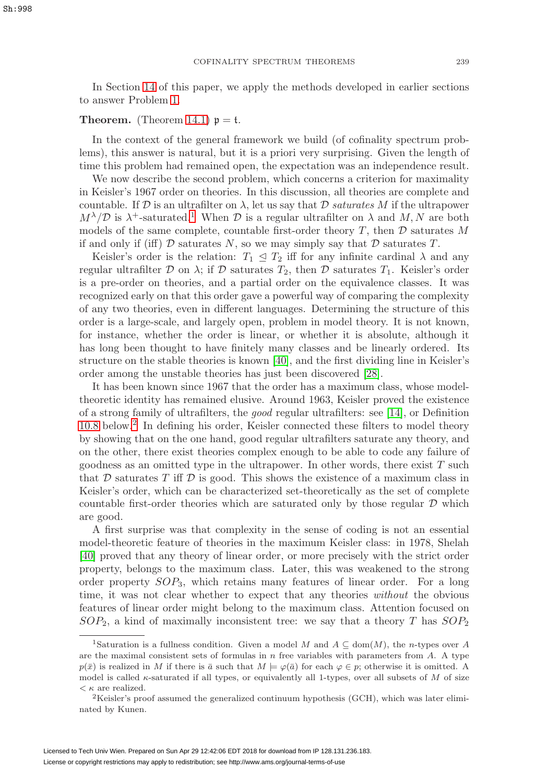In Section [14](#page-52-0) of this paper, we apply the methods developed in earlier sections to answer Problem [1.](#page-1-0)

#### **Theorem.** (Theorem [14.1\)](#page-57-0)  $p = t$ .

In the context of the general framework we build (of cofinality spectrum problems), this answer is natural, but it is a priori very surprising. Given the length of time this problem had remained open, the expectation was an independence result.

We now describe the second problem, which concerns a criterion for maximality in Keisler's 1967 order on theories. In this discussion, all theories are complete and countable. If  $\mathcal D$  is an ultrafilter on  $\lambda$ , let us say that  $\mathcal D$  saturates M if the ultrapower  $M^{\lambda}/\mathcal{D}$  is  $\lambda^{+}$ -saturated.<sup>[1](#page-2-0)</sup> When  $\mathcal{D}$  is a regular ultrafilter on  $\lambda$  and  $M, N$  are both models of the same complete, countable first-order theory  $T$ , then  $D$  saturates  $M$ if and only if (iff)  $D$  saturates N, so we may simply say that  $D$  saturates T.

Keisler's order is the relation:  $T_1 \leq T_2$  iff for any infinite cardinal  $\lambda$  and any regular ultrafilter D on  $\lambda$ ; if D saturates  $T_2$ , then D saturates  $T_1$ . Keisler's order is a pre-order on theories, and a partial order on the equivalence classes. It was recognized early on that this order gave a powerful way of comparing the complexity of any two theories, even in different languages. Determining the structure of this order is a large-scale, and largely open, problem in model theory. It is not known, for instance, whether the order is linear, or whether it is absolute, although it has long been thought to have finitely many classes and be linearly ordered. Its structure on the stable theories is known [\[40\]](#page-59-5), and the first dividing line in Keisler's order among the unstable theories has just been discovered [\[28\]](#page-59-6).

It has been known since 1967 that the order has a maximum class, whose modeltheoretic identity has remained elusive. Around 1963, Keisler proved the existence of a strong family of ultrafilters, the good regular ultrafilters: see [\[14\]](#page-58-7), or Definition [10.8](#page-36-0) below.[2](#page-2-1) In defining his order, Keisler connected these filters to model theory by showing that on the one hand, good regular ultrafilters saturate any theory, and on the other, there exist theories complex enough to be able to code any failure of goodness as an omitted type in the ultrapower. In other words, there exist  $T$  such that  $D$  saturates  $T$  iff  $D$  is good. This shows the existence of a maximum class in Keisler's order, which can be characterized set-theoretically as the set of complete countable first-order theories which are saturated only by those regular  $D$  which are good.

A first surprise was that complexity in the sense of coding is not an essential model-theoretic feature of theories in the maximum Keisler class: in 1978, Shelah [\[40\]](#page-59-5) proved that any theory of linear order, or more precisely with the strict order property, belongs to the maximum class. Later, this was weakened to the strong order property  $SOP_3$ , which retains many features of linear order. For a long time, it was not clear whether to expect that any theories without the obvious features of linear order might belong to the maximum class. Attention focused on  $SOP_2$ , a kind of maximally inconsistent tree: we say that a theory T has  $SOP_2$ 

<span id="page-2-0"></span><sup>&</sup>lt;sup>1</sup>Saturation is a fullness condition. Given a model M and  $A \subseteq \text{dom}(M)$ , the n-types over A are the maximal consistent sets of formulas in  $n$  free variables with parameters from  $A$ . A type  $p(\bar{x})$  is realized in M if there is  $\bar{a}$  such that  $M \models \varphi(\bar{a})$  for each  $\varphi \in p$ ; otherwise it is omitted. A model is called  $\kappa$ -saturated if all types, or equivalently all 1-types, over all subsets of M of size  $\lt \kappa$  are realized.

<span id="page-2-1"></span><sup>2</sup>Keisler's proof assumed the generalized continuum hypothesis (GCH), which was later eliminated by Kunen.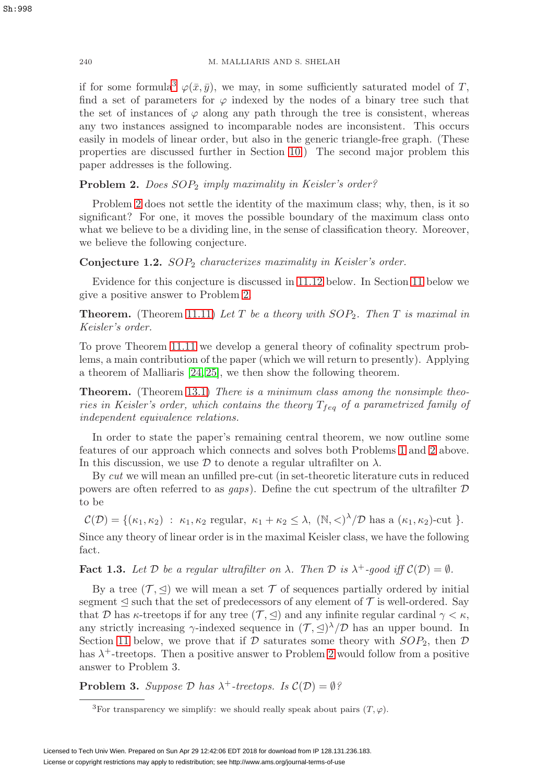if for some formula<sup>[3](#page-3-0)</sup>  $\varphi(\bar{x}, \bar{y})$ , we may, in some sufficiently saturated model of T, find a set of parameters for  $\varphi$  indexed by the nodes of a binary tree such that the set of instances of  $\varphi$  along any path through the tree is consistent, whereas any two instances assigned to incomparable nodes are inconsistent. This occurs easily in models of linear order, but also in the generic triangle-free graph. (These properties are discussed further in Section [10.](#page-35-0)) The second major problem this paper addresses is the following.

<span id="page-3-1"></span>**Problem 2.** Does  $SOP_2$  imply maximality in Keisler's order?

Problem [2](#page-3-1) does not settle the identity of the maximum class; why, then, is it so significant? For one, it moves the possible boundary of the maximum class onto what we believe to be a dividing line, in the sense of classification theory. Moreover, we believe the following conjecture.

<span id="page-3-4"></span>**Conjecture 1.2.** SOP<sub>2</sub> characterizes maximality in Keisler's order.

Evidence for this conjecture is discussed in [11.12](#page-44-0) below. In Section [11](#page-41-0) below we give a positive answer to Problem [2.](#page-3-1)

**Theorem.** (Theorem [11.11\)](#page-44-1) Let T be a theory with  $SOP_2$ . Then T is maximal in Keisler's order.

To prove Theorem [11.11](#page-44-1) we develop a general theory of cofinality spectrum problems, a main contribution of the paper (which we will return to presently). Applying a theorem of Malliaris [\[24,](#page-58-8) [25\]](#page-59-7), we then show the following theorem.

**Theorem.** (Theorem [13.1\)](#page-48-1) There is a minimum class among the nonsimple theories in Keisler's order, which contains the theory  $T_{feq}$  of a parametrized family of independent equivalence relations.

In order to state the paper's remaining central theorem, we now outline some features of our approach which connects and solves both Problems [1](#page-1-0) and [2](#page-3-1) above. In this discussion, we use  $\mathcal D$  to denote a regular ultrafilter on  $\lambda$ .

By cut we will mean an unfilled pre-cut (in set-theoretic literature cuts in reduced powers are often referred to as  $qaps$ ). Define the cut spectrum of the ultrafilter  $D$ to be

 $\mathcal{C}(\mathcal{D}) = \{(\kappa_1, \kappa_2) : \kappa_1, \kappa_2 \text{ regular}, \kappa_1 + \kappa_2 \leq \lambda, (\mathbb{N}, \langle)^\lambda/\mathcal{D} \text{ has a } (\kappa_1, \kappa_2) \text{-cut } \}.$ 

Since any theory of linear order is in the maximal Keisler class, we have the following fact.

<span id="page-3-3"></span>**Fact 1.3.** Let D be a regular ultrafilter on  $\lambda$ . Then D is  $\lambda^+$ -good iff  $C(\mathcal{D}) = \emptyset$ .

By a tree  $(\mathcal{T}, \trianglelefteq)$  we will mean a set  $\mathcal T$  of sequences partially ordered by initial segment  $\leq$  such that the set of predecessors of any element of  $\mathcal T$  is well-ordered. Say that D has  $\kappa$ -treetops if for any tree  $(\mathcal{T}, \leq)$  and any infinite regular cardinal  $\gamma < \kappa$ , any strictly increasing  $\gamma$ -indexed sequence in  $(\mathcal{T}, \trianglelefteq)^{\lambda}/\mathcal{D}$  has an upper bound. In Section [11](#page-41-0) below, we prove that if  $D$  saturates some theory with  $SOP_2$ , then  $D$ has  $\lambda^+$ -treetops. Then a positive answer to Problem [2](#page-3-1) would follow from a positive answer to Problem 3.

<span id="page-3-2"></span>**Problem 3.** Suppose  $\mathcal{D}$  has  $\lambda^+$ -treetops. Is  $\mathcal{C}(\mathcal{D}) = \emptyset$ ?

<span id="page-3-0"></span><sup>&</sup>lt;sup>3</sup>For transparency we simplify: we should really speak about pairs  $(T, \varphi)$ .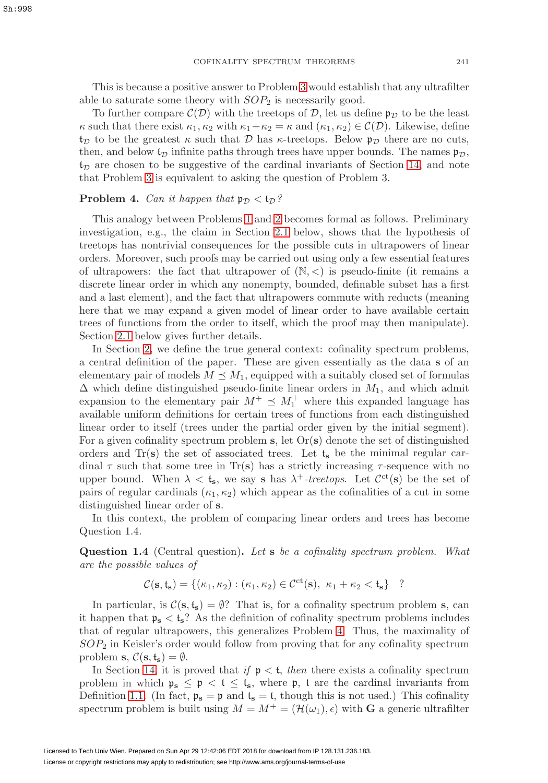This is because a positive answer to Problem [3](#page-3-2) would establish that any ultrafilter able to saturate some theory with  $SOP<sub>2</sub>$  is necessarily good.

To further compare  $\mathcal{C}(\mathcal{D})$  with the treetops of  $\mathcal{D}$ , let us define  $\mathfrak{p}_{\mathcal{D}}$  to be the least  $\kappa$  such that there exist  $\kappa_1, \kappa_2$  with  $\kappa_1 + \kappa_2 = \kappa$  and  $(\kappa_1, \kappa_2) \in C(\mathcal{D})$ . Likewise, define  $t_{\mathcal{D}}$  to be the greatest  $\kappa$  such that  $\mathcal D$  has  $\kappa$ -treetops. Below  $\mathfrak{p}_{\mathcal{D}}$  there are no cuts, then, and below  $t_D$  infinite paths through trees have upper bounds. The names  $\mathfrak{p}_D$ ,  $t_D$  are chosen to be suggestive of the cardinal invariants of Section [14,](#page-52-0) and note that Problem [3](#page-3-2) is equivalent to asking the question of Problem 3.

## <span id="page-4-0"></span>**Problem 4.** Can it happen that  $\mathfrak{p}_D < \mathfrak{t}_D$ ?

This analogy between Problems [1](#page-1-0) and [2](#page-3-1) becomes formal as follows. Preliminary investigation, e.g., the claim in Section [2.1](#page-6-1) below, shows that the hypothesis of treetops has nontrivial consequences for the possible cuts in ultrapowers of linear orders. Moreover, such proofs may be carried out using only a few essential features of ultrapowers: the fact that ultrapower of  $(N, <)$  is pseudo-finite (it remains a discrete linear order in which any nonempty, bounded, definable subset has a first and a last element), and the fact that ultrapowers commute with reducts (meaning here that we may expand a given model of linear order to have available certain trees of functions from the order to itself, which the proof may then manipulate). Section [2.1](#page-6-1) below gives further details.

In Section [2,](#page-6-0) we define the true general context: cofinality spectrum problems, a central definition of the paper. These are given essentially as the data **s** of an elementary pair of models  $M \preceq M_1$ , equipped with a suitably closed set of formulas  $\Delta$  which define distinguished pseudo-finite linear orders in  $M_1$ , and which admit expansion to the elementary pair  $M^+ \preceq M_1^+$  where this expanded language has available uniform definitions for certain trees of functions from each distinguished linear order to itself (trees under the partial order given by the initial segment). For a given cofinality spectrum problem **s**, let Or(**s**) denote the set of distinguished orders and  $Tr(s)$  the set of associated trees. Let  $t_s$  be the minimal regular cardinal  $\tau$  such that some tree in Tr(s) has a strictly increasing  $\tau$ -sequence with no upper bound. When  $\lambda < t_s$ , we say **s** has  $\lambda^+$ -treetops. Let  $\mathcal{C}^{ct}(s)$  be the set of pairs of regular cardinals  $(\kappa_1, \kappa_2)$  which appear as the cofinalities of a cut in some distinguished linear order of **s**.

In this context, the problem of comparing linear orders and trees has become Question 1.4.

<span id="page-4-1"></span>**Question 1.4** (Central question)**.** Let **s** be a cofinality spectrum problem. What are the possible values of

$$
\mathcal{C}(\mathbf{s},\mathfrak{t}_{\mathbf{s}}) = \{ (\kappa_1,\kappa_2) : (\kappa_1,\kappa_2) \in \mathcal{C}^{\mathrm{ct}}(\mathbf{s}), \ \kappa_1 + \kappa_2 < \mathfrak{t}_{\mathbf{s}} \} \quad ?
$$

In particular, is  $\mathcal{C}(\mathbf{s}, \mathbf{t}_{\mathbf{s}}) = \emptyset$ ? That is, for a cofinality spectrum problem **s**, can it happen that  $\mathfrak{p}_s < \mathfrak{t}_s$ ? As the definition of cofinality spectrum problems includes that of regular ultrapowers, this generalizes Problem [4.](#page-4-0) Thus, the maximality of  $SOP<sub>2</sub>$  in Keisler's order would follow from proving that for any cofinality spectrum problem **s**,  $C(\mathbf{s}, \mathbf{t}_\mathbf{s}) = \emptyset$ .

In Section [14,](#page-52-0) it is proved that if  $p < t$ , then there exists a cofinality spectrum problem in which  $\mathfrak{p}_s \leq \mathfrak{p} < t \leq t_s$ , where  $\mathfrak{p}$ , t are the cardinal invariants from Definition [1.1.](#page-1-1) (In fact,  $p_s = p$  and  $t_s = t$ , though this is not used.) This cofinality spectrum problem is built using  $M = M^+ = (\mathcal{H}(\omega_1), \epsilon)$  with **G** a generic ultrafilter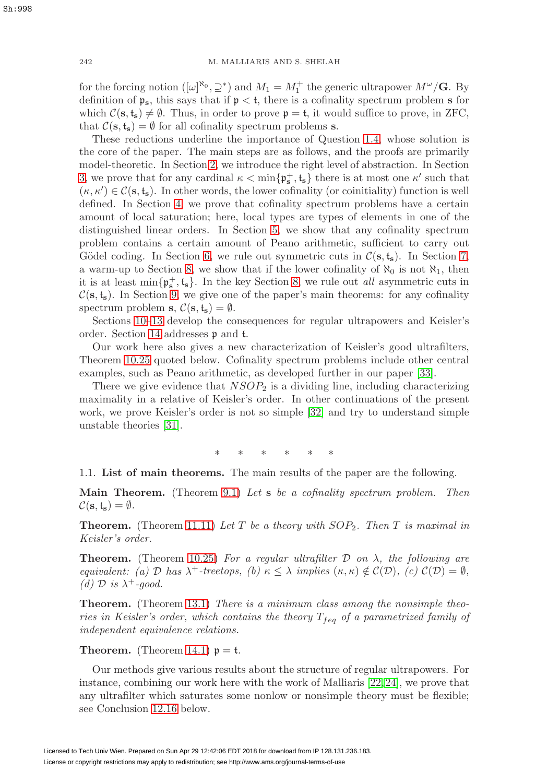for the forcing notion  $([\omega]^{\aleph_0}, \supseteq^*)$  and  $M_1 = M_1^+$  the generic ultrapower  $M^{\omega}/\mathbf{G}$ . By definition of  $\mathfrak{p}_s$ , this says that if  $\mathfrak{p} < \mathfrak{t}$ , there is a cofinality spectrum problem **s** for which  $\mathcal{C}(\mathbf{s}, \mathbf{t}_{\mathbf{s}}) \neq \emptyset$ . Thus, in order to prove  $\mathfrak{p} = \mathfrak{t}$ , it would suffice to prove, in ZFC, that  $\mathcal{C}(\mathbf{s}, \mathbf{t}_s) = \emptyset$  for all cofinality spectrum problems **s**.

These reductions underline the importance of Question [1.4,](#page-4-1) whose solution is the core of the paper. The main steps are as follows, and the proofs are primarily model-theoretic. In Section [2,](#page-6-0) we introduce the right level of abstraction. In Section [3,](#page-13-1) we prove that for any cardinal  $\kappa < \min\{\mathfrak{p}_s^+, \mathfrak{t}_s\}$  there is at most one  $\kappa'$  such that  $(\kappa, \kappa') \in \mathcal{C}(\mathbf{s}, \mathbf{t}_{\mathbf{s}})$ . In other words, the lower cofinality (or coinitiality) function is well defined. In Section [4,](#page-17-0) we prove that cofinality spectrum problems have a certain amount of local saturation; here, local types are types of elements in one of the distinguished linear orders. In Section [5,](#page-18-0) we show that any cofinality spectrum problem contains a certain amount of Peano arithmetic, sufficient to carry out Gödel coding. In Section [6,](#page-23-0) we rule out symmetric cuts in  $\mathcal{C}(\mathbf{s}, \mathbf{t}_\mathbf{s})$ . In Section [7,](#page-25-0) a warm-up to Section [8,](#page-28-0) we show that if the lower cofinality of  $\aleph_0$  is not  $\aleph_1$ , then it is at least  $\min\{\mathfrak{p}_s^+, \mathfrak{t}_s\}$ . In the key Section [8,](#page-28-0) we rule out *all* asymmetric cuts in  $\mathcal{C}(\mathbf{s}, \mathbf{t}_\mathbf{s})$ . In Section [9,](#page-34-0) we give one of the paper's main theorems: for any cofinality spectrum problem **s**,  $C(\mathbf{s}, \mathbf{t}_s) = \emptyset$ .

Sections [10–](#page-35-0)[13](#page-48-0) develop the consequences for regular ultrapowers and Keisler's order. Section [14](#page-52-0) addresses p and t.

Our work here also gives a new characterization of Keisler's good ultrafilters, Theorem [10.25](#page-41-1) quoted below. Cofinality spectrum problems include other central examples, such as Peano arithmetic, as developed further in our paper [\[33\]](#page-59-8).

There we give evidence that  $NSOP_2$  is a dividing line, including characterizing maximality in a relative of Keisler's order. In other continuations of the present work, we prove Keisler's order is not so simple [\[32\]](#page-59-9) and try to understand simple unstable theories [\[31\]](#page-59-10).

∗ ∗ ∗ ∗ ∗∗

<span id="page-5-0"></span>1.1. **List of main theorems.** The main results of the paper are the following.

**Main Theorem.** (Theorem [9.1\)](#page-34-1) Let **s** be a cofinality spectrum problem. Then  $\mathcal{C}(\mathbf{s}, \mathbf{t}_{\mathbf{s}}) = \emptyset.$ 

**Theorem.** (Theorem [11.11\)](#page-44-1) Let T be a theory with  $SOP_2$ . Then T is maximal in Keisler's order.

**Theorem.** (Theorem [10.25\)](#page-41-1) For a regular ultrafilter  $\mathcal D$  on  $\lambda$ , the following are equivalent: (a) D has  $\lambda^+$ -treetops, (b)  $\kappa \leq \lambda$  implies  $(\kappa, \kappa) \notin C(\mathcal{D}),$  (c)  $C(\mathcal{D}) = \emptyset$ , (d)  $\mathcal{D}$  is  $\lambda^+$ -good.

**Theorem.** (Theorem [13.1\)](#page-48-1) There is a minimum class among the nonsimple theories in Keisler's order, which contains the theory  $T_{feq}$  of a parametrized family of independent equivalence relations.

**Theorem.** (Theorem [14.1\)](#page-57-0)  $p = t$ .

Our methods give various results about the structure of regular ultrapowers. For instance, combining our work here with the work of Malliaris [\[22,](#page-58-9) [24\]](#page-58-8), we prove that any ultrafilter which saturates some nonlow or nonsimple theory must be flexible; see Conclusion [12.16](#page-48-2) below.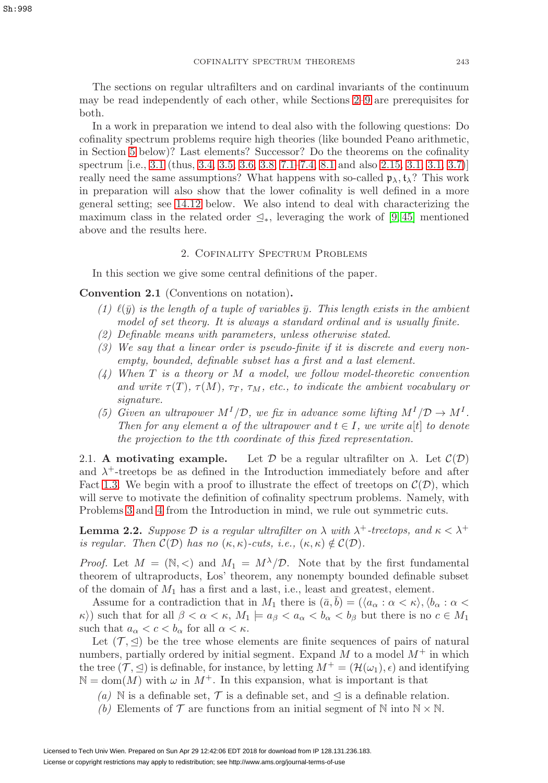The sections on regular ultrafilters and on cardinal invariants of the continuum may be read independently of each other, while Sections [2–](#page-6-0)[9](#page-34-0) are prerequisites for both.

In a work in preparation we intend to deal also with the following questions: Do cofinality spectrum problems require high theories (like bounded Peano arithmetic, in Section [5](#page-18-0) below)? Last elements? Successor? Do the theorems on the cofinality spectrum [i.e., [3.1](#page-14-0) (thus, [3.4,](#page-16-0) [3.5,](#page-16-1) [3.6,](#page-16-2) [3.8,](#page-17-1) [7.1](#page-28-1)[–7.4,](#page-26-0) [8.1](#page-30-0) and also [2.15,](#page-13-2) [3.1, 3.1,](#page-13-3) [3.7\)](#page-16-3)] really need the same assumptions? What happens with so-called  $\mathfrak{p}_{\lambda}, \mathfrak{t}_{\lambda}$ ? This work in preparation will also show that the lower cofinality is well defined in a more general setting; see [14.12](#page-56-1) below. We also intend to deal with characterizing the maximum class in the related order  $\leq_*$ , leveraging the work of [\[9,](#page-58-10)45] mentioned above and the results here.

## 2. Cofinality Spectrum Problems

<span id="page-6-0"></span>In this section we give some central definitions of the paper.

<span id="page-6-2"></span>**Convention 2.1** (Conventions on notation)**.**

- (1)  $\ell(\bar{y})$  is the length of a tuple of variables  $\bar{y}$ . This length exists in the ambient model of set theory. It is always a standard ordinal and is usually finite.
- (2) Definable means with parameters, unless otherwise stated.
- (3) We say that a linear order is pseudo-finite if it is discrete and every nonempty, bounded, definable subset has a first and a last element.
- $(4)$  When T is a theory or M a model, we follow model-theoretic convention and write  $\tau(T)$ ,  $\tau(M)$ ,  $\tau_T$ ,  $\tau_M$ , etc., to indicate the ambient vocabulary or signature.
- (5) Given an ultrapower  $M^I/\mathcal{D}$ , we fix in advance some lifting  $M^I/\mathcal{D} \to M^I$ . Then for any element a of the ultrapower and  $t \in I$ , we write a[t] to denote the projection to the tth coordinate of this fixed representation.

<span id="page-6-1"></span>2.1. **A motivating example.** Let D be a regular ultrafilter on  $\lambda$ . Let  $\mathcal{C}(\mathcal{D})$ and  $\lambda^+$ -treetops be as defined in the Introduction immediately before and after Fact [1.3.](#page-3-3) We begin with a proof to illustrate the effect of treetops on  $\mathcal{C}(\mathcal{D})$ , which will serve to motivate the definition of cofinality spectrum problems. Namely, with Problems [3](#page-3-2) and [4](#page-4-0) from the Introduction in mind, we rule out symmetric cuts.

<span id="page-6-3"></span>**Lemma 2.2.** Suppose D is a regular ultrafilter on  $\lambda$  with  $\lambda^+$ -treetops, and  $\kappa < \lambda^+$ is regular. Then  $C(\mathcal{D})$  has no  $(\kappa, \kappa)$ -cuts, i.e.,  $(\kappa, \kappa) \notin C(\mathcal{D})$ .

*Proof.* Let  $M = (\mathbb{N}, <)$  and  $M_1 = M^{\lambda}/\mathcal{D}$ . Note that by the first fundamental theorem of ultraproducts, Los' theorem, any nonempty bounded definable subset of the domain of  $M_1$  has a first and a last, i.e., least and greatest, element.

Assume for a contradiction that in  $M_1$  there is  $(\bar{a}, \bar{b}) = (\langle a_\alpha : \alpha < \kappa \rangle, \langle b_\alpha : \alpha <$  $\kappa$ ) such that for all  $\beta < \alpha < \kappa$ ,  $M_1 \models a_{\beta} < a_{\alpha} < b_{\alpha} < b_{\beta}$  but there is no  $c \in M_1$ such that  $a_{\alpha} < c < b_{\alpha}$  for all  $\alpha < \kappa$ .

Let  $(\mathcal{T}, \leq)$  be the tree whose elements are finite sequences of pairs of natural numbers, partially ordered by initial segment. Expand  $M$  to a model  $M^+$  in which the tree  $(\mathcal{T}, \leq)$  is definable, for instance, by letting  $M^+ = (\mathcal{H}(\omega_1), \epsilon)$  and identifying  $\mathbb{N} = \text{dom}(M)$  with  $\omega$  in  $M^+$ . In this expansion, what is important is that

- (a) N is a definable set,  $\mathcal T$  is a definable set, and  $\leq$  is a definable relation.
- (b) Elements of  $\mathcal T$  are functions from an initial segment of  $\mathbb N$  into  $\mathbb N \times \mathbb N$ .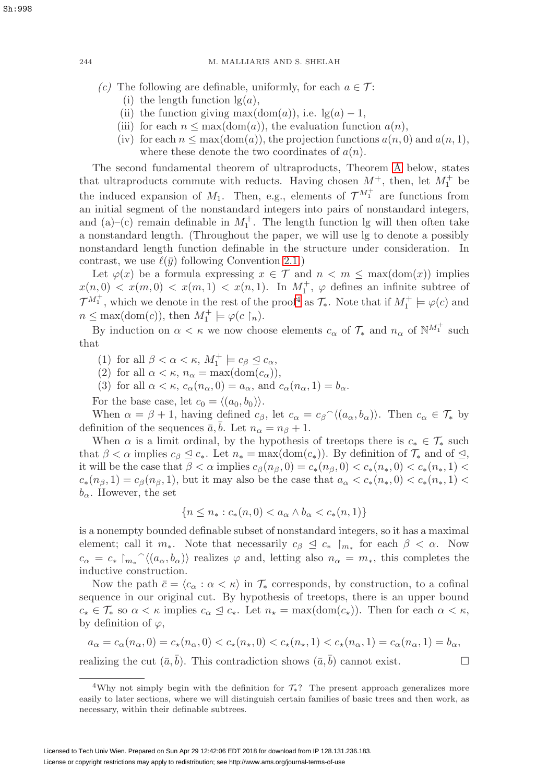- (c) The following are definable, uniformly, for each  $a \in \mathcal{T}$ :
	- (i) the length function  $\lg(a)$ ,
	- (ii) the function giving max $(\text{dom}(a))$ , i.e.  $\lg(a) 1$ ,
	- (iii) for each  $n \leq \max(\text{dom}(a))$ , the evaluation function  $a(n)$ ,
	- (iv) for each  $n \leq \max(\text{dom}(a))$ , the projection functions  $a(n, 0)$  and  $a(n, 1)$ , where these denote the two coordinates of  $a(n)$ .

The second fundamental theorem of ultraproducts, Theorem [A](#page-36-1) below, states that ultraproducts commute with reducts. Having chosen  $M^+$ , then, let  $M_1^+$  be the induced expansion of  $M_1$ . Then, e.g., elements of  $\mathcal{T}^{M_1^+}$  are functions from an initial segment of the nonstandard integers into pairs of nonstandard integers, and (a)–(c) remain definable in  $M_1^+$ . The length function lg will then often take a nonstandard length. (Throughout the paper, we will use lg to denote a possibly nonstandard length function definable in the structure under consideration. In contrast, we use  $\ell(\bar{y})$  following Convention [2.1.](#page-6-2))

Let  $\varphi(x)$  be a formula expressing  $x \in \mathcal{T}$  and  $n < m \leq \max(\text{dom}(x))$  implies  $x(n,0) < x(m,0) < x(m,1) < x(n,1)$ . In  $M_1^+$ ,  $\varphi$  defines an infinite subtree of  $\mathcal{T}^{M_1^+}$ , which we denote in the rest of the proof<sup>[4](#page-7-0)</sup> as  $\mathcal{T}_{*}$ . Note that if  $M_1^+ \models \varphi(c)$  and  $n \leq \max(\text{dom}(c)), \text{ then } M_1^+ \models \varphi(c \restriction_n).$ 

By induction on  $\alpha < \kappa$  we now choose elements  $c_{\alpha}$  of  $\mathcal{T}_{*}$  and  $n_{\alpha}$  of  $\mathbb{N}^{M_{1}^{+}}$  such that

- (1) for all  $\beta < \alpha < \kappa$ ,  $M_1^+ \models c_\beta \trianglelefteq c_\alpha$ ,
- (2) for all  $\alpha < \kappa$ ,  $n_{\alpha} = \max(\text{dom}(c_{\alpha})),$
- (3) for all  $\alpha < \kappa$ ,  $c_{\alpha}(n_{\alpha}, 0) = a_{\alpha}$ , and  $c_{\alpha}(n_{\alpha}, 1) = b_{\alpha}$ .

For the base case, let  $c_0 = \langle (a_0, b_0) \rangle$ .

When  $\alpha = \beta + 1$ , having defined  $c_{\beta}$ , let  $c_{\alpha} = c_{\beta} \gamma \langle (a_{\alpha}, b_{\alpha}) \rangle$ . Then  $c_{\alpha} \in \mathcal{T}_{*}$  by definition of the sequences  $\bar{a}$ , b. Let  $n_{\alpha} = n_{\beta} + 1$ .

When  $\alpha$  is a limit ordinal, by the hypothesis of treetops there is  $c_* \in \mathcal{T}_*$  such that  $\beta < \alpha$  implies  $c_{\beta} \leq c_*$ . Let  $n_* = \max(\text{dom}(c_*))$ . By definition of  $\mathcal{T}_*$  and of  $\leq$ , it will be the case that  $\beta < \alpha$  implies  $c_{\beta}(n_{\beta}, 0) = c_*(n_{\beta}, 0) < c_*(n_*, 0) < c_*(n_*, 1)$  $c_*(n_{\beta}, 1) = c_{\beta}(n_{\beta}, 1)$ , but it may also be the case that  $a_{\alpha} < c_*(n_*, 0) < c_*(n_*, 1)$  $b_{\alpha}$ . However, the set

$$
\{n \le n_* : c_*(n,0) < a_\alpha \land b_\alpha < c_*(n,1)\}
$$

is a nonempty bounded definable subset of nonstandard integers, so it has a maximal element; call it  $m_*$ . Note that necessarily  $c_{\beta} \leq c_* \mid_{m_*}$  for each  $\beta < \alpha$ . Now  $c_{\alpha} = c_* \nvert_{m_*}^\infty(\langle a_\alpha, b_\alpha \rangle)$  realizes  $\varphi$  and, letting also  $n_\alpha = m_*$ , this completes the inductive construction.

Now the path  $\bar{c} = \langle c_{\alpha} : \alpha < \kappa \rangle$  in  $\mathcal{T}_{*}$  corresponds, by construction, to a cofinal sequence in our original cut. By hypothesis of treetops, there is an upper bound  $c_{\star} \in \mathcal{T}_{*}$  so  $\alpha < \kappa$  implies  $c_{\alpha} \leq c_{\star}$ . Let  $n_{\star} = \max(\text{dom}(c_{\star}))$ . Then for each  $\alpha < \kappa$ , by definition of  $\varphi$ ,

$$
a_{\alpha} = c_{\alpha}(n_{\alpha},0) = c_{\star}(n_{\alpha},0) < c_{\star}(n_{\star},0) < c_{\star}(n_{\star},1) < c_{\star}(n_{\alpha},1) = c_{\alpha}(n_{\alpha},1) = b_{\alpha},
$$

realizing the cut  $(\bar{a}, \bar{b})$ . This contradiction shows  $(\bar{a}, \bar{b})$  cannot exist.

<span id="page-7-0"></span><sup>&</sup>lt;sup>4</sup>Why not simply begin with the definition for  $\mathcal{T}_*$ ? The present approach generalizes more easily to later sections, where we will distinguish certain families of basic trees and then work, as necessary, within their definable subtrees.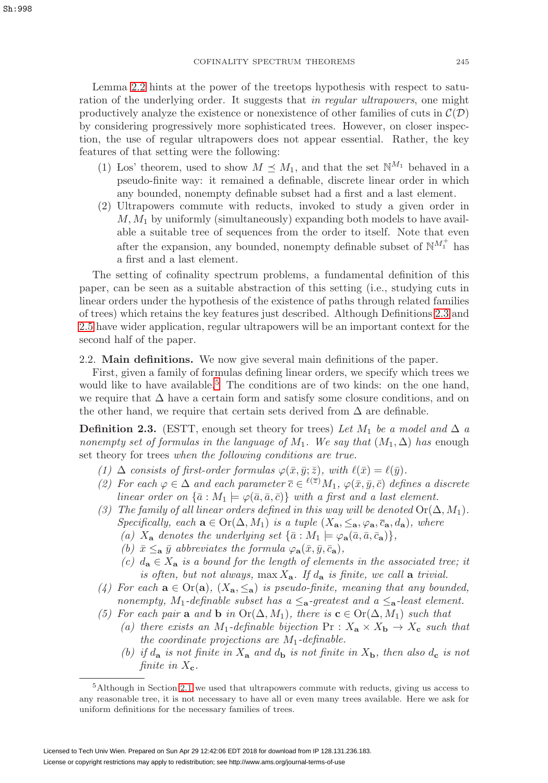Lemma [2.2](#page-6-3) hints at the power of the treetops hypothesis with respect to saturation of the underlying order. It suggests that in regular ultrapowers, one might productively analyze the existence or nonexistence of other families of cuts in  $\mathcal{C}(\mathcal{D})$ by considering progressively more sophisticated trees. However, on closer inspection, the use of regular ultrapowers does not appear essential. Rather, the key features of that setting were the following:

- (1) Los' theorem, used to show  $M \preceq M_1$ , and that the set  $\mathbb{N}^{M_1}$  behaved in a pseudo-finite way: it remained a definable, discrete linear order in which any bounded, nonempty definable subset had a first and a last element.
- (2) Ultrapowers commute with reducts, invoked to study a given order in  $M, M<sub>1</sub>$  by uniformly (simultaneously) expanding both models to have available a suitable tree of sequences from the order to itself. Note that even after the expansion, any bounded, nonempty definable subset of  $\mathbb{N}^{M_1^+}$  has a first and a last element.

The setting of cofinality spectrum problems, a fundamental definition of this paper, can be seen as a suitable abstraction of this setting (i.e., studying cuts in linear orders under the hypothesis of the existence of paths through related families of trees) which retains the key features just described. Although Definitions [2.3](#page-8-1) and [2.5](#page-9-0) have wider application, regular ultrapowers will be an important context for the second half of the paper.

<span id="page-8-0"></span>2.2. **Main definitions.** We now give several main definitions of the paper.

First, given a family of formulas defining linear orders, we specify which trees we would like to have available.<sup>[5](#page-8-2)</sup> The conditions are of two kinds: on the one hand, we require that  $\Delta$  have a certain form and satisfy some closure conditions, and on the other hand, we require that certain sets derived from  $\Delta$  are definable.

<span id="page-8-1"></span>**Definition 2.3.** (ESTT, enough set theory for trees) Let  $M_1$  be a model and  $\Delta$  a nonempty set of formulas in the language of  $M_1$ . We say that  $(M_1, \Delta)$  has enough set theory for trees when the following conditions are true.

- (1)  $\Delta$  consists of first-order formulas  $\varphi(\bar{x}, \bar{y}; \bar{z})$ , with  $\ell(\bar{x}) = \ell(\bar{y})$ .
- (2) For each  $\varphi \in \Delta$  and each parameter  $\overline{c} \in {}^{\ell(\overline{z})}M_1$ ,  $\varphi(\overline{x}, \overline{y}, \overline{c})$  defines a discrete linear order on  $\{\bar{a}: M_1 \models \varphi(\bar{a}, \bar{a}, \bar{c})\}$  with a first and a last element.
- (3) The family of all linear orders defined in this way will be denoted  $\text{Or}(\Delta, M_1)$ . Specifically, each  $\mathbf{a} \in \text{Or}(\Delta, M_1)$  is a tuple  $(X_{\mathbf{a}}, \leq_{\mathbf{a}}, \varphi_{\mathbf{a}}, \overline{c}_{\mathbf{a}}, d_{\mathbf{a}})$ , where
	- (a)  $X_{\mathbf{a}}$  denotes the underlying set  $\{\bar{a}: M_1 \models \varphi_{\mathbf{a}}(\bar{a}, \bar{a}, \bar{c}_{\mathbf{a}})\},\$
	- (b)  $\bar{x} \leq_{\bf a} \bar{y}$  abbreviates the formula  $\varphi_{\bf a}(\bar{x}, \bar{y}, \bar{c}_{\bf a})$ ,
	- (c)  $d_{\mathbf{a}} \in X_{\mathbf{a}}$  is a bound for the length of elements in the associated tree; it is often, but not always, max  $X_a$ . If  $d_a$  is finite, we call a trivial.
- (4) For each  $\mathbf{a} \in \text{Or}(\mathbf{a})$ ,  $(X_{\mathbf{a}}, \leq_{\mathbf{a}})$  is pseudo-finite, meaning that any bounded, nonempty,  $M_1$ -definable subset has a  $\leq_{\mathbf{a}}$ -greatest and a  $\leq_{\mathbf{a}}$ -least element.
- (5) For each pair **a** and **b** in  $Or(\Delta, M_1)$ , there is  $\mathbf{c} \in Or(\Delta, M_1)$  such that
	- (a) there exists an M<sub>1</sub>-definable bijection  $Pr: X_{a} \times X_{b} \rightarrow X_{c}$  such that the coordinate projections are  $M_1$ -definable.
	- (b) if  $d_{\bf{a}}$  is not finite in  $X_{\bf{a}}$  and  $d_{\bf{b}}$  is not finite in  $X_{\bf{b}}$ , then also  $d_{\bf{c}}$  is not finite in  $X_c$ .

<span id="page-8-2"></span><sup>5</sup>Although in Section [2.1](#page-6-1) we used that ultrapowers commute with reducts, giving us access to any reasonable tree, it is not necessary to have all or even many trees available. Here we ask for uniform definitions for the necessary families of trees.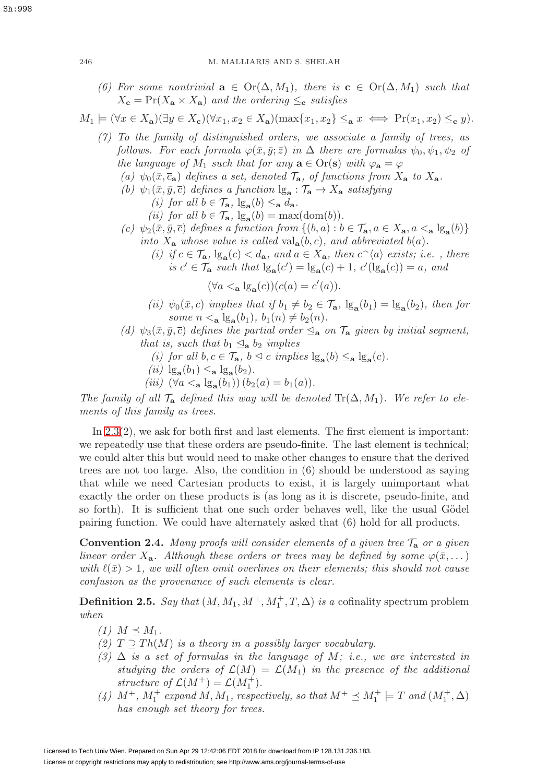(6) For some nontrivial  $\mathbf{a} \in \text{Or}(\Delta, M_1)$ , there is  $\mathbf{c} \in \text{Or}(\Delta, M_1)$  such that  $X_c = \Pr(X_a \times X_a)$  and the ordering  $\leq_c$  satisfies

$$
M_1 \models (\forall x \in X_{\mathbf{a}})(\exists y \in X_{\mathbf{c}})(\forall x_1, x_2 \in X_{\mathbf{a}})(\max\{x_1, x_2\} \leq_{\mathbf{a}} x \iff \Pr(x_1, x_2) \leq_{\mathbf{c}} y).
$$

- (7) To the family of distinguished orders, we associate a family of trees, as follows. For each formula  $\varphi(\bar{x}, \bar{y}; \bar{z})$  in  $\Delta$  there are formulas  $\psi_0, \psi_1, \psi_2$  of the language of  $M_1$  such that for any  $\mathbf{a} \in \text{Or}(\mathbf{s})$  with  $\varphi_{\mathbf{a}} = \varphi$ 
	- (a)  $\psi_0(\bar{x}, \bar{c}_a)$  defines a set, denoted  $\mathcal{T}_a$ , of functions from  $X_a$  to  $X_a$ .
	- (b)  $\psi_1(\bar{x}, \bar{y}, \bar{c})$  defines a function  $\lg_{\mathbf{a}} : \mathcal{T}_{\mathbf{a}} \to X_{\mathbf{a}}$  satisfying
		- (i) for all  $b \in \mathcal{T}_{\mathbf{a}}, \lg_{\mathbf{a}}(b) \leq_{\mathbf{a}} d_{\mathbf{a}}$ .
		- (ii) for all  $b \in \mathcal{T}_{a}$ ,  $\lg_{a}(b) = \max(\text{dom}(b)).$
	- (c)  $\psi_2(\bar{x}, \bar{y}, \bar{c})$  defines a function from  $\{(b, a) : b \in \mathcal{T}_a, a \in X_a, a \leq_a \lg_a(b)\}\$ into  $X_{\mathbf{a}}$  whose value is called val<sub> ${\bf a}(b, c)$ , and abbreviated  $b(a)$ .</sub>
		- (i) if  $c \in \mathcal{T}_a$ ,  $\lg_a(c) < d_a$ , and  $a \in X_a$ , then  $c^{\frown}{\langle a \rangle}$  exists; i.e., there is  $c' \in \mathcal{T}_{\mathbf{a}}$  such that  $\lg_{\mathbf{a}}(c') = \lg_{\mathbf{a}}(c) + 1$ ,  $c'(\lg_{\mathbf{a}}(c)) = a$ , and

$$
(\forall a <_{\mathbf{a}} \lg_{\mathbf{a}}(c))(c(a) = c'(a)).
$$

- (ii)  $\psi_0(\bar{x}, \bar{c})$  implies that if  $b_1 \neq b_2 \in \mathcal{T}_{\mathbf{a}}, \lg_{\mathbf{a}}(b_1) = \lg_{\mathbf{a}}(b_2)$ , then for some  $n <$ **a**  $\lg_{a}(b_1)$ ,  $b_1(n) \neq b_2(n)$ .
- (d)  $\psi_3(\bar{x}, \bar{y}, \bar{c})$  defines the partial order  $\leq_{\mathbf{a}}$  on  $\mathcal{T}_{\mathbf{a}}$  given by initial segment, that is, such that  $b_1 \leq_a b_2$  implies
	- (i) for all  $b, c \in \mathcal{T}_a$ ,  $b \leq c$  implies  $\lg_a(b) \leq_a \lg_a(c)$ .
	- (ii)  $\lg_{\mathbf{a}}(b_1) \leq_{\mathbf{a}} \lg_{\mathbf{a}}(b_2)$ .
	- (*iii*)  $(\forall a \leq_{\mathbf{a}} \lg_{\mathbf{a}}(b_1))$   $(b_2(a) = b_1(a)).$

The family of all  $\mathcal{T}_a$  defined this way will be denoted  $\text{Tr}(\Delta, M_1)$ . We refer to elements of this family as trees.

In [2.3\(](#page-8-1)2), we ask for both first and last elements. The first element is important: we repeatedly use that these orders are pseudo-finite. The last element is technical; we could alter this but would need to make other changes to ensure that the derived trees are not too large. Also, the condition in (6) should be understood as saying that while we need Cartesian products to exist, it is largely unimportant what exactly the order on these products is (as long as it is discrete, pseudo-finite, and so forth). It is sufficient that one such order behaves well, like the usual Gödel pairing function. We could have alternately asked that (6) hold for all products.

**Convention 2.4.** Many proofs will consider elements of a given tree  $\mathcal{T}_a$  or a given linear order  $X_{\mathbf{a}}$ . Although these orders or trees may be defined by some  $\varphi(\bar{x}, \dots)$ with  $\ell(\bar{x}) > 1$ , we will often omit overlines on their elements; this should not cause confusion as the provenance of such elements is clear.

<span id="page-9-0"></span>**Definition 2.5.** Say that  $(M, M_1, M^+, M_1^+, T, \Delta)$  is a cofinality spectrum problem when

- $(1)$   $M \preceq M_1$ .
- (2)  $T \supseteq Th(M)$  is a theory in a possibly larger vocabulary.
- (3)  $\Delta$  is a set of formulas in the language of M; i.e., we are interested in studying the orders of  $\mathcal{L}(M) = \mathcal{L}(M_1)$  in the presence of the additional structure of  $\mathcal{L}(M^+) = \mathcal{L}(M_1^+).$
- (4)  $M^+$ ,  $M_1^+$  expand  $M$ ,  $M_1$ , respectively, so that  $M^+ \preceq M_1^+$   $\models$  T and  $(M_1^+,\Delta)$ has enough set theory for trees.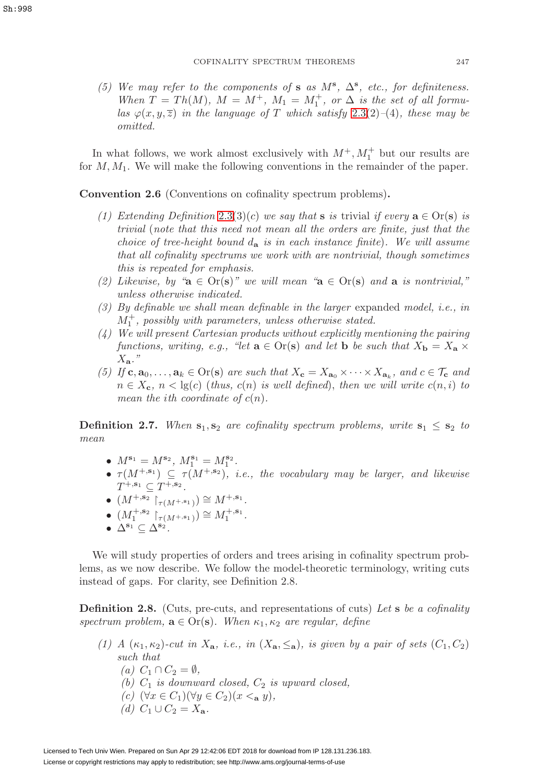(5) We may refer to the components of **s** as  $M^s$ ,  $\Delta^s$ , etc., for definiteness. When  $T = Th(M)$ ,  $M = M^{+}$ ,  $M_1 = M_1^{+}$ , or  $\Delta$  is the set of all formulas  $\varphi(x, y, \overline{z})$  in the language of T which satisfy [2.3\(](#page-8-1)2)–(4), these may be omitted.

In what follows, we work almost exclusively with  $M^+, M_1^+$  but our results are for  $M, M_1$ . We will make the following conventions in the remainder of the paper.

**Convention 2.6** (Conventions on cofinality spectrum problems)**.**

- (1) Extending Definition [2.3\(](#page-8-1)3)(c) we say that **s** is trivial if every  $\mathbf{a} \in \text{Or}(\mathbf{s})$  is trivial (note that this need not mean all the orders are finite, just that the choice of tree-height bound  $d_{\bf a}$  is in each instance finite). We will assume that all cofinality spectrums we work with are nontrivial, though sometimes this is repeated for emphasis.
- (2) Likewise, by " $\mathbf{a} \in \text{Or}(\mathbf{s})$ " we will mean " $\mathbf{a} \in \text{Or}(\mathbf{s})$  and  $\mathbf{a}$  is nontrivial," unless otherwise indicated.
- (3) By definable we shall mean definable in the larger expanded model, i.e., in  $M_1^+$ , possibly with parameters, unless otherwise stated.
- (4) We will present Cartesian products without explicitly mentioning the pairing functions, writing, e.g., "let  $\mathbf{a} \in \text{Or}(\mathbf{s})$  and let  $\mathbf{b}$  be such that  $X_{\mathbf{b}} = X_{\mathbf{a}} \times$ X**a**."
- (5) If  $c, a_0, \ldots, a_k \in Or(s)$  are such that  $X_c = X_{a_0} \times \cdots \times X_{a_k}$ , and  $c \in \mathcal{T}_c$  and  $n \in X_c$ ,  $n < \lg(c)$  (thus,  $c(n)$  is well defined), then we will write  $c(n, i)$  to mean the ith coordinate of  $c(n)$ .

**Definition 2.7.** When  $s_1, s_2$  are cofinality spectrum problems, write  $s_1 \leq s_2$  to mean

- $M^{s_1} = M^{s_2}, M_1^{s_1} = M_1^{s_2}.$
- $\tau(M^{+,s_1}) \subseteq \tau(M^{+,s_2})$ , *i.e.*, the vocabulary may be larger, and likewise  $T^{+, \mathbf{s}_1} \subseteq T^{+, \mathbf{s}_2}$ .
- $(M^{+,s_2} \upharpoonright_{\tau(M^{+,s_1})}) \cong M^{+,s_1}.$
- $(M_1^{+,s_2} \restriction_{\tau(M^{+,s_1})}) \cong M_1^{+,s_1}.$
- $\bullet$   $\Delta^{\mathbf{s}_1} \subseteq \Delta^{\mathbf{s}_2}$ .

We will study properties of orders and trees arising in cofinality spectrum problems, as we now describe. We follow the model-theoretic terminology, writing cuts instead of gaps. For clarity, see Definition 2.8.

**Definition 2.8.** (Cuts, pre-cuts, and representations of cuts) Let **s** be a cofinality spectrum problem,  $\mathbf{a} \in \text{Or}(\mathbf{s})$ . When  $\kappa_1, \kappa_2$  are regular, define

- (1) A  $(\kappa_1, \kappa_2)$ -cut in  $X_a$ , i.e., in  $(X_a, \leq_a)$ , is given by a pair of sets  $(C_1, C_2)$ such that
	- $(a)$   $C_1 \cap C_2 = \emptyset$ ,
	- (b)  $C_1$  is downward closed,  $C_2$  is upward closed,
	- (c) (∀x ∈ C1)(∀y ∈ C2)(x <**<sup>a</sup>** y),
	- (d)  $C_1 \cup C_2 = X_a$ .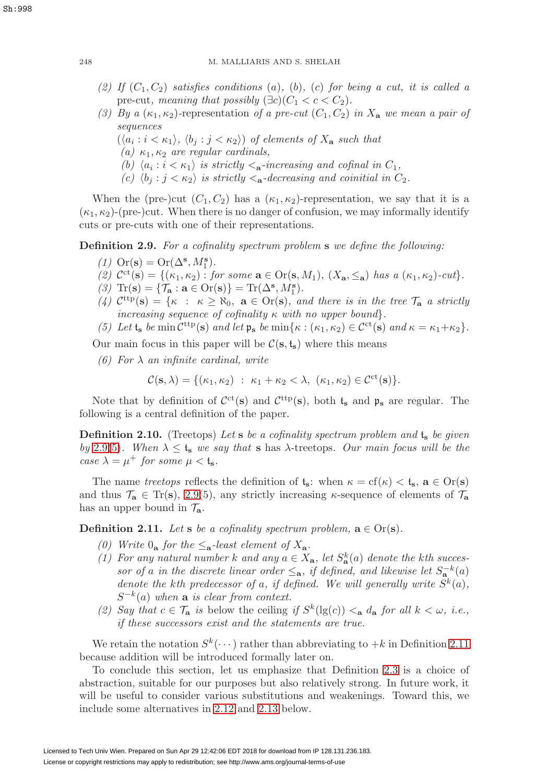- (2) If  $(C_1, C_2)$  satisfies conditions (a), (b), (c) for being a cut, it is called a pre-cut, meaning that possibly  $(\exists c)(C_1 < c < C_2)$ .
- (3) By a  $(\kappa_1, \kappa_2)$ -representation of a pre-cut  $(C_1, C_2)$  in  $X_a$  we mean a pair of sequences
	- $(\langle a_i : i < \kappa_1 \rangle, \langle b_i : j < \kappa_2 \rangle)$  of elements of  $X_{\mathbf{a}}$  such that
	- (a)  $\kappa_1, \kappa_2$  are regular cardinals,
	- (b)  $\langle a_i : i < \kappa_1 \rangle$  is strictly  $\langle a_i \cdot \text{increasing and cofinal in } C_1,$
	- (c)  $\langle b_i : j \langle \kappa_2 \rangle$  is strictly  $\langle a_i$ -decreasing and coinitial in  $C_2$ .

When the (pre-)cut  $(C_1, C_2)$  has a  $(\kappa_1, \kappa_2)$ -representation, we say that it is a  $(\kappa_1, \kappa_2)$ -(pre-)cut. When there is no danger of confusion, we may informally identify cuts or pre-cuts with one of their representations.

<span id="page-11-0"></span>**Definition 2.9.** For a cofinality spectrum problem **s** we define the following:

- (1)  $\text{Or}(\mathbf{s}) = \text{Or}(\Delta^{\mathbf{s}}, M_1^{\mathbf{s}}).$
- (2)  $C^{ct}(s) = \{(\kappa_1, \kappa_2) : \text{ for some } a \in \text{Or}(s, M_1), (X_a, \leq_a) \text{ has a } (\kappa_1, \kappa_2)\text{-}cut\}.$
- (3)  $\text{Tr}(\mathbf{s}) = {\mathcal{T}_\mathbf{a} : \mathbf{a} \in \text{Or}(\mathbf{s})} = \text{Tr}(\Delta^{\mathbf{s}}, M_1^{\mathbf{s}}).$
- (4)  $\mathcal{C}^{\text{ttp}}(\mathbf{s}) = \{\kappa : \kappa \geq \aleph_0, \mathbf{a} \in \text{Or}(\mathbf{s}), \text{ and there is in the tree } \mathcal{T}_{\mathbf{a}} \text{ a strictly }$ increasing sequence of cofinality  $\kappa$  with no upper bound.
- <span id="page-11-1"></span>(5) Let  $\mathfrak{t}_s$  be min  $\mathcal{C}^{\text{ttp}}(\mathbf{s})$  and let  $\mathfrak{p}_s$  be min $\{\kappa : (\kappa_1, \kappa_2) \in \mathcal{C}^{\text{ct}}(\mathbf{s})$  and  $\kappa = \kappa_1 + \kappa_2\}.$

Our main focus in this paper will be  $C(s, t_s)$  where this means

(6) For  $\lambda$  an infinite cardinal, write

$$
\mathcal{C}(\mathbf{s}, \lambda) = \{ (\kappa_1, \kappa_2) : \ \kappa_1 + \kappa_2 < \lambda, \ (\kappa_1, \kappa_2) \in \mathcal{C}^{\mathrm{ct}}(\mathbf{s}) \}.
$$

Note that by definition of  $\mathcal{C}^{ct}(s)$  and  $\mathcal{C}^{ttp}(s)$ , both  $t_s$  and  $p_s$  are regular. The following is a central definition of the paper.

<span id="page-11-3"></span>**Definition 2.10.** (Treetops) Let **s** be a cofinality spectrum problem and  $t_s$  be given by [2.9\(](#page-11-0)[5\)](#page-11-1). When  $\lambda \leq t_s$  we say that **s** has  $\lambda$ -treetops. Our main focus will be the case  $\lambda = \mu^+$  for some  $\mu < t_s$ .

The name treetops reflects the definition of  $t_s$ : when  $\kappa = cf(\kappa) < t_s$ ,  $a \in Or(s)$ and thus  $\mathcal{T}_a \in \text{Tr}(s)$ , [2.9\(](#page-11-0)5), any strictly increasing  $\kappa$ -sequence of elements of  $\mathcal{T}_a$ has an upper bound in  $\mathcal{T}_a$ .

<span id="page-11-2"></span>**Definition 2.11.** Let **s** be a cofinality spectrum problem,  $\mathbf{a} \in \text{Or}(\mathbf{s})$ .

- (0) Write  $0_{\mathbf{a}}$  for the  $\leq_{\mathbf{a}}$ -least element of  $X_{\mathbf{a}}$ .
- (1) For any natural number k and any  $a \in X_a$ , let  $S_a^k(a)$  denote the kth successor of a in the discrete linear order  $\leq_{a}$ , if defined, and likewise let  $S_{a}^{-k}(a)$ denote the kth predecessor of a, if defined. We will generally write  $S^k(a)$ ,  $S^{-k}(a)$  when **a** is clear from context.
- (2) Say that  $c \in \mathcal{T}_a$  is below the ceiling if  $S^k(\lg(c)) <_{a} d_a$  for all  $k < \omega$ , i.e., if these successors exist and the statements are true.

We retain the notation  $S^k(\cdots)$  rather than abbreviating to  $+k$  in Definition [2.11](#page-11-2) because addition will be introduced formally later on.

To conclude this section, let us emphasize that Definition [2.3](#page-8-1) is a choice of abstraction, suitable for our purposes but also relatively strong. In future work, it will be useful to consider various substitutions and weakenings. Toward this, we include some alternatives in [2.12](#page-12-1) and [2.13](#page-12-2) below.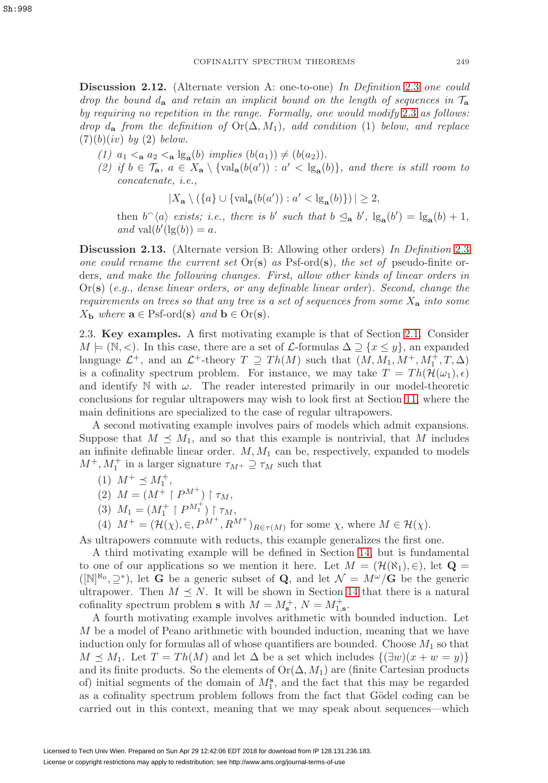<span id="page-12-1"></span>**Discussion 2.12.** (Alternate version A: one-to-one) In Definition [2.3](#page-8-1) one could drop the bound  $d_{\bf a}$  and retain an implicit bound on the length of sequences in  $\mathcal{T}_{\bf a}$ by requiring no repetition in the range. Formally, one would modify [2.3](#page-8-1) as follows: drop  $d_{\mathbf{a}}$  from the definition of  $\mathrm{Or}(\Delta, M_1)$ , add condition (1) below, and replace  $(7)(b)(iv)$  by  $(2)$  below.

- (1)  $a_1 < a_2 < a \lg_a(b)$  implies  $(b(a_1)) \neq (b(a_2))$ .
- (2) if  $b \in \mathcal{T}_a$ ,  $a \in X_a \setminus {\{ \text{val}_a(b(a')) : a' < \text{lg}_a(b) \}}$ , and there is still room to concatenate, i.e.,

$$
|X_{\mathbf{a}} \setminus (\{a\} \cup \{ \text{val}_{\mathbf{a}}(b(a')) : a' < \lg_{\mathbf{a}}(b) \})| \ge 2,
$$

then  $b^{\frown}\langle a \rangle$  exists; i.e., there is b' such that  $b \leq_{\mathbf{a}} b'$ ,  $\lg_{\mathbf{a}}(b') = \lg_{\mathbf{a}}(b) + 1$ , and val $(b'(\lg(b)) = a$ .

<span id="page-12-2"></span>**Discussion 2.13.** (Alternate version B: Allowing other orders) In Definition [2.3](#page-8-1) one could rename the current set  $Or(s)$  as Psf-ord( $s$ ), the set of pseudo-finite orders, and make the following changes. First, allow other kinds of linear orders in Or(**s**) (e.g., dense linear orders, or any definable linear order). Second, change the requirements on trees so that any tree is a set of sequences from some  $X_{a}$  into some  $X_{\mathbf{b}}$  where  $\mathbf{a} \in \text{Psf-ord}(\mathbf{s})$  and  $\mathbf{b} \in \text{Or}(\mathbf{s})$ .

<span id="page-12-0"></span>2.3. **Key examples.** A first motivating example is that of Section [2.1.](#page-6-1) Consider  $M \models (N, <)$ . In this case, there are a set of *L*-formulas  $\Delta \supseteq \{x \leq y\}$ , an expanded language  $\mathcal{L}^+$ , and an  $\mathcal{L}^+$ -theory  $T \supseteq Th(M)$  such that  $(M, M_1, M^+, M_1^+, T, \Delta)$ is a cofinality spectrum problem. For instance, we may take  $T = Th(\mathcal{H}(\omega_1), \epsilon)$ and identify  $\mathbb N$  with  $\omega$ . The reader interested primarily in our model-theoretic conclusions for regular ultrapowers may wish to look first at Section [11,](#page-41-0) where the main definitions are specialized to the case of regular ultrapowers.

A second motivating example involves pairs of models which admit expansions. Suppose that  $M \preceq M_1$ , and so that this example is nontrivial, that M includes an infinite definable linear order.  $M, M_1$  can be, respectively, expanded to models  $M^+, M_1^+$  in a larger signature  $\tau_{M^+} \supseteq \tau_M$  such that

- (1)  $M^+ \preceq M_1^+,$
- (2)  $M = (M^+ \upharpoonright P^{M^+}) \upharpoonright \tau_M$ ,
- (3)  $M_1 = (M_1^+ \upharpoonright P^{M_1^+}) \upharpoonright \tau_M$ ,
- (4)  $M^+ = (\mathcal{H}(\chi), \in, P^{M^+}, R^{M^+})_{R \in \tau(M)}$  for some  $\chi$ , where  $M \in \mathcal{H}(\chi)$ .

As ultrapowers commute with reducts, this example generalizes the first one.

A third motivating example will be defined in Section [14,](#page-52-0) but is fundamental to one of our applications so we mention it here. Let  $M = (\mathcal{H}(\aleph_1), \in)$ , let  $\mathbf{Q} =$ ( $[N]^{\aleph_0}, \supseteq^*$ ), let **G** be a generic subset of **Q**, and let  $\mathcal{N} = M^{\omega}/\mathbf{G}$  be the generic ultrapower. Then  $M \leq N$ . It will be shown in Section [14](#page-52-0) that there is a natural cofinality spectrum problem **s** with  $M = M_s^+$ ,  $N = M_{1,s}^+$ .

A fourth motivating example involves arithmetic with bounded induction. Let M be a model of Peano arithmetic with bounded induction, meaning that we have induction only for formulas all of whose quantifiers are bounded. Choose  $M_1$  so that  $M \preceq M_1$ . Let  $T = Th(M)$  and let  $\Delta$  be a set which includes  $\{(\exists w)(x + w = y)\}\$ and its finite products. So the elements of  $\text{Or}(\Delta, M_1)$  are (finite Cartesian products of) initial segments of the domain of  $M_1^s$ , and the fact that this may be regarded as a cofinality spectrum problem follows from the fact that Gödel coding can be carried out in this context, meaning that we may speak about sequences—which

Sh:998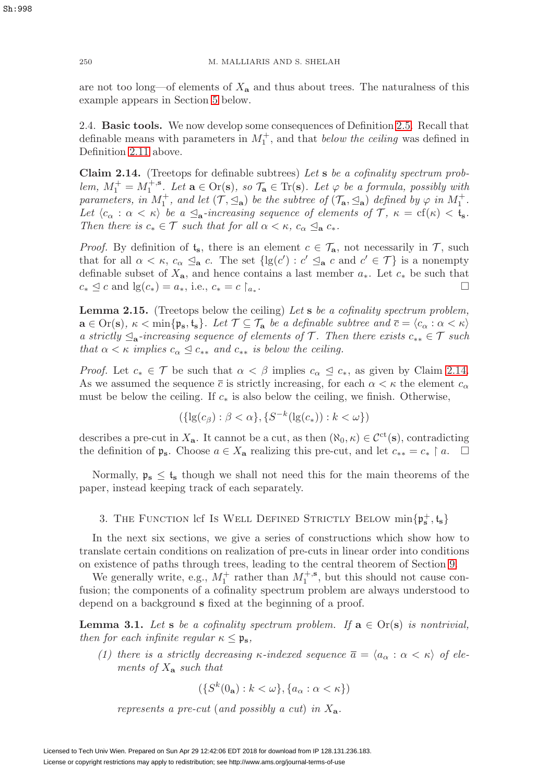are not too long—of elements of  $X_a$  and thus about trees. The naturalness of this example appears in Section [5](#page-18-0) below.

<span id="page-13-0"></span>2.4. **Basic tools.** We now develop some consequences of Definition [2.5.](#page-9-0) Recall that definable means with parameters in  $M_1^+$ , and that *below the ceiling* was defined in Definition [2.11](#page-11-2) above.

<span id="page-13-4"></span>**Claim 2.14.** (Treetops for definable subtrees) Let **s** be a cofinality spectrum problem,  $M_1^+ = M_1^{+, \mathbf{s}}$ . Let  $\mathbf{a} \in \text{Or}(\mathbf{s})$ , so  $\mathcal{T}_\mathbf{a} \in \text{Tr}(\mathbf{s})$ . Let  $\varphi$  be a formula, possibly with parameters, in  $M_1^+$ , and let  $(\mathcal{T}, \leq_{\mathbf{a}})$  be the subtree of  $(\mathcal{T}_{\mathbf{a}}, \leq_{\mathbf{a}})$  defined by  $\varphi$  in  $M_1^+$ . Let  $\langle c_{\alpha} : \alpha < \kappa \rangle$  be a  $\leq_{\mathbf{a}}$ -increasing sequence of elements of  $\mathcal{T}, \ \kappa = \text{cf}(\kappa) < \mathfrak{t}_{\mathbf{s}}$ . Then there is  $c_* \in \mathcal{T}$  such that for all  $\alpha < \kappa$ ,  $c_{\alpha} \leq_{\mathbf{a}} c_*$ .

*Proof.* By definition of  $t_s$ , there is an element  $c \in \mathcal{T}_a$ , not necessarily in  $\mathcal{T}$ , such that for all  $\alpha < \kappa$ ,  $c_{\alpha} \leq_{\mathbf{a}} c$ . The set  $\{lg(c') : c' \leq_{\mathbf{a}} c$  and  $c' \in \mathcal{T}\}\$ is a nonempty definable subset of  $X_{\mathbf{a}}$ , and hence contains a last member  $a_*$ . Let  $c_*$  be such that  $c_* \leq c$  and  $\lfloor c/c \rfloor = a_*$ , i.e.  $c_* = c$ .  $c_* \leq c$  and  $\lg(c_*) = a_*,$  i.e.,  $c_* = c \restriction_{a_*}$ .

<span id="page-13-2"></span>**Lemma 2.15.** (Treetops below the ceiling) Let **s** be a cofinality spectrum problem,  $\mathbf{a} \in \text{Or}(\mathbf{s}), \ \kappa < \min\{\mathfrak{p}_{\mathbf{s}}, \mathfrak{t}_{\mathbf{s}}\}.$  Let  $\mathcal{T} \subseteq \mathcal{T}_{\mathbf{a}}$  be a definable subtree and  $\overline{c} = \langle c_{\alpha} : \alpha < \kappa \rangle$ a strictly  $\leq_{\mathbf{a}}$ -increasing sequence of elements of  $\mathcal{T}$ . Then there exists  $c_{**} \in \mathcal{T}$  such that  $\alpha < \kappa$  implies  $c_{\alpha} \leq c_{**}$  and  $c_{**}$  is below the ceiling.

*Proof.* Let  $c_* \in \mathcal{T}$  be such that  $\alpha < \beta$  implies  $c_{\alpha} \leq c_*,$  as given by Claim [2.14.](#page-13-4) As we assumed the sequence  $\bar{c}$  is strictly increasing, for each  $\alpha < \kappa$  the element  $c_{\alpha}$ must be below the ceiling. If  $c_*$  is also below the ceiling, we finish. Otherwise,

$$
(\{\lg(c_{\beta}) : \beta < \alpha\}, \{S^{-k}(\lg(c_{*})) : k < \omega\})
$$

describes a pre-cut in  $X_a$ . It cannot be a cut, as then  $(\aleph_0, \kappa) \in C^{\text{ct}}(\mathbf{s})$ , contradicting the definition of  $\mathfrak{p}_s$ . Choose  $a \in X_a$  realizing this pre-cut, and let  $c_{**} = c_* \upharpoonright a$ .

Normally,  $\mathfrak{p}_s \leq t_s$  though we shall not need this for the main theorems of the paper, instead keeping track of each separately.

# <span id="page-13-1"></span>3. The Function lcf Is Well Defined Strictly Below  $\min\{\mathfrak{p}_s^+, \mathfrak{t}_s\}$

In the next six sections, we give a series of constructions which show how to translate certain conditions on realization of pre-cuts in linear order into conditions on existence of paths through trees, leading to the central theorem of Section [9.](#page-34-0)

We generally write, e.g.,  $M_1^+$  rather than  $M_1^{+,s}$ , but this should not cause confusion; the components of a cofinality spectrum problem are always understood to depend on a background **s** fixed at the beginning of a proof.

<span id="page-13-3"></span>**Lemma 3.1.** Let **s** be a cofinality spectrum problem. If  $\mathbf{a} \in \text{Or}(\mathbf{s})$  is nontrivial, then for each infinite regular  $\kappa \leq \mathfrak{p}_s$ ,

(1) there is a strictly decreasing  $\kappa$ -indexed sequence  $\overline{a} = \langle a_{\alpha} : \alpha < \kappa \rangle$  of elements of X**<sup>a</sup>** such that

 $({S^k}(0_a): k < \omega$ ,  ${a_\alpha : \alpha < \kappa}$ )

represents a pre-cut (and possibly a cut) in X**a**.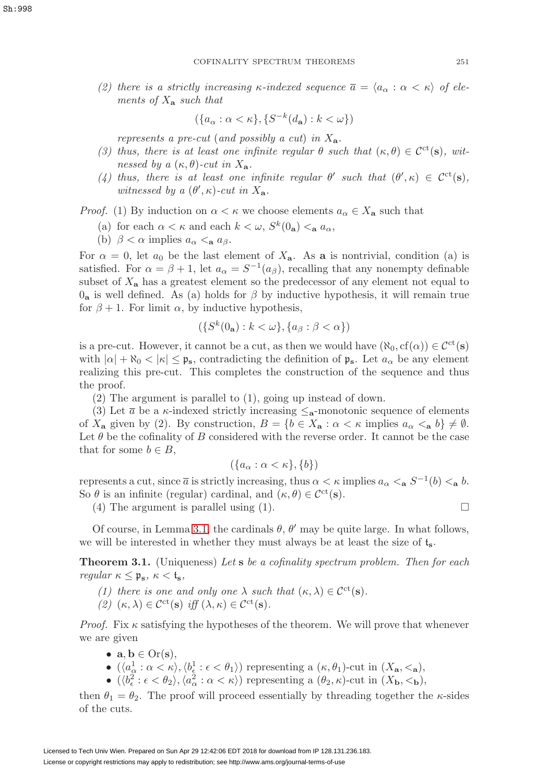(2) there is a strictly increasing  $\kappa$ -indexed sequence  $\overline{a} = \langle a_{\alpha} : \alpha < \kappa \rangle$  of elements of  $X_a$  such that

$$
(\{a_{\alpha} : \alpha < \kappa\}, \{S^{-k}(d_{\mathbf{a}}) : k < \omega\})
$$

represents a pre-cut (and possibly a cut) in X**a**.

- (3) thus, there is at least one infinite regular  $\theta$  such that  $(\kappa, \theta) \in C^{ct}(s)$ , witnessed by a  $(\kappa, \theta)$ -cut in  $X_a$ .
- (4) thus, there is at least one infinite regular  $\theta'$  such that  $(\theta', \kappa) \in C^{ct}(s)$ , witnessed by a  $(\theta', \kappa)$ -cut in  $X_a$ .

*Proof.* (1) By induction on  $\alpha < \kappa$  we choose elements  $a_{\alpha} \in X_{\mathbf{a}}$  such that

- (a) for each  $\alpha < \kappa$  and each  $k < \omega$ ,  $S^k(0_a) < a_\alpha$ ,
- (b)  $\beta < \alpha$  implies  $a_{\alpha} < a_{\beta}$ .

For  $\alpha = 0$ , let  $a_0$  be the last element of  $X_a$ . As **a** is nontrivial, condition (a) is satisfied. For  $\alpha = \beta + 1$ , let  $a_{\alpha} = S^{-1}(a_{\beta})$ , recalling that any nonempty definable subset of  $X_{\mathbf{a}}$  has a greatest element so the predecessor of any element not equal to  $0_a$  is well defined. As (a) holds for  $\beta$  by inductive hypothesis, it will remain true for  $\beta + 1$ . For limit  $\alpha$ , by inductive hypothesis,

$$
(\{S^k(0_\mathbf{a}): k < \omega\}, \{a_\beta : \beta < \alpha\})
$$

is a pre-cut. However, it cannot be a cut, as then we would have  $(\aleph_0, cf(\alpha)) \in \mathcal{C}^{ct}(s)$ with  $|\alpha| + \aleph_0 < |\kappa| \leq \mathfrak{p}_s$ , contradicting the definition of  $\mathfrak{p}_s$ . Let  $a_\alpha$  be any element realizing this pre-cut. This completes the construction of the sequence and thus the proof.

(2) The argument is parallel to (1), going up instead of down.

(3) Let  $\bar{a}$  be a  $\kappa$ -indexed strictly increasing  $\leq$ <sub>a</sub>-monotonic sequence of elements of  $X_{\mathbf{a}}$  given by (2). By construction,  $B = \{b \in X_{\mathbf{a}} : \alpha < \kappa \text{ implies } a_{\alpha} <_{\mathbf{a}} b\} \neq \emptyset$ . Let  $\theta$  be the cofinality of B considered with the reverse order. It cannot be the case that for some  $b \in B$ ,

$$
(\{a_{\alpha} : \alpha < \kappa\}, \{b\})
$$

represents a cut, since  $\overline{a}$  is strictly increasing, thus  $\alpha < \kappa$  implies  $a_{\alpha} < \kappa S^{-1}(b) < \kappa b$ . So  $\theta$  is an infinite (regular) cardinal, and  $(\kappa, \theta) \in C^{\rm ct}(s)$ .

(4) The argument is parallel using (1).  $\Box$ 

Of course, in Lemma [3.1,](#page-13-3) the cardinals  $\theta$ ,  $\theta'$  may be quite large. In what follows, we will be interested in whether they must always be at least the size of t**s**.

<span id="page-14-0"></span>**Theorem 3.1.** (Uniqueness) Let **s** be a cofinality spectrum problem. Then for each regular  $\kappa \leq \mathfrak{p}_s$ ,  $\kappa < \mathfrak{t}_s$ ,

- (1) there is one and only one  $\lambda$  such that  $(\kappa, \lambda) \in C^{ct}(s)$ .
- (2)  $(\kappa, \lambda) \in C^{\rm ct}(\mathbf{s})$  iff  $(\lambda, \kappa) \in C^{\rm ct}(\mathbf{s})$ .

*Proof.* Fix  $\kappa$  satisfying the hypotheses of the theorem. We will prove that whenever we are given

- $\mathbf{a}, \mathbf{b} \in \text{Or}(\mathbf{s}),$
- $(\langle a^1_\alpha : \alpha < \kappa \rangle, \langle b^1_\epsilon : \epsilon < \theta_1 \rangle)$  representing a  $(\kappa, \theta_1)$ -cut in  $(X_{\mathbf{a}}, <_{\mathbf{a}})$ ,
- $(\langle b_{\epsilon}^2 : \epsilon < \theta_2 \rangle, \langle a_{\alpha}^2 : \alpha < \kappa \rangle)$  representing a  $(\theta_2, \kappa)$ -cut in  $(X_{\mathbf{b}}, <_{\mathbf{b}})$ ,

then  $\theta_1 = \theta_2$ . The proof will proceed essentially by threading together the  $\kappa$ -sides of the cuts.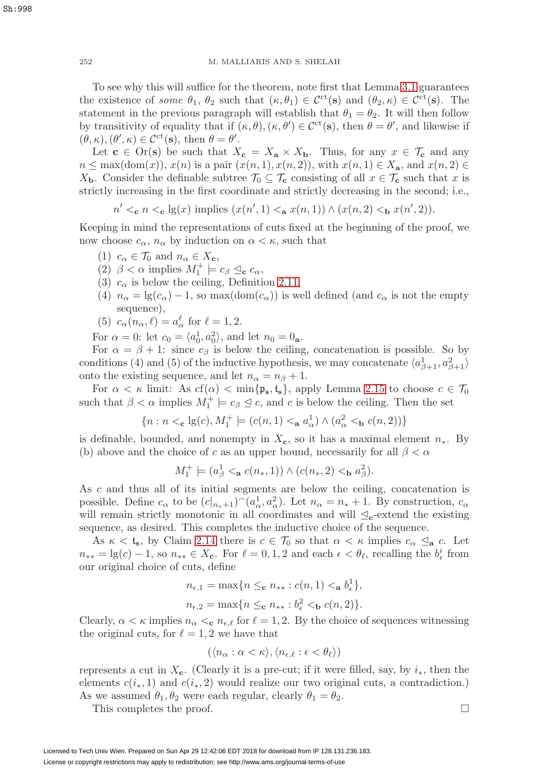252 M. MALLIARIS AND S. SHELAH

To see why this will suffice for the theorem, note first that Lemma [3.1](#page-13-3) guarantees the existence of some  $\theta_1$ ,  $\theta_2$  such that  $(\kappa, \theta_1) \in C^{\rm ct}(s)$  and  $(\theta_2, \kappa) \in C^{\rm ct}(s)$ . The statement in the previous paragraph will establish that  $\theta_1 = \theta_2$ . It will then follow by transitivity of equality that if  $(\kappa, \theta), (\kappa, \theta') \in C^{\rm ct}(s)$ , then  $\theta = \theta'$ , and likewise if  $(\theta, \kappa), (\theta', \kappa) \in C^{\rm ct}(\mathbf{s}), \text{ then } \theta = \theta'.$ 

Let **c**  $\in$  Or(**s**) be such that  $X_c = X_a \times X_b$ . Thus, for any  $x \in \mathcal{T}_c$  and any  $n \leq \max(\text{dom}(x)), x(n)$  is a pair  $(x(n, 1), x(n, 2))$ , with  $x(n, 1) \in X_a$ , and  $x(n, 2) \in$  $X_{\mathbf{b}}$ . Consider the definable subtree  $\mathcal{T}_0 \subseteq \mathcal{T}_{\mathbf{c}}$  consisting of all  $x \in \mathcal{T}_{\mathbf{c}}$  such that x is strictly increasing in the first coordinate and strictly decreasing in the second; i.e.,

 $n' <_{c} n <_{c} \lg(x)$  implies  $(x(n', 1) <_{a} x(n, 1)) \wedge (x(n, 2) <_{b} x(n', 2)).$ 

Keeping in mind the representations of cuts fixed at the beginning of the proof, we now choose  $c_{\alpha}$ ,  $n_{\alpha}$  by induction on  $\alpha < \kappa$ , such that

- (1)  $c_{\alpha} \in \mathcal{T}_0$  and  $n_{\alpha} \in X_c$ ,
- (2)  $\beta < \alpha$  implies  $M_1^+ \models c_{\beta} \leq_{\mathbf{c}} c_{\alpha}$ ,
- (3)  $c_{\alpha}$  is below the ceiling, Definition [2.11,](#page-11-2)
- (4)  $n_{\alpha} = \lg(c_{\alpha}) 1$ , so max(dom( $c_{\alpha}$ )) is well defined (and  $c_{\alpha}$  is not the empty sequence),
- (5)  $c_{\alpha}(n_{\alpha}, \ell) = a_{\alpha}^{\ell}$  for  $\ell = 1, 2$ .

For  $\alpha = 0$ : let  $c_0 = \langle a_0^1, a_0^2 \rangle$ , and let  $n_0 = 0$ <sub>a</sub>.

For  $\alpha = \beta + 1$ : since  $c_{\beta}$  is below the ceiling, concatenation is possible. So by conditions (4) and (5) of the inductive hypothesis, we may concatenate  $\langle a_{\beta+1}^1, a_{\beta+1}^2 \rangle$ onto the existing sequence, and let  $n_{\alpha} = n_{\beta} + 1$ .

For  $\alpha < \kappa$  limit: As cf( $\alpha$ )  $<$  min{ $\mathfrak{p}_s$ ,  $t_s$ }, apply Lemma [2.15](#page-13-2) to choose  $c \in \mathcal{T}_0$ such that  $\beta < \alpha$  implies  $M_1^+ \models c_{\beta} \leq c$ , and c is below the ceiling. Then the set

$$
\{n: n <_{\mathbf{c}} \lg(c), M_1^+ \models (c(n,1) <_{\mathbf{a}} a^1_\alpha) \wedge (a^2_\alpha <_{\mathbf{b}} c(n,2))\}
$$

is definable, bounded, and nonempty in  $X_c$ , so it has a maximal element  $n_*$ . By (b) above and the choice of c as an upper bound, necessarily for all  $\beta < \alpha$ 

$$
M_1^+ \models (a_\beta^1 <_{\mathbf{a}} c(n_*, 1)) \land (c(n_*, 2) <_{\mathbf{b}} a_\beta^2).
$$

As c and thus all of its initial segments are below the ceiling, concatenation is possible. Define  $c_{\alpha}$  to be  $(c|_{n_*+1})^{\frown}(a_{\alpha}^1, a_{\alpha}^2)$ . Let  $n_{\alpha} = n_* + 1$ . By construction,  $c_{\alpha}$ will remain strictly monotonic in all coordinates and will  $\leq_c$ -extend the existing sequence, as desired. This completes the inductive choice of the sequence.

As  $\kappa < t_s$ , by Claim [2.14](#page-13-4) there is  $c \in \mathcal{T}_0$  so that  $\alpha < \kappa$  implies  $c_\alpha \leq_\mathbf{a} c$ . Let  $n_{**} = \lg(c) - 1$ , so  $n_{**} \in X_c$ . For  $\ell = 0, 1, 2$  and each  $\epsilon < \theta_{\ell}$ , recalling the  $b_{\epsilon}^{i}$  from our original choice of cuts, define

$$
n_{\epsilon,1} = \max\{n \leq_{\mathbf{c}} n_{**} : c(n,1) <_{\mathbf{a}} b_{\epsilon}^1\},\,
$$
  

$$
n_{\epsilon,2} = \max\{n \leq_{\mathbf{c}} n_{**} : b_{\epsilon}^2 <_{\mathbf{b}} c(n,2)\}.
$$

Clearly,  $\alpha < \kappa$  implies  $n_{\alpha} < e$ ,  $n_{\epsilon,\ell}$  for  $\ell = 1, 2$ . By the choice of sequences witnessing the original cuts, for  $\ell = 1, 2$  we have that

$$
(\langle n_{\alpha} : \alpha < \kappa \rangle, \langle n_{\epsilon,\ell} : \epsilon < \theta_{\ell} \rangle)
$$

represents a cut in  $X_c$ . (Clearly it is a pre-cut; if it were filled, say, by  $i_*$ , then the elements  $c(i_*, 1)$  and  $c(i_*, 2)$  would realize our two original cuts, a contradiction.) As we assumed  $\theta_1, \theta_2$  were each regular, clearly  $\theta_1 = \theta_2$ .

This completes the proof.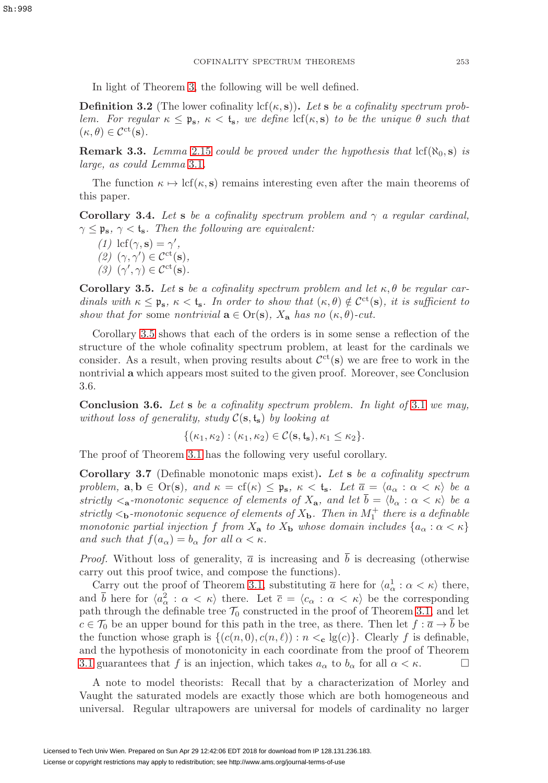In light of Theorem [3,](#page-13-1) the following will be well defined.

<span id="page-16-4"></span>**Definition 3.2** (The lower cofinality lcf( $\kappa$ , **s**)). Let **s** be a cofinality spectrum problem. For regular  $\kappa \leq \mathfrak{p}_s$ ,  $\kappa \leq t_s$ , we define  $\text{lcf}(\kappa, s)$  to be the unique  $\theta$  such that  $(\kappa, \theta) \in C^{\rm ct}(\mathbf{s}).$ 

**Remark 3.3.** Lemma [2.15](#page-13-2) could be proved under the hypothesis that  $\text{lcf}(\aleph_0, \mathbf{s})$  is large, as could Lemma [3.1](#page-13-3).

The function  $\kappa \mapsto \text{lcf}(\kappa, \mathbf{s})$  remains interesting even after the main theorems of this paper.

<span id="page-16-0"></span>**Corollary 3.4.** Let **s** be a cofinality spectrum problem and  $\gamma$  a regular cardinal,  $\gamma \leq \mathfrak{p}_s$ ,  $\gamma < t_s$ . Then the following are equivalent:

(1) 
$$
\text{lcf}(\gamma, \mathbf{s}) = \gamma',
$$
  
\n(2)  $(\gamma, \gamma') \in \mathcal{C}^{\text{ct}}(\mathbf{s}),$   
\n(3)  $(\gamma', \gamma) \in \mathcal{C}^{\text{ct}}(\mathbf{s}).$ 

<span id="page-16-1"></span>**Corollary 3.5.** Let **s** be a cofinality spectrum problem and let  $\kappa$ ,  $\theta$  be regular cardinals with  $\kappa \leq \mathfrak{p}_s$ ,  $\kappa < t_s$ . In order to show that  $(\kappa, \theta) \notin C^{\text{ct}}(s)$ , it is sufficient to show that for some nontrivial  $\mathbf{a} \in \text{Or}(\mathbf{s})$ ,  $X_{\mathbf{a}}$  has no  $(\kappa, \theta)$ -cut.

Corollary [3.5](#page-16-1) shows that each of the orders is in some sense a reflection of the structure of the whole cofinality spectrum problem, at least for the cardinals we consider. As a result, when proving results about  $\mathcal{C}^{ct}(s)$  we are free to work in the nontrivial **a** which appears most suited to the given proof. Moreover, see Conclusion 3.6.

<span id="page-16-2"></span>**Conclusion 3.6.** Let **s** be a cofinality spectrum problem. In light of [3.1](#page-14-0) we may, without loss of generality, study  $C(s, t_s)$  by looking at

$$
\{(\kappa_1,\kappa_2):(\kappa_1,\kappa_2)\in\mathcal{C}(\mathbf{s},\mathfrak{t}_\mathbf{s}),\kappa_1\leq\kappa_2\}.
$$

The proof of Theorem [3.1](#page-14-0) has the following very useful corollary.

<span id="page-16-3"></span>**Corollary 3.7** (Definable monotonic maps exist)**.** Let **s** be a cofinality spectrum problem,  $\mathbf{a}, \mathbf{b} \in \text{Or}(\mathbf{s})$ , and  $\kappa = \text{cf}(\kappa) \leq \mathfrak{p}_{\mathbf{s}}, \ \kappa < \mathfrak{t}_{\mathbf{s}}$ . Let  $\overline{a} = \langle a_{\alpha} : \alpha < \kappa \rangle$  be a strictly  $\langle \mathbf{a} \cdot \mathbf{a} \rangle$  be a strictly  $\langle \mathbf{a} \cdot \mathbf{a} \rangle$  as sequence of elements of  $X_{\mathbf{a}}$ , and let  $\overline{b} = \langle b_{\alpha} : \alpha \langle \mathbf{a} \rangle$  be a strictly  $\lt_b$ -monotonic sequence of elements of  $X_b$ . Then in  $M_1^+$  there is a definable monotonic partial injection f from  $X_a$  to  $X_b$  whose domain includes  $\{a_\alpha : \alpha < \kappa\}$ and such that  $f(a_{\alpha}) = b_{\alpha}$  for all  $\alpha < \kappa$ .

*Proof.* Without loss of generality,  $\bar{a}$  is increasing and b is decreasing (otherwise carry out this proof twice, and compose the functions).

Carry out the proof of Theorem [3.1,](#page-14-0) substituting  $\bar{a}$  here for  $\langle a_{\alpha}^1 : \alpha < \kappa \rangle$  there, and  $\bar{b}$  here for  $\langle a_{\alpha}^2 : \alpha < \kappa \rangle$  there. Let  $\bar{c} = \langle c_{\alpha} : \alpha < \kappa \rangle$  be the corresponding path through the definable tree  $\mathcal{T}_0$  constructed in the proof of Theorem [3.1,](#page-14-0) and let  $c \in \mathcal{T}_0$  be an upper bound for this path in the tree, as there. Then let  $f : \overline{a} \to \overline{b}$  be the function whose graph is  $\{(c(n, 0), c(n, \ell)) : n <_{\mathbf{c}} \lg(c)\}\)$ . Clearly f is definable, and the hypothesis of monotonicity in each coordinate from the proof of Theorem [3.1](#page-14-0) guarantees that f is an injection, which takes  $a_{\alpha}$  to  $b_{\alpha}$  for all  $\alpha < \kappa$ .

A note to model theorists: Recall that by a characterization of Morley and Vaught the saturated models are exactly those which are both homogeneous and universal. Regular ultrapowers are universal for models of cardinality no larger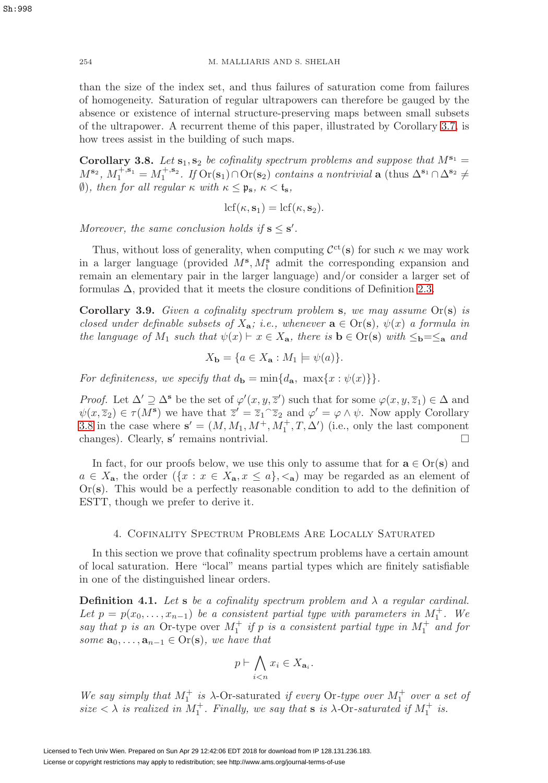than the size of the index set, and thus failures of saturation come from failures of homogeneity. Saturation of regular ultrapowers can therefore be gauged by the absence or existence of internal structure-preserving maps between small subsets of the ultrapower. A recurrent theme of this paper, illustrated by Corollary [3.7,](#page-16-3) is how trees assist in the building of such maps.

<span id="page-17-1"></span>**Corollary 3.8.** Let  $s_1, s_2$  be cofinality spectrum problems and suppose that  $M^{s_1} =$  $M^{\mathbf{s}_2}$ ,  $M_1^{+,\mathbf{s}_1} = M_1^{+,\mathbf{s}_2}$ . If  $\text{Or}(\mathbf{s}_1) \cap \text{Or}(\mathbf{s}_2)$  contains a nontrivial **a** (thus  $\Delta^{\mathbf{s}_1} \cap \Delta^{\mathbf{s}_2} \neq$ ∅), then for all regular κ with κ ≤ p**s**, κ < t**s**,

$$
lcf(\kappa, \mathbf{s}_1) = lcf(\kappa, \mathbf{s}_2).
$$

Moreover, the same conclusion holds if  $s \leq s'$ .

Thus, without loss of generality, when computing  $\mathcal{C}^{ct}(s)$  for such  $\kappa$  we may work in a larger language (provided  $M^s$ ,  $M_1^s$  admit the corresponding expansion and remain an elementary pair in the larger language) and/or consider a larger set of formulas  $\Delta$ , provided that it meets the closure conditions of Definition [2.3.](#page-8-1)

<span id="page-17-2"></span>**Corollary 3.9.** Given a cofinality spectrum problem **s**, we may assume Or(**s**) is closed under definable subsets of  $X_{a}$ ; i.e., whenever  $a \in Or(s)$ ,  $\psi(x)$  a formula in the language of  $M_1$  such that  $\psi(x) \vdash x \in X_a$ , there is  $\mathbf{b} \in \text{Or}(\mathbf{s})$  with  $\leq_{\mathbf{b}} = \leq_{\mathbf{a}}$  and

$$
X_{\mathbf{b}} = \{ a \in X_{\mathbf{a}} : M_1 \models \psi(a) \}.
$$

For definiteness, we specify that  $d_{\bf{b}} = \min\{d_{\bf{a}}, \max\{x : \psi(x)\}\}.$ 

*Proof.* Let  $\Delta' \supseteq \Delta^{\mathbf{s}}$  be the set of  $\varphi'(x, y, \overline{z}')$  such that for some  $\varphi(x, y, \overline{z}_1) \in \Delta$  and  $\psi(x,\overline{z}_2) \in \tau(M^{\mathbf{s}})$  we have that  $\overline{z}' = \overline{z}_1 \widehat{z}_2$  and  $\varphi' = \varphi \wedge \psi$ . Now apply Corollary [3.8](#page-17-1) in the case where  $\mathbf{s}' = (M, M_1, M^+, M_1^+, T, \Delta')$  (i.e., only the last component changes). Clearly,  $s'$  remains nontrivial.

In fact, for our proofs below, we use this only to assume that for  $\mathbf{a} \in \text{Or}(\mathbf{s})$  and  $a \in X_{\mathbf{a}}$ , the order  $({x : x \in X_{\mathbf{a}}, x \leq a}, \langle {\mathbf{a}} \rangle)$  may be regarded as an element of Or(**s**). This would be a perfectly reasonable condition to add to the definition of ESTT, though we prefer to derive it.

## 4. Cofinality Spectrum Problems Are Locally Saturated

<span id="page-17-0"></span>In this section we prove that cofinality spectrum problems have a certain amount of local saturation. Here "local" means partial types which are finitely satisfiable in one of the distinguished linear orders.

<span id="page-17-3"></span>**Definition 4.1.** Let **s** be a cofinality spectrum problem and  $\lambda$  a regular cardinal. Let  $p = p(x_0, \ldots, x_{n-1})$  be a consistent partial type with parameters in  $M_1^+$ . We say that p is an Or-type over  $M_1^+$  if p is a consistent partial type in  $M_1^+$  and for some  $\mathbf{a}_0, \ldots, \mathbf{a}_{n-1} \in \text{Or}(\mathbf{s})$ , we have that

$$
p \vdash \bigwedge_{i < n} x_i \in X_{\mathbf{a}_i}.
$$

We say simply that  $M_1^+$  is  $\lambda$ -Or-saturated if every Or-type over  $M_1^+$  over a set of size  $\langle \lambda \rangle$  is realized in  $M_1^+$ . Finally, we say that **s** is  $\lambda$ -Or-saturated if  $M_1^+$  is.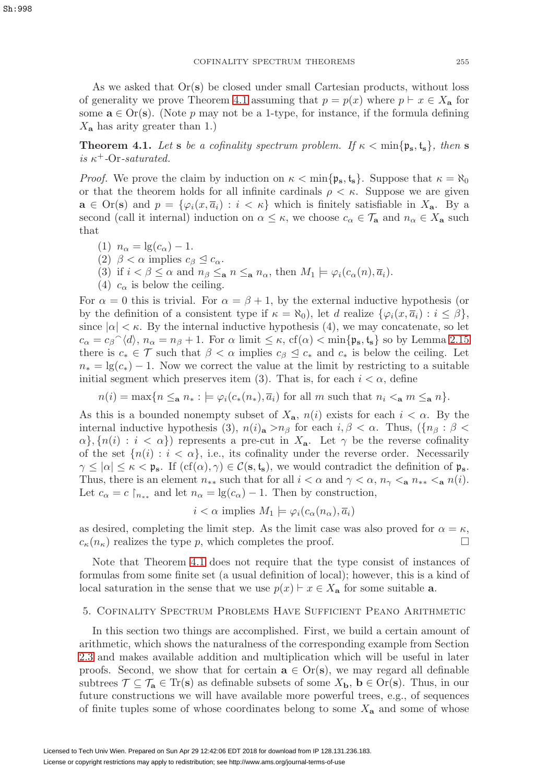As we asked that Or(**s**) be closed under small Cartesian products, without loss of generality we prove Theorem [4.1](#page-18-1) assuming that  $p = p(x)$  where  $p \vdash x \in X_{\mathbf{a}}$  for some  $\mathbf{a} \in \text{Or}(\mathbf{s})$ . (Note p may not be a 1-type, for instance, if the formula defining  $X_{\mathbf{a}}$  has arity greater than 1.)

<span id="page-18-1"></span>**Theorem 4.1.** Let **s** be a cofinality spectrum problem. If  $\kappa < \min\{\mathfrak{p}_s, \mathfrak{t}_s\}$ , then **s** is  $\kappa^+$ -Or-saturated.

*Proof.* We prove the claim by induction on  $\kappa < \min\{\mathfrak{p}_s, \mathfrak{t}_s\}$ . Suppose that  $\kappa = \aleph_0$ or that the theorem holds for all infinite cardinals  $\rho < \kappa$ . Suppose we are given  $\mathbf{a} \in \text{Or}(\mathbf{s})$  and  $p = \{\varphi_i(x, \overline{a}_i) : i < \kappa\}$  which is finitely satisfiable in  $X_{\mathbf{a}}$ . By a second (call it internal) induction on  $\alpha \leq \kappa$ , we choose  $c_{\alpha} \in \mathcal{T}_{a}$  and  $n_{\alpha} \in X_{a}$  such that

(1)  $n_{\alpha} = \lg(c_{\alpha}) - 1$ .

(2)  $\beta < \alpha$  implies  $c_{\beta} \leq c_{\alpha}$ .

- (3) if  $i < \beta \leq \alpha$  and  $n_{\beta} \leq_{\mathbf{a}} n \leq_{\mathbf{a}} n_{\alpha}$ , then  $M_1 \models \varphi_i(c_{\alpha}(n), \overline{a_i})$ .
- (4)  $c_{\alpha}$  is below the ceiling.

For  $\alpha = 0$  this is trivial. For  $\alpha = \beta + 1$ , by the external inductive hypothesis (or by the definition of a consistent type if  $\kappa = \aleph_0$ , let d realize  $\{\varphi_i(x, \overline{a}_i) : i \leq \beta\}$ , since  $|\alpha| < \kappa$ . By the internal inductive hypothesis (4), we may concatenate, so let  $c_{\alpha} = c_{\beta} \gamma \langle d \rangle$ ,  $n_{\alpha} = n_{\beta} + 1$ . For  $\alpha$  limit  $\leq \kappa$ ,  $cf(\alpha) < \min\{\mathfrak{p}_{s}, \mathfrak{t}_{s}\}\$  so by Lemma [2.15](#page-13-2) there is  $c_* \in \mathcal{T}$  such that  $\beta < \alpha$  implies  $c_{\beta} \leq c_*$  and  $c_*$  is below the ceiling. Let  $n_* = \lg(c_*) - 1$ . Now we correct the value at the limit by restricting to a suitable initial segment which preserves item (3). That is, for each  $i < \alpha$ , define

 $n(i) = \max\{n \leq_{\mathbf{a}} n_* : \models \varphi_i(c_*(n_*), \overline{a}_i) \text{ for all } m \text{ such that } n_i <_{\mathbf{a}} m \leq_{\mathbf{a}} n\}.$ 

As this is a bounded nonempty subset of  $X_{a}$ ,  $n(i)$  exists for each  $i < \alpha$ . By the internal inductive hypothesis (3),  $n(i)$ **a** > $n_\beta$  for each  $i, \beta < \alpha$ . Thus,  $({n_\beta : \beta <$  $\{\alpha\}, \{n(i): i < \alpha\}$  represents a pre-cut in  $X_a$ . Let  $\gamma$  be the reverse cofinality of the set  $\{n(i): i < \alpha\}$ , i.e., its cofinality under the reverse order. Necessarily  $\gamma \leq |\alpha| \leq \kappa < \mathfrak{p}_{\mathbf{s}}$ . If  $(cf(\alpha), \gamma) \in \mathcal{C}(\mathbf{s}, \mathbf{t}_{\mathbf{s}})$ , we would contradict the definition of  $\mathfrak{p}_{\mathbf{s}}$ . Thus, there is an element  $n_{**}$  such that for all  $i < \alpha$  and  $\gamma < \alpha$ ,  $n_{\gamma} < a$ ,  $n_{**} < a$ ,  $n(i)$ . Let  $c_{\alpha} = c \nvert_{n_{**}}$  and let  $n_{\alpha} = \lg(c_{\alpha}) - 1$ . Then by construction,

$$
i < \alpha \text{ implies } M_1 \models \varphi_i(c_\alpha(n_\alpha), \overline{a}_i)
$$

as desired, completing the limit step. As the limit case was also proved for  $\alpha = \kappa$ ,  $c_{\kappa}(n_{\kappa})$  realizes the type p, which completes the proof.

Note that Theorem [4.1](#page-18-1) does not require that the type consist of instances of formulas from some finite set (a usual definition of local); however, this is a kind of local saturation in the sense that we use  $p(x) \vdash x \in X_a$  for some suitable **a**.

#### <span id="page-18-0"></span>5. Cofinality Spectrum Problems Have Sufficient Peano Arithmetic

In this section two things are accomplished. First, we build a certain amount of arithmetic, which shows the naturalness of the corresponding example from Section [2.3](#page-12-0) and makes available addition and multiplication which will be useful in later proofs. Second, we show that for certain  $\mathbf{a} \in \text{Or}(\mathbf{s})$ , we may regard all definable subtrees  $\mathcal{T} \subseteq \mathcal{T}_a \in \text{Tr}(s)$  as definable subsets of some  $X_b$ ,  $b \in \text{Or}(s)$ . Thus, in our future constructions we will have available more powerful trees, e.g., of sequences of finite tuples some of whose coordinates belong to some  $X_a$  and some of whose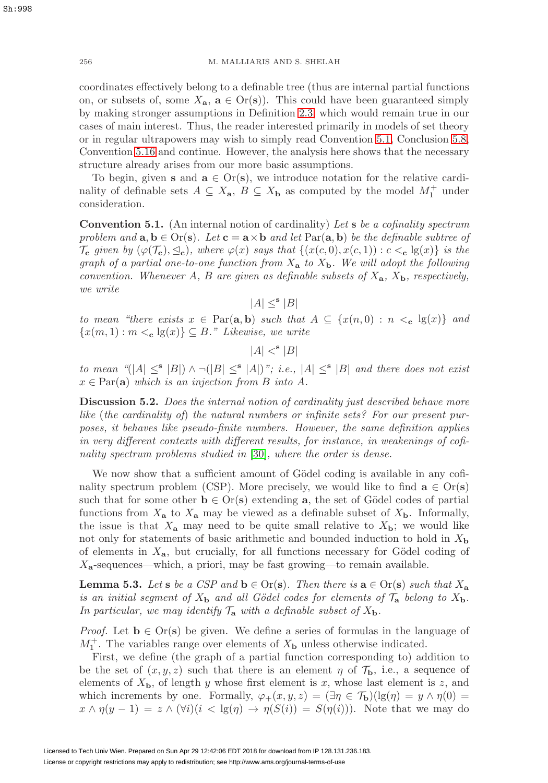coordinates effectively belong to a definable tree (thus are internal partial functions on, or subsets of, some  $X_a$ ,  $a \in Or(s)$ ). This could have been guaranteed simply by making stronger assumptions in Definition [2.3,](#page-8-1) which would remain true in our cases of main interest. Thus, the reader interested primarily in models of set theory or in regular ultrapowers may wish to simply read Convention [5.1,](#page-19-0) Conclusion [5.8,](#page-21-0) Convention [5.16](#page-23-1) and continue. However, the analysis here shows that the necessary structure already arises from our more basic assumptions.

To begin, given **s** and  $\mathbf{a} \in \text{Or}(\mathbf{s})$ , we introduce notation for the relative cardinality of definable sets  $A \subseteq X_{a}$ ,  $B \subseteq X_{b}$  as computed by the model  $M_{1}^{+}$  under consideration.

<span id="page-19-0"></span>**Convention 5.1.** (An internal notion of cardinality) Let **s** be a cofinality spectrum problem and  $\mathbf{a}, \mathbf{b} \in \text{Or}(\mathbf{s})$ . Let  $\mathbf{c} = \mathbf{a} \times \mathbf{b}$  and let  $\text{Par}(\mathbf{a}, \mathbf{b})$  be the definable subtree of  $\mathcal{T}_{\mathbf{c}}$  given by  $(\varphi(\mathcal{T}_{\mathbf{c}}), \leq_{\mathbf{c}})$ , where  $\varphi(x)$  says that  $\{(x(c, 0), x(c, 1)) : c <_{\mathbf{c}} \lg(x)\}\)$  is the graph of a partial one-to-one function from  $X_a$  to  $X_b$ . We will adopt the following convention. Whenever A, B are given as definable subsets of  $X_a$ ,  $X_b$ , respectively, we write

 $|A| <^{\mathbf{s}} |B|$ 

to mean "there exists  $x \in \text{Par}(\mathbf{a}, \mathbf{b})$  such that  $A \subseteq \{x(n, 0) : n \leq_{\mathbf{c}} \lg(x)\}\$  and  ${x(m, 1) : m <_{\mathbf{c}} \lg(x)} \subseteq B$ ." Likewise, we write

 $|A| <^{\mathbf{s}} |B|$ 

to mean " $(|A| \leq |B|) \wedge \neg (|B| \leq |A|)$ "; i.e.,  $|A| \leq |B|$  and there does not exist  $x \in \text{Par}(\mathbf{a})$  which is an injection from B into A.

**Discussion 5.2.** Does the internal notion of cardinality just described behave more like (the cardinality of) the natural numbers or infinite sets? For our present purposes, it behaves like pseudo-finite numbers. However, the same definition applies in very different contexts with different results, for instance, in weakenings of cofinality spectrum problems studied in [\[30\]](#page-59-12), where the order is dense.

We now show that a sufficient amount of Gödel coding is available in any cofinality spectrum problem (CSP). More precisely, we would like to find  $\mathbf{a} \in \text{Or}(\mathbf{s})$ such that for some other  $\mathbf{b} \in \text{Or}(\mathbf{s})$  extending **a**, the set of Gödel codes of partial functions from  $X_a$  to  $X_a$  may be viewed as a definable subset of  $X_b$ . Informally, the issue is that  $X_a$  may need to be quite small relative to  $X_b$ ; we would like not only for statements of basic arithmetic and bounded induction to hold in X**<sup>b</sup>** of elements in  $X_{a}$ , but crucially, for all functions necessary for Gödel coding of  $X_{a}$ -sequences—which, a priori, may be fast growing—to remain available.

<span id="page-19-1"></span>**Lemma 5.3.** Let **s** be a CSP and **b**  $\in$  Or(**s**). Then there is  $\mathbf{a} \in$  Or(**s**) such that  $X_{\mathbf{a}}$ is an initial segment of  $X<sub>b</sub>$  and all Gödel codes for elements of  $\mathcal{T}<sub>a</sub>$  belong to  $X<sub>b</sub>$ . In particular, we may identify  $\mathcal{T}_a$  with a definable subset of  $X_b$ .

*Proof.* Let  $\mathbf{b} \in \text{Or}(\mathbf{s})$  be given. We define a series of formulas in the language of  $M_1^+$ . The variables range over elements of  $X_{\bf{b}}$  unless otherwise indicated.

First, we define (the graph of a partial function corresponding to) addition to be the set of  $(x, y, z)$  such that there is an element  $\eta$  of  $\mathcal{T}_{\mathbf{b}}$ , i.e., a sequence of elements of  $X_{\mathbf{b}}$ , of length y whose first element is x, whose last element is z, and which increments by one. Formally,  $\varphi_+(x,y,z)=(\exists \eta \in \mathcal{T}_\mathbf{b})(\lg(\eta) = y \wedge \eta(0) =$  $x \wedge \eta(y-1) = z \wedge (\forall i)(i < \lg(\eta) \rightarrow \eta(S(i))) = S(\eta(i)))$ . Note that we may do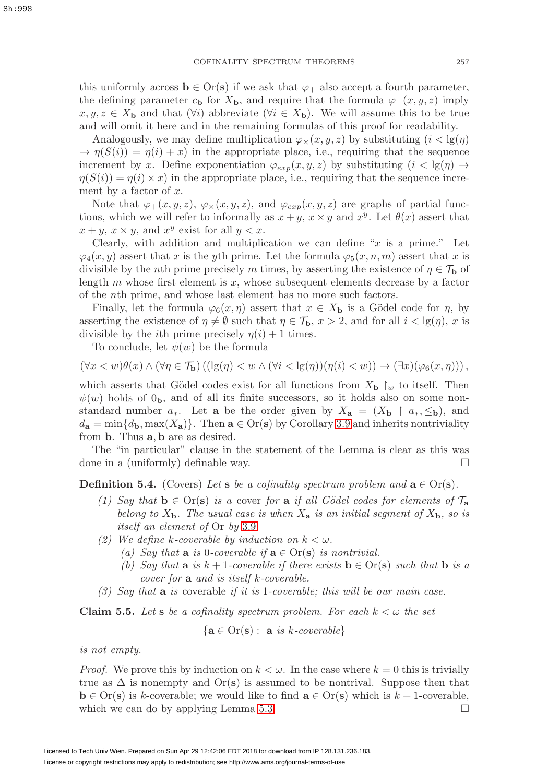this uniformly across  $\mathbf{b} \in \text{Or}(\mathbf{s})$  if we ask that  $\varphi_+$  also accept a fourth parameter, the defining parameter  $c_{\bf b}$  for  $X_{\bf b}$ , and require that the formula  $\varphi_+(x, y, z)$  imply  $x, y, z \in X_{\mathbf{b}}$  and that  $(\forall i)$  abbreviate  $(\forall i \in X_{\mathbf{b}})$ . We will assume this to be true and will omit it here and in the remaining formulas of this proof for readability.

Analogously, we may define multiplication  $\varphi_{\times}(x, y, z)$  by substituting  $(i < \text{lg}(\eta))$  $\rightarrow \eta(S(i)) = \eta(i) + x$  in the appropriate place, i.e., requiring that the sequence increment by x. Define exponentiation  $\varphi_{exp}(x, y, z)$  by substituting  $(i < \text{lg}(\eta) \rightarrow$  $\eta(S(i)) = \eta(i) \times x$ ) in the appropriate place, i.e., requiring that the sequence increment by a factor of  $x$ .

Note that  $\varphi_+(x, y, z), \varphi_*(x, y, z),$  and  $\varphi_{exp}(x, y, z)$  are graphs of partial functions, which we will refer to informally as  $x + y$ ,  $x \times y$  and  $x^y$ . Let  $\theta(x)$  assert that  $x + y$ ,  $x \times y$ , and  $x^y$  exist for all  $y < x$ .

Clearly, with addition and multiplication we can define " $x$  is a prime." Let  $\varphi_4(x, y)$  assert that x is the yth prime. Let the formula  $\varphi_5(x, n, m)$  assert that x is divisible by the *n*th prime precisely m times, by asserting the existence of  $\eta \in \mathcal{T}_{\mathbf{b}}$  of length  $m$  whose first element is  $x$ , whose subsequent elements decrease by a factor of the nth prime, and whose last element has no more such factors.

Finally, let the formula  $\varphi_6(x, \eta)$  assert that  $x \in X_b$  is a Gödel code for  $\eta$ , by asserting the existence of  $\eta \neq \emptyset$  such that  $\eta \in \mathcal{T}_{\mathbf{b}}$ ,  $x > 2$ , and for all  $i < \lg(\eta)$ , x is divisible by the *i*th prime precisely  $\eta(i) + 1$  times.

To conclude, let  $\psi(w)$  be the formula

$$
(\forall x < w)\theta(x) \land (\forall \eta \in \mathcal{T}_{\mathbf{b}})\left((\lg(\eta) < w \land (\forall i < \lg(\eta))(\eta(i) < w)\right) \to (\exists x)(\varphi_6(x, \eta))\right),
$$

which asserts that Gödel codes exist for all functions from  $X_{\mathbf{b}} \upharpoonright_{w}$  to itself. Then  $\psi(w)$  holds of  $0<sub>b</sub>$ , and of all its finite successors, so it holds also on some nonstandard number  $a_*$ . Let **a** be the order given by  $X_a = (X_b \rvert a_*, \leq_b)$ , and  $d_{\mathbf{a}} = \min\{d_{\mathbf{b}}, \max(X_{\mathbf{a}})\}\.$  Then  $\mathbf{a} \in \text{Or}(\mathbf{s})$  by Corollary [3.9](#page-17-2) and inherits nontriviality from **b**. Thus **a**, **b** are as desired.

The "in particular" clause in the statement of the Lemma is clear as this was done in a (uniformly) definable way.

**Definition 5.4.** (Covers) Let **s** be a cofinality spectrum problem and  $\mathbf{a} \in \text{Or}(\mathbf{s})$ .

- (1) Say that  $\mathbf{b} \in \text{Or}(\mathbf{s})$  is a cover for **a** if all Gödel codes for elements of  $\mathcal{T}_{\mathbf{a}}$ belong to  $X_{\bf b}$ . The usual case is when  $X_{\bf a}$  is an initial segment of  $X_{\bf b}$ , so is itself an element of Or by [3.9](#page-17-2).
- (2) We define k-coverable by induction on  $k < \omega$ .
	- (a) Say that **a** is 0-coverable if  $\mathbf{a} \in \text{Or}(\mathbf{s})$  is nontrivial.
	- (b) Say that **a** is  $k + 1$ -coverable if there exists  $\mathbf{b} \in \text{Or}(\mathbf{s})$  such that  $\mathbf{b}$  is a cover for **a** and is itself k-coverable.
- (3) Say that **a** is coverable if it is 1-coverable; this will be our main case.

<span id="page-20-0"></span>**Claim 5.5.** Let **s** be a cofinality spectrum problem. For each  $k < \omega$  the set

$$
\{ \mathbf{a} \in \text{Or}(\mathbf{s}) : \ \mathbf{a} \ \text{is } k\text{-}coverable \}
$$

is not empty.

*Proof.* We prove this by induction on  $k < \omega$ . In the case where  $k = 0$  this is trivially true as  $\Delta$  is nonempty and  $\text{Or}(\mathbf{s})$  is assumed to be nontrival. Suppose then that **b** ∈ Or(**s**) is k-coverable; we would like to find  $\mathbf{a} \in \text{Or}(\mathbf{s})$  which is  $k + 1$ -coverable, which we can do by applying Lemma [5.3.](#page-19-1)  $\square$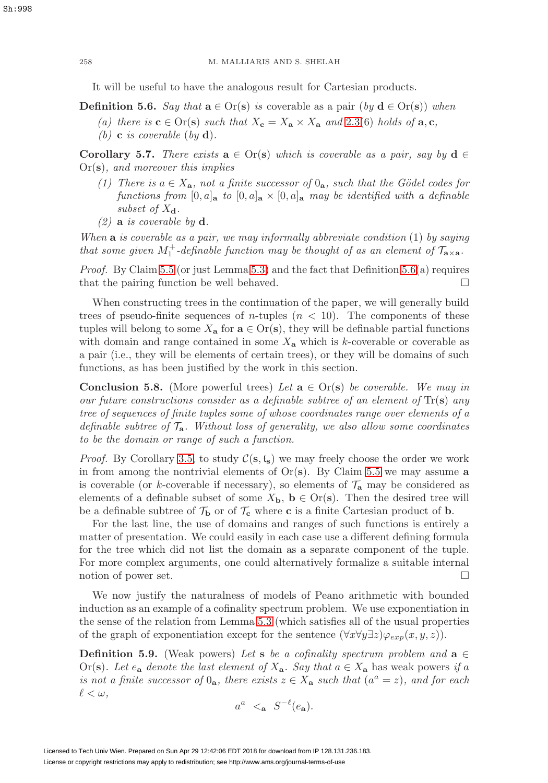It will be useful to have the analogous result for Cartesian products.

<span id="page-21-1"></span>**Definition 5.6.** Say that  $\mathbf{a} \in \text{Or}(\mathbf{s})$  is coverable as a pair  $(by \mathbf{d} \in \text{Or}(\mathbf{s}))$  when

- (a) there is  $\mathbf{c} \in \text{Or}(\mathbf{s})$  such that  $X_{\mathbf{c}} = X_{\mathbf{a}} \times X_{\mathbf{a}}$  and [2.3\(](#page-8-1)6) holds of  $\mathbf{a}, \mathbf{c}$ ,
- (b) **c** is coverable (by **d**).

<span id="page-21-3"></span>**Corollary 5.7.** There exists  $\mathbf{a} \in \text{Or}(\mathbf{s})$  which is coverable as a pair, say by  $\mathbf{d} \in$ Or(**s**), and moreover this implies

- (1) There is  $a \in X_a$ , not a finite successor of  $0_a$ , such that the Gödel codes for functions from  $[0, a]_a$  to  $[0, a]_a \times [0, a]_a$  may be identified with a definable subset of  $X_{d}$ .
- (2) **a** is coverable by **d**.

When **a** is coverable as a pair, we may informally abbreviate condition (1) by saying that some given  $M_1^+$ -definable function may be thought of as an element of  $\mathcal{T}_{\mathbf{a}\times\mathbf{a}}$ .

*Proof.* By Claim [5.5](#page-20-0) (or just Lemma [5.3\)](#page-19-1) and the fact that Definition  $5.6(a)$  requires that the pairing function be well behaved.  $\square$ 

When constructing trees in the continuation of the paper, we will generally build trees of pseudo-finite sequences of *n*-tuples  $(n < 10)$ . The components of these tuples will belong to some  $X_a$  for  $a \in Or(s)$ , they will be definable partial functions with domain and range contained in some  $X_{\mathbf{a}}$  which is k-coverable or coverable as a pair (i.e., they will be elements of certain trees), or they will be domains of such functions, as has been justified by the work in this section.

<span id="page-21-0"></span>**Conclusion 5.8.** (More powerful trees) Let  $\mathbf{a} \in \text{Or}(\mathbf{s})$  be coverable. We may in our future constructions consider as a definable subtree of an element of Tr(**s**) any tree of sequences of finite tuples some of whose coordinates range over elements of a definable subtree of  $\mathcal{T}_a$ . Without loss of generality, we also allow some coordinates to be the domain or range of such a function.

*Proof.* By Corollary [3.5,](#page-16-1) to study  $C(s, t_s)$  we may freely choose the order we work in from among the nontrivial elements of  $Or(s)$ . By Claim [5.5](#page-20-0) we may assume **a** is coverable (or k-coverable if necessary), so elements of  $\mathcal{T}_a$  may be considered as elements of a definable subset of some  $X_{\mathbf{b}}$ ,  $\mathbf{b} \in \text{Or}(\mathbf{s})$ . Then the desired tree will be a definable subtree of  $\mathcal{T}_{\mathbf{b}}$  or of  $\mathcal{T}_{\mathbf{c}}$  where **c** is a finite Cartesian product of **b**.

For the last line, the use of domains and ranges of such functions is entirely a matter of presentation. We could easily in each case use a different defining formula for the tree which did not list the domain as a separate component of the tuple. For more complex arguments, one could alternatively formalize a suitable internal notion of power set.  $\Box$ 

We now justify the naturalness of models of Peano arithmetic with bounded induction as an example of a cofinality spectrum problem. We use exponentiation in the sense of the relation from Lemma [5.3](#page-19-1) (which satisfies all of the usual properties of the graph of exponentiation except for the sentence  $(\forall x \forall y \exists z) \varphi_{exp}(x, y, z)$ .

<span id="page-21-2"></span>**Definition 5.9.** (Weak powers) Let **s** be a cofinality spectrum problem and  $\mathbf{a} \in \mathbb{R}$ Or(s). Let  $e_a$  denote the last element of  $X_a$ . Say that  $a \in X_a$  has weak powers if a is not a finite successor of  $0_{a}$ , there exists  $z \in X_{a}$  such that  $(a^{a} = z)$ , and for each  $\ell<\omega,$ 

$$
a^a \leq_{\mathbf{a}} S^{-\ell}(e_{\mathbf{a}}).
$$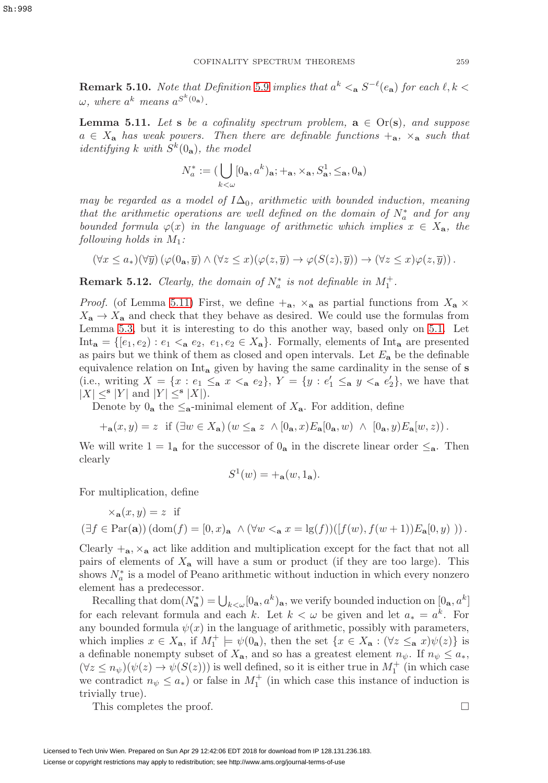**Remark 5.10.** Note that Definition [5.9](#page-21-2) implies that  $a^k <sub>a</sub> S^{-\ell}(e_a)$  for each  $\ell, k <$  $\omega$ , where  $a^k$  means  $a^{S^k(0_a)}$ .

<span id="page-22-0"></span>**Lemma 5.11.** Let **s** be a cofinality spectrum problem,  $\mathbf{a} \in \text{Or}(\mathbf{s})$ , and suppose  $a \in X_a$  has weak powers. Then there are definable functions  $+_{a}$ ,  $\times_{a}$  such that identifying k with  $S^k(0_a)$ , the model

$$
N^*_a := (\bigcup_{k < \omega} [0_{\mathbf{a}}, a^k)_{\mathbf{a}}; +_{\mathbf{a}}, \times_{\mathbf{a}}, S^1_{\mathbf{a}}, \leq_{\mathbf{a}}, 0_{\mathbf{a}})
$$

may be regarded as a model of  $I\Delta_0$ , arithmetic with bounded induction, meaning that the arithmetic operations are well defined on the domain of  $N_a^*$  and for any bounded formula  $\varphi(x)$  in the language of arithmetic which implies  $x \in X_{a}$ , the following holds in  $M_1$ :

$$
(\forall x \leq a_*)(\forall \overline{y}) (\varphi(0_*, \overline{y}) \land (\forall z \leq x) (\varphi(z, \overline{y}) \to \varphi(S(z), \overline{y})) \to (\forall z \leq x) \varphi(z, \overline{y})).
$$

**Remark 5.12.** Clearly, the domain of  $N_a^*$  is not definable in  $M_1^+$ .

*Proof.* (of Lemma [5.11\)](#page-22-0) First, we define  $+_{a}$ ,  $\times_{a}$  as partial functions from  $X_{a} \times$  $X_{\mathbf{a}} \to X_{\mathbf{a}}$  and check that they behave as desired. We could use the formulas from Lemma [5.3,](#page-19-1) but it is interesting to do this another way, based only on [5.1.](#page-19-0) Let Int<sub>a</sub> = { $[e_1, e_2)$  :  $e_1 <sub>a</sub> e_2, e_1, e_2 \in X_a$ }. Formally, elements of Int<sub>a</sub> are presented as pairs but we think of them as closed and open intervals. Let  $E_a$  be the definable equivalence relation on Int**<sup>a</sup>** given by having the same cardinality in the sense of **s** (i.e., writing  $X = \{x : e_1 \leq_a x \leq_a e_2\}$ ,  $Y = \{y : e'_1 \leq_a y \leq_a e'_2\}$ , we have that  $|X| \leq^{\mathbf{s}} |Y|$  and  $|Y| \leq^{\mathbf{s}} |X|$ ).

Denote by  $0_a$  the  $\leq_a$ -minimal element of  $X_a$ . For addition, define

$$
+_{\mathbf{a}}(x,y) = z \text{ if } (\exists w \in X_{\mathbf{a}}) (w \leq_{\mathbf{a}} z \wedge [0_{\mathbf{a}}, x) E_{\mathbf{a}}[0_{\mathbf{a}}, w) \wedge [0_{\mathbf{a}}, y) E_{\mathbf{a}}[w, z)).
$$

We will write  $1 = 1_a$  for the successor of  $0_a$  in the discrete linear order  $\leq_a$ . Then clearly

$$
S^1(w) = +_{\mathbf{a}}(w, 1_{\mathbf{a}}).
$$

For multiplication, define

$$
\times_{\mathbf{a}}(x,y) = z \text{ if }
$$
  

$$
(\exists f \in \text{Par}(\mathbf{a})) (\text{dom}(f) = [0,x)_{\mathbf{a}} \land (\forall w <_{\mathbf{a}} x = \lg(f))([f(w), f(w+1))E_{\mathbf{a}}[0, y)) ).
$$

Clearly  $+_{a}$ ,  $\times_{a}$  act like addition and multiplication except for the fact that not all pairs of elements of X**<sup>a</sup>** will have a sum or product (if they are too large). This shows  $N_a^*$  is a model of Peano arithmetic without induction in which every nonzero element has a predecessor.

Recalling that  $dom(N_a^*) = \bigcup_{k \lt \omega} [0_a, a^k)_a$ , we verify bounded induction on  $[0_a, a^k]$ for each relevant formula and each k. Let  $k < \omega$  be given and let  $a_* = a^k$ . For any bounded formula  $\psi(x)$  in the language of arithmetic, possibly with parameters, which implies  $x \in X_{\mathbf{a}}$ , if  $M_1^+ \models \psi(\mathbf{0}_{\mathbf{a}})$ , then the set  $\{x \in X_{\mathbf{a}} : (\forall z \leq_{\mathbf{a}} x)\psi(z)\}\$ is a definable nonempty subset of  $X_{a}$ , and so has a greatest element  $n_{\psi}$ . If  $n_{\psi} \leq a_{*}$ ,  $(\forall z \leq n_{\psi})(\psi(z) \to \psi(S(z)))$  is well defined, so it is either true in  $M_1^+$  (in which case we contradict  $n_{\psi} \leq a_{*}$ ) or false in  $M_{1}^{+}$  (in which case this instance of induction is trivially true).

This completes the proof.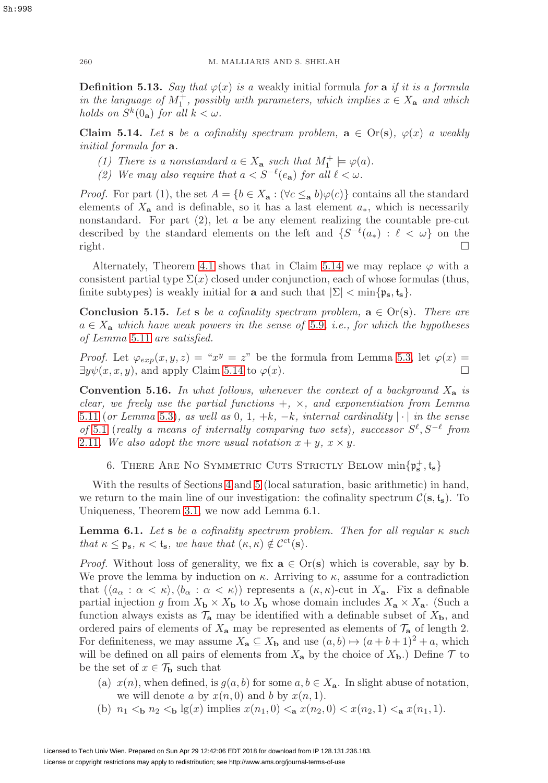**Definition 5.13.** Say that  $\varphi(x)$  is a weakly initial formula for **a** if it is a formula in the language of  $M_1^+$ , possibly with parameters, which implies  $x \in X_a$  and which holds on  $S^k(0_a)$  for all  $k < \omega$ .

<span id="page-23-2"></span>**Claim 5.14.** Let **s** be a cofinality spectrum problem,  $\mathbf{a} \in \text{Or}(\mathbf{s})$ ,  $\varphi(x)$  a weakly initial formula for **a**.

- (1) There is a nonstandard  $a \in X_a$  such that  $M_1^+ \models \varphi(a)$ .
- (2) We may also require that  $a < S^{-\ell}(e_{\bf a})$  for all  $\ell < \omega$ .

*Proof.* For part (1), the set  $A = \{b \in X_a : (\forall c \leq_a b) \varphi(c)\}\)$  contains all the standard elements of  $X_a$  and is definable, so it has a last element  $a_*$ , which is necessarily nonstandard. For part  $(2)$ , let a be any element realizing the countable pre-cut described by the standard elements on the left and  $\{S^{-\ell}(a_*) : \ell < \omega\}$  on the  $\Box$  right.

Alternately, Theorem [4.1](#page-18-1) shows that in Claim [5.14](#page-23-2) we may replace  $\varphi$  with a consistent partial type  $\Sigma(x)$  closed under conjunction, each of whose formulas (thus, finite subtypes) is weakly initial for **a** and such that  $|\Sigma| < \min\{p_s, t_s\}$ .

**Conclusion 5.15.** Let **s** be a cofinality spectrum problem,  $\mathbf{a} \in \text{Or}(\mathbf{s})$ . There are  $a \in X_a$  which have weak powers in the sense of [5.9](#page-21-2), i.e., for which the hypotheses of Lemma [5.11](#page-22-0) are satisfied.

*Proof.* Let  $\varphi_{exp}(x, y, z) = "x^y = z$ " be the formula from Lemma [5.3,](#page-19-1) let  $\varphi(x) =$  $\exists y \psi(x, x, y)$ , and apply Claim [5.14](#page-23-2) to  $\varphi(x)$ .

<span id="page-23-1"></span>**Convention 5.16.** In what follows, whenever the context of a background  $X_a$  is clear, we freely use the partial functions  $+$ ,  $\times$ , and exponentiation from Lemma [5.11](#page-22-0) (or Lemma [5.3\)](#page-19-1), as well as 0, 1,  $+k$ ,  $-k$ , internal cardinality  $|\cdot|$  in the sense of [5.1](#page-19-0) (really a means of internally comparing two sets), successor  $S^{\ell}, S^{-\ell}$  from [2.11](#page-11-2). We also adopt the more usual notation  $x + y$ ,  $x \times y$ .

<span id="page-23-0"></span>6. THERE ARE NO SYMMETRIC CUTS STRICTLY BELOW  $\min\{\mathfrak{p}_s^+, \mathfrak{t}_s\}$ 

With the results of Sections [4](#page-17-0) and [5](#page-18-0) (local saturation, basic arithmetic) in hand, we return to the main line of our investigation: the cofinality spectrum  $\mathcal{C}(\mathbf{s}, \mathbf{t}_s)$ . To Uniqueness, Theorem [3.1,](#page-14-0) we now add Lemma 6.1.

<span id="page-23-3"></span>**Lemma 6.1.** Let **s** be a cofinality spectrum problem. Then for all regular  $\kappa$  such that  $\kappa \leq \mathfrak{p}_s$ ,  $\kappa < t_s$ , we have that  $(\kappa, \kappa) \notin C^{ct}(s)$ .

*Proof.* Without loss of generality, we fix  $\mathbf{a} \in \text{Or}(\mathbf{s})$  which is coverable, say by **b**. We prove the lemma by induction on  $\kappa$ . Arriving to  $\kappa$ , assume for a contradiction that  $(\langle a_{\alpha} : \alpha < \kappa \rangle, \langle b_{\alpha} : \alpha < \kappa \rangle)$  represents a  $(\kappa, \kappa)$ -cut in  $X_a$ . Fix a definable partial injection g from  $X_{\mathbf{b}} \times X_{\mathbf{b}}$  to  $X_{\mathbf{b}}$  whose domain includes  $X_{\mathbf{a}} \times X_{\mathbf{a}}$ . (Such a function always exists as  $\mathcal{T}_a$  may be identified with a definable subset of  $X_b$ , and ordered pairs of elements of  $X_a$  may be represented as elements of  $\mathcal{T}_a$  of length 2. For definiteness, we may assume  $X_{\mathbf{a}} \subseteq X_{\mathbf{b}}$  and use  $(a, b) \mapsto (a+b+1)^2 + a$ , which will be defined on all pairs of elements from  $X_{a}$  by the choice of  $X_{b}$ .) Define  $\mathcal{T}$  to be the set of  $x \in \mathcal{T}_{\mathbf{b}}$  such that

- (a)  $x(n)$ , when defined, is  $g(a, b)$  for some  $a, b \in X_a$ . In slight abuse of notation, we will denote a by  $x(n, 0)$  and b by  $x(n, 1)$ .
- (b)  $n_1 < b, n_2 < b$  lg(x) implies  $x(n_1, 0) < a, x(n_2, 0) < x(n_2, 1) < a, x(n_1, 1)$ .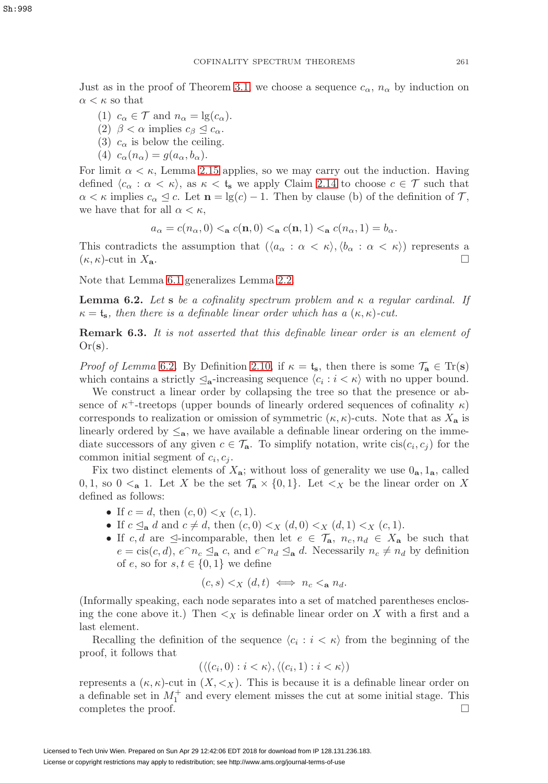Just as in the proof of Theorem [3.1,](#page-14-0) we choose a sequence  $c_{\alpha}$ ,  $n_{\alpha}$  by induction on  $\alpha < \kappa$  so that

- (1)  $c_{\alpha} \in \mathcal{T}$  and  $n_{\alpha} = \lg(c_{\alpha})$ .
- (2)  $\beta < \alpha$  implies  $c_{\beta} \leq c_{\alpha}$ .
- (3)  $c_{\alpha}$  is below the ceiling.
- (4)  $c_{\alpha}(n_{\alpha}) = g(a_{\alpha}, b_{\alpha}).$

For limit  $\alpha < \kappa$ , Lemma [2.15](#page-13-2) applies, so we may carry out the induction. Having defined  $\langle c_{\alpha} : \alpha < \kappa \rangle$ , as  $\kappa < t_{s}$  we apply Claim [2.14](#page-13-4) to choose  $c \in \mathcal{T}$  such that  $\alpha < \kappa$  implies  $c_{\alpha} \leq c$ . Let  $\mathbf{n} = \lg(c) - 1$ . Then by clause (b) of the definition of  $\mathcal{T}$ , we have that for all  $\alpha < \kappa$ ,

$$
a_{\alpha} = c(n_{\alpha}, 0) <_{\mathbf{a}} c(n, 0) <_{\mathbf{a}} c(n, 1) <_{\mathbf{a}} c(n_{\alpha}, 1) = b_{\alpha}.
$$

This contradicts the assumption that  $(\langle a_{\alpha} : \alpha < \kappa \rangle, \langle b_{\alpha} : \alpha < \kappa \rangle)$  represents a  $(\kappa, \kappa)$ -cut in  $X_{\mathbf{a}}$ .

Note that Lemma [6.1](#page-23-3) generalizes Lemma [2.2.](#page-6-3)

<span id="page-24-0"></span>**Lemma 6.2.** Let **s** be a cofinality spectrum problem and  $\kappa$  a regular cardinal. If  $\kappa = t_s$ , then there is a definable linear order which has a  $(\kappa, \kappa)$ -cut.

**Remark 6.3.** It is not asserted that this definable linear order is an element of Or(**s**).

*Proof of Lemma* [6.2](#page-24-0). By Definition [2.10,](#page-11-3) if  $\kappa = \mathfrak{t}_s$ , then there is some  $\mathcal{T}_a \in \text{Tr}(s)$ which contains a strictly  $\mathcal{L}_{a}$ -increasing sequence  $\langle c_i : i \langle \kappa \rangle$  with no upper bound.

We construct a linear order by collapsing the tree so that the presence or absence of  $\kappa^+$ -treetops (upper bounds of linearly ordered sequences of cofinality  $\kappa$ ) corresponds to realization or omission of symmetric  $(\kappa, \kappa)$ -cuts. Note that as  $X_a$  is linearly ordered by  $\leq_a$ , we have available a definable linear ordering on the immediate successors of any given  $c \in \mathcal{T}_{a}$ . To simplify notation, write  $\operatorname{cis}(c_i, c_j)$  for the common initial segment of  $c_i, c_j$ .

Fix two distinct elements of  $X_{a}$ ; without loss of generality we use  $0_{a}$ ,  $1_{a}$ , called 0, 1, so  $0 \leq_a 1$ . Let X be the set  $\mathcal{T}_a \times \{0,1\}$ . Let  $\leq_X$  be the linear order on X defined as follows:

- If  $c = d$ , then  $(c, 0) < x$   $(c, 1)$ .
- If  $c \leq_{\mathbf{a}} d$  and  $c \neq d$ , then  $(c, 0) \leq_{X} (d, 0) \leq_{X} (d, 1) \leq_{X} (c, 1)$ .
- If c, d are  $\leq$ -incomparable, then let  $e \in \mathcal{T}_a$ ,  $n_c, n_d \in X_a$  be such that  $e = \operatorname{cis}(c, d)$ ,  $e^{\wedge} n_c \leq_{\mathbf{a}} c$ , and  $e^{\wedge} n_d \leq_{\mathbf{a}} d$ . Necessarily  $n_c \neq n_d$  by definition of e, so for  $s, t \in \{0, 1\}$  we define

$$
(c,s) <_X (d,t) \iff n_c <_{\mathbf{a}} n_d.
$$

(Informally speaking, each node separates into a set of matched parentheses enclosing the cone above it.) Then  $\lt_X$  is definable linear order on X with a first and a last element.

Recalling the definition of the sequence  $\langle c_i : i \langle \kappa \rangle$  from the beginning of the proof, it follows that

$$
(\langle (c_i, 0) : i < \kappa \rangle, \langle (c_i, 1) : i < \kappa \rangle)
$$

represents a  $(\kappa, \kappa)$ -cut in  $(X, \langle x \rangle)$ . This is because it is a definable linear order on a definable set in  $M_1^+$  and every element misses the cut at some initial stage. This completes the proof.  $\Box$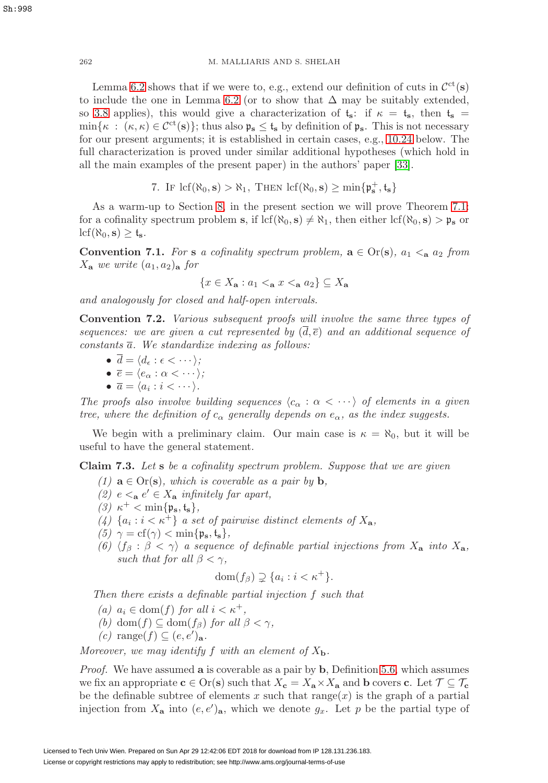Lemma [6.2](#page-24-0) shows that if we were to, e.g., extend our definition of cuts in  $\mathcal{C}^{ct}(s)$ to include the one in Lemma [6.2](#page-24-0) (or to show that  $\Delta$  may be suitably extended, so [3.8](#page-17-1) applies), this would give a characterization of  $t_s$ : if  $\kappa = t_s$ , then  $t_s =$  $\min\{\kappa : (\kappa, \kappa) \in C^{ct}(s)\};$  thus also  $\mathfrak{p}_s \leq \mathfrak{t}_s$  by definition of  $\mathfrak{p}_s$ . This is not necessary for our present arguments; it is established in certain cases, e.g., [10.24](#page-40-0) below. The full characterization is proved under similar additional hypotheses (which hold in all the main examples of the present paper) in the authors' paper [\[33\]](#page-59-8).

7. IF  $\text{lcf}(\aleph_0, \mathbf{s}) > \aleph_1$ , THEN  $\text{lcf}(\aleph_0, \mathbf{s}) \ge \min\{\mathfrak{p}_\mathbf{s}^+, \mathfrak{t}_\mathbf{s}\}$ 

<span id="page-25-0"></span>As a warm-up to Section [8,](#page-28-0) in the present section we will prove Theorem [7.1:](#page-28-1) for a cofinality spectrum problem **s**, if  $\text{lcf}(\aleph_0, \mathbf{s}) \neq \aleph_1$ , then either  $\text{lcf}(\aleph_0, \mathbf{s}) > \mathfrak{p}_\mathbf{s}$  or  $\text{lcf}(\aleph_0, \mathbf{s}) \geq \mathfrak{t}_{\mathbf{s}}.$ 

**Convention 7.1.** For **s** a cofinality spectrum problem,  $\mathbf{a} \in \text{Or}(\mathbf{s})$ ,  $a_1 \leq_{\mathbf{a}} a_2$  from  $X_{\mathbf{a}}$  we write  $(a_1, a_2)_{\mathbf{a}}$  for

 ${x \in X_\mathbf{a} : a_1 \leq_\mathbf{a} x \leq_\mathbf{a} a_2} \subseteq X_\mathbf{a}$ 

and analogously for closed and half-open intervals.

**Convention 7.2.** Various subsequent proofs will involve the same three types of sequences: we are given a cut represented by  $(\overline{d}, \overline{e})$  and an additional sequence of constants  $\overline{a}$ . We standardize indexing as follows:

$$
\bullet \ \overline{d} = \langle d_{\epsilon} : \epsilon < \cdots \rangle;
$$

- $\bullet\ \overline{e}=\langle e_\alpha:\alpha<\cdots\rangle;$
- $\bullet \ \overline{a} = \langle a_i : i \langle \cdots \rangle.$

The proofs also involve building sequences  $\langle c_{\alpha} : \alpha < \cdots \rangle$  of elements in a given tree, where the definition of  $c_{\alpha}$  generally depends on  $e_{\alpha}$ , as the index suggests.

We begin with a preliminary claim. Our main case is  $\kappa = \aleph_0$ , but it will be useful to have the general statement.

<span id="page-25-1"></span>**Claim 7.3.** Let **s** be a cofinality spectrum problem. Suppose that we are given

- (1)  $\mathbf{a} \in \text{Or}(\mathbf{s})$ , which is coverable as a pair by  $\mathbf{b}$ ,
- (2)  $e \leq_a e' \in X_a$  infinitely far apart,
- $(3)$   $\kappa^+ < \min\{\mathfrak{p}_s, \mathfrak{t}_s\},\$
- (4)  $\{a_i : i < \kappa^+\}$  a set of pairwise distinct elements of  $X_a$ ,
- $(5)$   $\gamma = \text{cf}(\gamma) < \min\{\mathfrak{p}_{s}, \mathfrak{t}_{s}\},$
- (6)  $\langle f_\beta : \beta < \gamma \rangle$  a sequence of definable partial injections from  $X_\mathbf{a}$  into  $X_\mathbf{a}$ , such that for all  $\beta < \gamma$ ,

$$
\operatorname{dom}(f_{\beta}) \supsetneq \{a_i : i < \kappa^+\}.
$$

Then there exists a definable partial injection f such that

- (a)  $a_i \in \text{dom}(f)$  for all  $i < \kappa^+$ ,
- (b) dom(f)  $\subseteq$  dom(f<sub>β</sub>) for all  $\beta < \gamma$ ,
- $(c) \text{ range}(f) \subseteq (e, e')_{\mathbf{a}}.$

Moreover, we may identify f with an element of  $X_{\bf{b}}$ .

Proof. We have assumed **a** is coverable as a pair by **b**, Definition [5.6,](#page-21-1) which assumes we fix an appropriate  $\mathbf{c} \in \text{Or}(\mathbf{s})$  such that  $X_{\mathbf{c}} = X_{\mathbf{a}} \times X_{\mathbf{a}}$  and **b** covers **c**. Let  $\mathcal{T} \subseteq \mathcal{T}_{\mathbf{c}}$ be the definable subtree of elements x such that  $range(x)$  is the graph of a partial injection from  $X_{\mathbf{a}}$  into  $(e, e')_{\mathbf{a}}$ , which we denote  $g_x$ . Let p be the partial type of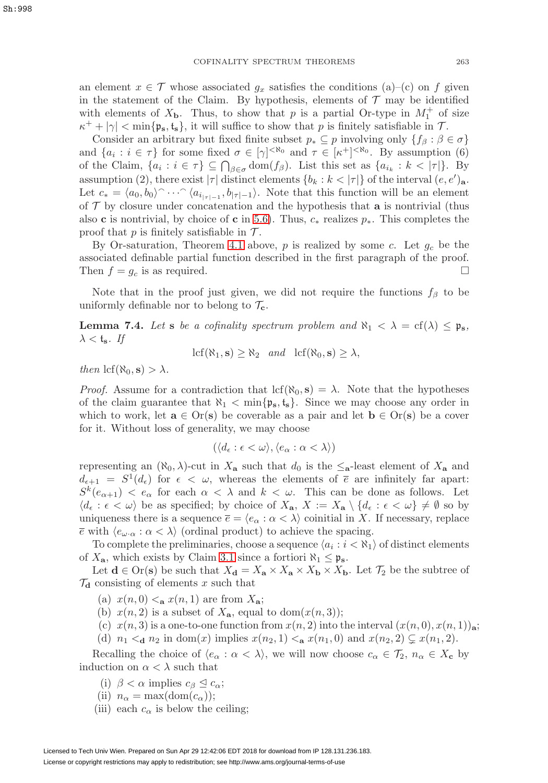an element  $x \in \mathcal{T}$  whose associated  $g_x$  satisfies the conditions (a)–(c) on f given in the statement of the Claim. By hypothesis, elements of  $\mathcal T$  may be identified with elements of  $X_{\mathbf{b}}$ . Thus, to show that p is a partial Or-type in  $M_1^+$  of size  $\kappa^+ + |\gamma| < \min{\{\mathfrak{p}_s, t_s\}}$ , it will suffice to show that p is finitely satisfiable in T.

Consider an arbitrary but fixed finite subset  $p_* \subseteq p$  involving only  $\{f_\beta : \beta \in \sigma\}$ and  $\{a_i : i \in \tau\}$  for some fixed  $\sigma \in [\gamma]^{< \aleph_0}$  and  $\tau \in [\kappa^+]^{< \aleph_0}$ . By assumption (6) of the Claim,  $\{a_i : i \in \tau\} \subseteq \bigcap_{\beta \in \sigma} \text{dom}(f_\beta)$ . List this set as  $\{a_{i_k} : k < |\tau|\}$ . By assumption (2), there exist  $|\tau|$  distinct elements  $\{b_k : k < |\tau|\}$  of the interval  $(e, e')_a$ . Let  $c_* = \langle a_0, b_0 \rangle \cap \cdots \cap \langle a_{i_{|\tau|-1}}, b_{|\tau|-1} \rangle$ . Note that this function will be an element of  $\mathcal T$  by closure under concatenation and the hypothesis that **a** is nontrivial (thus also **c** is nontrivial, by choice of **c** in [5.6\)](#page-21-1). Thus,  $c_*$  realizes  $p_*$ . This completes the proof that  $p$  is finitely satisfiable in  $\mathcal{T}$ .

By Or-saturation, Theorem [4.1](#page-18-1) above,  $p$  is realized by some  $c$ . Let  $g_c$  be the associated definable partial function described in the first paragraph of the proof. Then  $f = g_c$  is as required.

Note that in the proof just given, we did not require the functions  $f_\beta$  to be uniformly definable nor to belong to  $\mathcal{T}_{c}$ .

<span id="page-26-0"></span>**Lemma 7.4.** Let **s** be a cofinality spectrum problem and  $\aleph_1 < \lambda = cf(\lambda) < p_s$ ,  $\lambda <$ **t**<sub>s</sub>. If

 $\text{lcf}(\aleph_1, \mathbf{s}) \geq \aleph_2$  and  $\text{lcf}(\aleph_0, \mathbf{s}) \geq \lambda$ ,

then  $\text{lcf}(\aleph_0, \mathbf{s}) > \lambda$ .

Proof. Assume for a contradiction that  $\text{lcf}(\aleph_0, \mathbf{s}) = \lambda$ . Note that the hypotheses of the claim guarantee that  $\aleph_1 < \min\{\mathfrak{p}_s, \mathfrak{t}_s\}$ . Since we may choose any order in which to work, let  $\mathbf{a} \in \text{Or}(\mathbf{s})$  be coverable as a pair and let  $\mathbf{b} \in \text{Or}(\mathbf{s})$  be a cover for it. Without loss of generality, we may choose

$$
(\langle d_{\epsilon} : \epsilon < \omega \rangle, \langle e_{\alpha} : \alpha < \lambda \rangle)
$$

representing an  $(\aleph_0, \lambda)$ -cut in  $X_a$  such that  $d_0$  is the  $\leq_a$ -least element of  $X_a$  and  $d_{\epsilon+1} = S^1(d_{\epsilon})$  for  $\epsilon < \omega$ , whereas the elements of  $\bar{\epsilon}$  are infinitely far apart:  $S^k(e_{\alpha+1}) < e_\alpha$  for each  $\alpha < \lambda$  and  $k < \omega$ . This can be done as follows. Let  $\langle d_{\epsilon} : \epsilon < \omega \rangle$  be as specified; by choice of  $X_{\mathbf{a}}, X := X_{\mathbf{a}} \setminus \{d_{\epsilon} : \epsilon < \omega\} \neq \emptyset$  so by uniqueness there is a sequence  $\overline{e} = \langle e_\alpha : \alpha < \lambda \rangle$  coinitial in X. If necessary, replace  $\overline{e}$  with  $\langle e_{\omega} \cdot \alpha : \alpha < \lambda \rangle$  (ordinal product) to achieve the spacing.

To complete the preliminaries, choose a sequence  $\langle a_i : i < \aleph_1 \rangle$  of distinct elements of  $X_{\mathbf{a}}$ , which exists by Claim [3.1](#page-13-3) since a fortiori  $\aleph_1 \leq \mathfrak{p}_\mathbf{s}$ .

Let  $\mathbf{d} \in \text{Or}(\mathbf{s})$  be such that  $X_{\mathbf{d}} = X_{\mathbf{a}} \times X_{\mathbf{a}} \times X_{\mathbf{b}} \times X_{\mathbf{b}}$ . Let  $\mathcal{T}_2$  be the subtree of  $\mathcal{T}_{d}$  consisting of elements x such that

- (a)  $x(n, 0) <_{\mathbf{a}} x(n, 1)$  are from  $X_{\mathbf{a}}$ ;
- (b)  $x(n, 2)$  is a subset of  $X_{a}$ , equal to  $dom(x(n, 3))$ ;
- (c)  $x(n, 3)$  is a one-to-one function from  $x(n, 2)$  into the interval  $(x(n, 0), x(n, 1))$ **a**;
- (d)  $n_1 <_{\mathbf{d}} n_2$  in dom(x) implies  $x(n_2, 1) <_{\mathbf{a}} x(n_1, 0)$  and  $x(n_2, 2) \subsetneq x(n_1, 2)$ .

Recalling the choice of  $\langle e_{\alpha} : \alpha < \lambda \rangle$ , we will now choose  $c_{\alpha} \in \mathcal{T}_2$ ,  $n_{\alpha} \in X_c$  by induction on  $\alpha < \lambda$  such that

- (i)  $\beta < \alpha$  implies  $c_{\beta} \leq c_{\alpha}$ ;
- (ii)  $n_{\alpha} = \max(\text{dom}(c_{\alpha}))$ ;
- (iii) each  $c_{\alpha}$  is below the ceiling;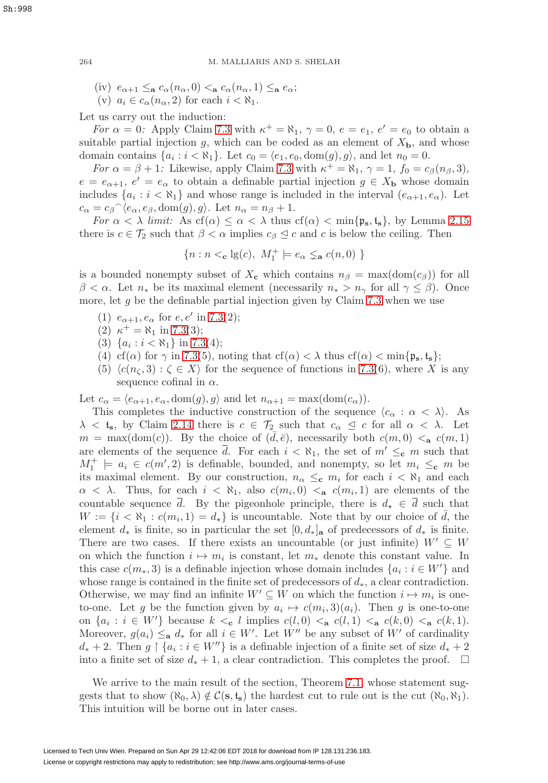- (iv)  $e_{\alpha+1} \leq_{\mathbf{a}} c_{\alpha}(n_{\alpha},0) \leq_{\mathbf{a}} c_{\alpha}(n_{\alpha},1) \leq_{\mathbf{a}} e_{\alpha};$
- (v)  $a_i \in c_\alpha(n_\alpha, 2)$  for each  $i < \aleph_1$ .

Let us carry out the induction:

For  $\alpha = 0$ : Apply Claim [7.3](#page-25-1) with  $\kappa^+ = \aleph_1$ ,  $\gamma = 0$ ,  $e = e_1$ ,  $e' = e_0$  to obtain a suitable partial injection g, which can be coded as an element of  $X<sub>b</sub>$ , and whose domain contains  $\{a_i : i < \aleph_1\}$ . Let  $c_0 = \langle e_1, e_0, \text{dom}(g), g \rangle$ , and let  $n_0 = 0$ .

For  $\alpha = \beta + 1$ : Likewise, apply Claim [7.3](#page-25-1) with  $\kappa^+ = \aleph_1$ ,  $\gamma = 1$ ,  $f_0 = c_\beta(n_\beta, 3)$ ,  $e = e_{\alpha+1}, e' = e_{\alpha}$  to obtain a definable partial injection  $g \in X_{\mathbf{b}}$  whose domain includes  $\{a_i : i < \aleph_1\}$  and whose range is included in the interval  $(e_{\alpha+1}, e_{\alpha})$ . Let  $c_{\alpha} = c_{\beta} \hat{\;} \langle e_{\alpha}, e_{\beta}, \text{dom}(g), g \rangle$ . Let  $n_{\alpha} = n_{\beta} + 1$ .

For  $\alpha < \lambda$  limit: As  $cf(\alpha) \leq \alpha < \lambda$  thus  $cf(\alpha) < \min\{\mathfrak{p}_s, \mathfrak{t}_s\}$ , by Lemma [2.15](#page-13-2) there is  $c \in \mathcal{T}_2$  such that  $\beta < \alpha$  implies  $c_{\beta} \leq c$  and c is below the ceiling. Then

$$
\{n: n <_{\mathbf{c}} \lg(c),\ M_1^+ \models e_\alpha \lneq_{\mathbf{a}} c(n,0)\ \}
$$

is a bounded nonempty subset of  $X_c$  which contains  $n_\beta = \max(\text{dom}(c_\beta))$  for all  $\beta < \alpha$ . Let  $n_*$  be its maximal element (necessarily  $n_* > n_\gamma$  for all  $\gamma \leq \beta$ ). Once more, let  $g$  be the definable partial injection given by Claim [7.3](#page-25-1) when we use

- (1)  $e_{\alpha+1}, e_{\alpha}$  for  $e, e'$  in [7.3\(](#page-25-1)2);
- (2)  $\kappa^+ = \aleph_1$  in [7.3\(](#page-25-1)3);
- (3)  $\{a_i : i < \aleph_1\}$  in [7.3\(](#page-25-1)4);
- (4) cf( $\alpha$ ) for  $\gamma$  in [7.3\(](#page-25-1)5), noting that cf( $\alpha$ ) <  $\lambda$  thus cf( $\alpha$ ) < min{ $\mathfrak{p}_s$ ,  $\mathfrak{t}_s$ };
- (5)  $\langle c(n_{\zeta},3): \zeta \in X \rangle$  for the sequence of functions in [7.3\(](#page-25-1)6), where X is any sequence cofinal in  $\alpha$ .

Let  $c_{\alpha} = \langle e_{\alpha+1}, e_{\alpha}, \text{dom}(g), g \rangle$  and let  $n_{\alpha+1} = \max(\text{dom}(c_{\alpha}))$ .

This completes the inductive construction of the sequence  $\langle c_{\alpha} : \alpha \langle \lambda \rangle$ . As  $\lambda <$ **t**<sub>s</sub>, by Claim [2.14](#page-13-4) there is  $c \in \mathcal{T}_2$  such that  $c_{\alpha} \leq c$  for all  $\alpha < \lambda$ . Let  $m = \max(\text{dom}(c))$ . By the choice of  $(\bar{d}, \bar{e})$ , necessarily both  $c(m, 0) < a$ ,  $c(m, 1)$ are elements of the sequence  $\overline{d}$ . For each  $i < \aleph_1$ , the set of  $m' \leq_c m$  such that  $M_1^+$   $\models$   $a_i \in c(m', 2)$  is definable, bounded, and nonempty, so let  $m_i \leq_c m$  be its maximal element. By our construction,  $n_{\alpha} \leq_c m_i$  for each  $i < \aleph_1$  and each  $\alpha < \lambda$ . Thus, for each  $i < \aleph_1$ , also  $c(m_i, 0) < a$   $c(m_i, 1)$  are elements of the countable sequence d. By the pigeonhole principle, there is  $d_{\star} \in d$  such that  $W := \{i \leq \aleph_1 : c(m_i, 1) = d_*\}$  is uncountable. Note that by our choice of  $\overline{d}$ , the element  $d_*$  is finite, so in particular the set  $[0, d_*]_a$  of predecessors of  $d_*$  is finite. There are two cases. If there exists an uncountable (or just infinite)  $W' \subseteq W$ on which the function  $i \mapsto m_i$  is constant, let  $m_*$  denote this constant value. In this case  $c(m_*, 3)$  is a definable injection whose domain includes  $\{a_i : i \in W'\}$  and whose range is contained in the finite set of predecessors of  $d_*$ , a clear contradiction. Otherwise, we may find an infinite  $W' \subseteq W$  on which the function  $i \mapsto m_i$  is oneto-one. Let g be the function given by  $a_i \mapsto c(m_i, 3)(a_i)$ . Then g is one-to-one on  $\{a_i : i \in W'\}$  because  $k \leq_c l$  implies  $c(l, 0) \leq_a c(l, 1) \leq_a c(k, 0) \leq_a c(k, 1)$ . Moreover,  $g(a_i) \leq_{\mathbf{a}} d_*$  for all  $i \in W'$ . Let  $W''$  be any subset of  $W'$  of cardinality  $d_* + 2$ . Then  $g \restriction \{a_i : i \in W''\}$  is a definable injection of a finite set of size  $d_* + 2$ into a finite set of size  $d_* + 1$ , a clear contradiction. This completes the proof.  $\Box$ 

We arrive to the main result of the section, Theorem [7.1,](#page-28-1) whose statement suggests that to show  $(\aleph_0, \lambda) \notin C(s, t_s)$  the hardest cut to rule out is the cut  $(\aleph_0, \aleph_1)$ . This intuition will be borne out in later cases.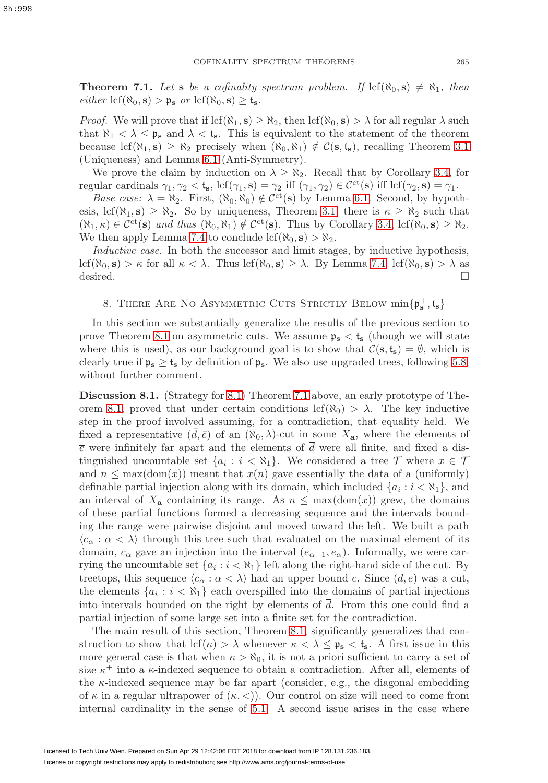<span id="page-28-1"></span>**Theorem 7.1.** Let **s** be a cofinality spectrum problem. If  $\text{lcf}(\aleph_0, \mathbf{s}) \neq \aleph_1$ , then  $\text{either } \text{lcf}(\aleph_0, \mathbf{s}) > \mathfrak{p}_\mathbf{s} \text{ or } \text{lcf}(\aleph_0, \mathbf{s}) \geq \mathfrak{t}_\mathbf{s}.$ 

*Proof.* We will prove that if  $\text{lcf}(\aleph_1, \mathbf{s}) \geq \aleph_2$ , then  $\text{lcf}(\aleph_0, \mathbf{s}) > \lambda$  for all regular  $\lambda$  such that  $\aleph_1 < \lambda \leq \mathfrak{p}_s$  and  $\lambda < \mathfrak{t}_s$ . This is equivalent to the statement of the theorem because lcf( $\aleph_1$ , **s**)  $\geq \aleph_2$  precisely when  $(\aleph_0, \aleph_1) \notin \mathcal{C}(\mathbf{s}, \mathbf{t}_\mathbf{s})$ , recalling Theorem [3.1](#page-14-0) (Uniqueness) and Lemma [6.1](#page-23-3) (Anti-Symmetry).

We prove the claim by induction on  $\lambda \geq \aleph_2$ . Recall that by Corollary [3.4,](#page-16-0) for regular cardinals  $\gamma_1, \gamma_2 < \mathfrak{t}_s$ , lcf $(\gamma_1, \mathbf{s}) = \gamma_2$  iff  $(\gamma_1, \gamma_2) \in \mathcal{C}^{ct}(\mathbf{s})$  iff lcf $(\gamma_2, \mathbf{s}) = \gamma_1$ .

Base case:  $\lambda = \aleph_2$ . First,  $(\aleph_0, \aleph_0) \notin C^{\text{ct}}(\mathbf{s})$  by Lemma [6.1.](#page-23-3) Second, by hypothesis, lcf( $\aleph_1$ , **s**)  $\geq \aleph_2$ . So by uniqueness, Theorem [3.1,](#page-14-0) there is  $\kappa \geq \aleph_2$  such that  $(\aleph_1, \kappa) \in C^{\rm ct}(\mathbf{s})$  and thus  $(\aleph_0, \aleph_1) \notin C^{\rm ct}(\mathbf{s})$ . Thus by Corollary [3.4,](#page-16-0) lcf $(\aleph_0, \mathbf{s}) \geq \aleph_2$ . We then apply Lemma [7.4](#page-26-0) to conclude  $\text{lcf}(\aleph_0, \mathbf{s}) > \aleph_2$ .

Inductive case. In both the successor and limit stages, by inductive hypothesis, lcf( $\aleph_0$ , **s**) >  $\kappa$  for all  $\kappa < \lambda$ . Thus lcf( $\aleph_0$ , **s**)  $\geq \lambda$ . By Lemma [7.4,](#page-26-0) lcf( $\aleph_0$ , **s**)  $> \lambda$  as desired.  $\Box$ 

# <span id="page-28-0"></span>8. THERE ARE NO ASYMMETRIC CUTS STRICTLY BELOW  $\min\{\mathfrak{p}_\mathbf{s}^+,\mathfrak{t}_\mathbf{s}\}$

In this section we substantially generalize the results of the previous section to prove Theorem [8.1](#page-30-0) on asymmetric cuts. We assume  $\mathfrak{p}_s < t_s$  (though we will state where this is used), as our background goal is to show that  $\mathcal{C}(\mathbf{s}, \mathbf{t}_{\mathbf{s}}) = \emptyset$ , which is clearly true if  $\mathfrak{p}_s \geq \mathfrak{t}_s$  by definition of  $\mathfrak{p}_s$ . We also use upgraded trees, following [5.8,](#page-21-0) without further comment.

<span id="page-28-2"></span>**Discussion 8.1.** (Strategy for [8.1\)](#page-30-0) Theorem [7.1](#page-28-1) above, an early prototype of The-orem [8.1,](#page-30-0) proved that under certain conditions lcf( $\aleph_0$ ) >  $\lambda$ . The key inductive step in the proof involved assuming, for a contradiction, that equality held. We fixed a representative  $(\bar{d}, \bar{e})$  of an  $(\aleph_0, \lambda)$ -cut in some  $X_{\mathbf{a}}$ , where the elements of  $\bar{e}$  were infinitely far apart and the elements of d were all finite, and fixed a distinguished uncountable set  $\{a_i : i < \aleph_1\}$ . We considered a tree  $\mathcal T$  where  $x \in \mathcal T$ and  $n \leq \max(\text{dom}(x))$  meant that  $x(n)$  gave essentially the data of a (uniformly) definable partial injection along with its domain, which included  ${a_i : i < \aleph_1}$ , and an interval of  $X_a$  containing its range. As  $n \leq \max(\text{dom}(x))$  grew, the domains of these partial functions formed a decreasing sequence and the intervals bounding the range were pairwise disjoint and moved toward the left. We built a path  $\langle c_{\alpha} : \alpha \langle \rangle$  through this tree such that evaluated on the maximal element of its domain,  $c_{\alpha}$  gave an injection into the interval  $(e_{\alpha+1}, e_{\alpha})$ . Informally, we were carrying the uncountable set  $\{a_i : i < \aleph_1\}$  left along the right-hand side of the cut. By treetops, this sequence  $\langle c_{\alpha} : \alpha < \lambda \rangle$  had an upper bound c. Since  $(d, \overline{e})$  was a cut, the elements  $\{a_i : i < \aleph_1\}$  each overspilled into the domains of partial injections into intervals bounded on the right by elements of  $\overline{d}$ . From this one could find a partial injection of some large set into a finite set for the contradiction.

The main result of this section, Theorem [8.1,](#page-30-0) significantly generalizes that construction to show that  $\text{lcf}(\kappa) > \lambda$  whenever  $\kappa < \lambda \leq \mathfrak{p}_{s} < \mathfrak{t}_{s}$ . A first issue in this more general case is that when  $\kappa > \aleph_0$ , it is not a priori sufficient to carry a set of size  $\kappa^+$  into a  $\kappa$ -indexed sequence to obtain a contradiction. After all, elements of the  $\kappa$ -indexed sequence may be far apart (consider, e.g., the diagonal embedding of  $\kappa$  in a regular ultrapower of  $(\kappa, \langle \rangle)$ . Our control on size will need to come from internal cardinality in the sense of [5.1.](#page-19-0) A second issue arises in the case where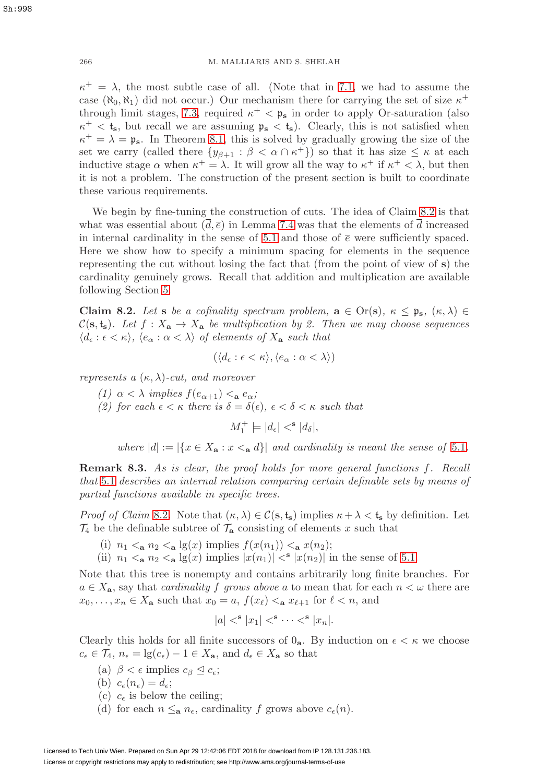$\kappa^+ = \lambda$ , the most subtle case of all. (Note that in [7.1,](#page-28-1) we had to assume the case  $(\aleph_0, \aleph_1)$  did not occur.) Our mechanism there for carrying the set of size  $\kappa^+$ through limit stages, [7.3,](#page-25-1) required  $\kappa^+$   $<$   $\mathfrak{p}_s$  in order to apply Or-saturation (also  $\kappa^+ < t_s$ , but recall we are assuming  $\mathfrak{p}_s < t_s$ ). Clearly, this is not satisfied when  $\kappa^+ = \lambda = \mathfrak{p}_s$ . In Theorem [8.1,](#page-30-0) this is solved by gradually growing the size of the set we carry (called there  $\{y_{\beta+1} : \beta < \alpha \cap \kappa^+\}$ ) so that it has size  $\leq \kappa$  at each inductive stage  $\alpha$  when  $\kappa^+ = \lambda$ . It will grow all the way to  $\kappa^+$  if  $\kappa^+ < \lambda$ , but then it is not a problem. The construction of the present section is built to coordinate these various requirements.

We begin by fine-tuning the construction of cuts. The idea of Claim [8.2](#page-29-0) is that what was essential about  $(\overline{d}, \overline{e})$  in Lemma [7.4](#page-26-0) was that the elements of  $\overline{d}$  increased in internal cardinality in the sense of [5.1](#page-19-0) and those of  $\bar{e}$  were sufficiently spaced. Here we show how to specify a minimum spacing for elements in the sequence representing the cut without losing the fact that (from the point of view of **s**) the cardinality genuinely grows. Recall that addition and multiplication are available following Section [5.](#page-18-0)

<span id="page-29-0"></span>**Claim 8.2.** Let **s** be a cofinality spectrum problem,  $\mathbf{a} \in \text{Or}(\mathbf{s})$ ,  $\kappa \leq \mathbf{p}_{\mathbf{s}}$ ,  $(\kappa, \lambda) \in$  $\mathcal{C}(\mathbf{s}, \mathbf{t}_\mathbf{s})$ . Let  $f : X_\mathbf{a} \to X_\mathbf{a}$  be multiplication by 2. Then we may choose sequences  $\langle d_{\epsilon} : \epsilon \langle \kappa \rangle, \langle e_{\alpha} : \alpha \langle \lambda \rangle \text{ of elements of } X_{\mathbf{a}} \text{ such that }$ 

$$
(\langle d_{\epsilon} : \epsilon < \kappa \rangle, \langle e_{\alpha} : \alpha < \lambda \rangle)
$$

represents a  $(\kappa, \lambda)$ -cut, and moreover

(1)  $\alpha < \lambda$  implies  $f(e_{\alpha+1}) <_{\mathbf{a}} e_{\alpha}$ ;

(2) for each  $\epsilon < \kappa$  there is  $\delta = \delta(\epsilon)$ ,  $\epsilon < \delta < \kappa$  such that

 $M_1^+ \models |d_{\epsilon}| <^{\mathbf{s}} |d_{\delta}|,$ 

where  $|d| := |\{x \in X_{\mathbf{a}} : x \leq_{\mathbf{a}} d\}|$  and cardinality is meant the sense of [5.1](#page-19-0).

**Remark 8.3.** As is clear, the proof holds for more general functions f. Recall that [5.1](#page-19-0) describes an internal relation comparing certain definable sets by means of partial functions available in specific trees.

Proof of Claim [8.2](#page-29-0). Note that  $(\kappa, \lambda) \in C(\mathbf{s}, \mathbf{t}_{\mathbf{s}})$  implies  $\kappa + \lambda < \mathbf{t}_{\mathbf{s}}$  by definition. Let  $\mathcal{T}_4$  be the definable subtree of  $\mathcal{T}_a$  consisting of elements x such that

- (i)  $n_1 <_{\mathbf{a}} n_2 <_{\mathbf{a}} \lg(x)$  implies  $f(x(n_1)) <_{\mathbf{a}} x(n_2);$
- (ii)  $n_1 < a n_2 < a \lg(x)$  implies  $|x(n_1)| <^{\mathbf{s}} |x(n_2)|$  in the sense of [5.1.](#page-19-0)

Note that this tree is nonempty and contains arbitrarily long finite branches. For  $a \in X_a$ , say that *cardinality f grows above a* to mean that for each  $n < \omega$  there are  $x_0, \ldots, x_n \in X_a$  such that  $x_0 = a, f(x_\ell) <_{\mathbf{a}} x_{\ell+1}$  for  $\ell < n$ , and

$$
|a|<^{\mathbf{s}} |x_1|<^{\mathbf{s}} \cdots <^{\mathbf{s}} |x_n|.
$$

Clearly this holds for all finite successors of  $0_a$ . By induction on  $\epsilon < \kappa$  we choose  $c_{\epsilon} \in \mathcal{T}_4$ ,  $n_{\epsilon} = \lg(c_{\epsilon}) - 1 \in X_{\mathbf{a}}$ , and  $d_{\epsilon} \in X_{\mathbf{a}}$  so that

(a)  $\beta < \epsilon$  implies  $c_{\beta} \leq c_{\epsilon};$ 

(b)  $c_{\epsilon}(n_{\epsilon}) = d_{\epsilon};$ 

- (c)  $c_{\epsilon}$  is below the ceiling;
- (d) for each  $n \leq_a n_{\epsilon}$ , cardinality f grows above  $c_{\epsilon}(n)$ .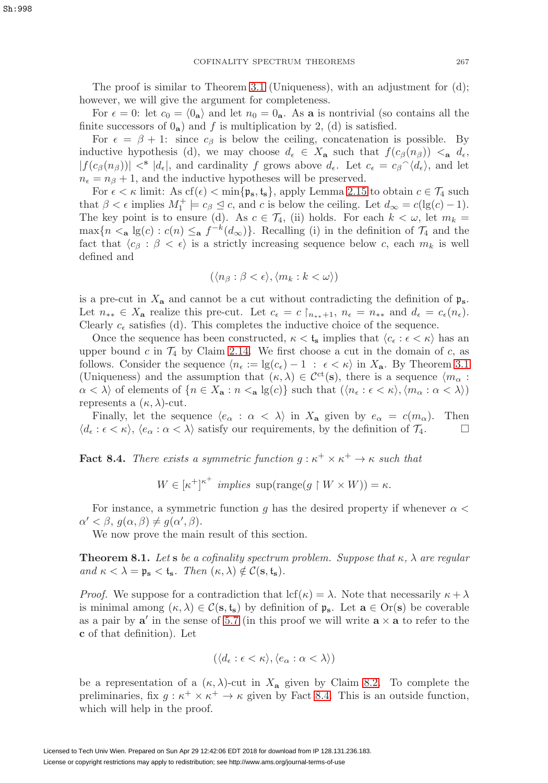The proof is similar to Theorem [3.1](#page-14-0) (Uniqueness), with an adjustment for (d); however, we will give the argument for completeness.

For  $\epsilon = 0$ : let  $c_0 = \langle 0_a \rangle$  and let  $n_0 = 0_a$ . As **a** is nontrivial (so contains all the finite successors of  $0_a$ ) and f is multiplication by 2, (d) is satisfied.

For  $\epsilon = \beta + 1$ : since  $c_{\beta}$  is below the ceiling, concatenation is possible. By inductive hypothesis (d), we may choose  $d_{\epsilon} \in X_{\mathbf{a}}$  such that  $f(c_{\beta}(n_{\beta})) <_{\mathbf{a}} d_{\epsilon}$ ,  $|f(c_{\beta}(n_{\beta}))| <^{s} |d_{\epsilon}|$ , and cardinality f grows above  $d_{\epsilon}$ . Let  $c_{\epsilon} = c_{\beta} \gamma \langle d_{\epsilon} \rangle$ , and let  $n_{\epsilon} = n_{\beta} + 1$ , and the inductive hypotheses will be preserved.

For  $\epsilon < \kappa$  limit: As cf( $\epsilon$ ) < min{ $\mathfrak{p}_s$ ,  $t_s$ }, apply Lemma [2.15](#page-13-2) to obtain  $c \in \mathcal{T}_4$  such that  $\beta < \epsilon$  implies  $M_1^+ \models c_{\beta} \leq c$ , and c is below the ceiling. Let  $d_{\infty} = c(\lg(c) - 1)$ . The key point is to ensure (d). As  $c \in \mathcal{T}_4$ , (ii) holds. For each  $k < \omega$ , let  $m_k =$ max ${n \le a \lg(c) : c(n) \le a} f^{-k}(d_{\infty})$ . Recalling (i) in the definition of  $\mathcal{T}_4$  and the fact that  $\langle c_\beta : \beta < \epsilon \rangle$  is a strictly increasing sequence below c, each  $m_k$  is well defined and

$$
(\langle n_\beta : \beta < \epsilon \rangle, \langle m_k : k < \omega \rangle)
$$

is a pre-cut in  $X_a$  and cannot be a cut without contradicting the definition of  $\mathfrak{p}_s$ . Let  $n_{**} \in X_{\mathbf{a}}$  realize this pre-cut. Let  $c_{\epsilon} = c \nvert_{n_{**}+1}, n_{\epsilon} = n_{**}$  and  $d_{\epsilon} = c_{\epsilon}(n_{\epsilon})$ . Clearly  $c_{\epsilon}$  satisfies (d). This completes the inductive choice of the sequence.

Once the sequence has been constructed,  $\kappa < t_{\rm s}$  implies that  $\langle c_{\epsilon} : \epsilon < \kappa \rangle$  has an upper bound c in  $\mathcal{T}_4$  by Claim [2.14.](#page-13-4) We first choose a cut in the domain of c, as follows. Consider the sequence  $\langle n_{\epsilon} := \lg(c_{\epsilon}) - 1 : \epsilon < \kappa \rangle$  in  $X_{\mathbf{a}}$ . By Theorem [3.1](#page-14-0) (Uniqueness) and the assumption that  $(\kappa, \lambda) \in C^{ct}(s)$ , there is a sequence  $\langle m_{\alpha} :$  $\alpha < \lambda$  of elements of  $\{n \in X_a : n <_a \lg(c)\}\$  such that  $(\langle n_{\epsilon} : \epsilon < \kappa \rangle, \langle m_{\alpha} : \alpha < \lambda \rangle)$ represents a  $(\kappa, \lambda)$ -cut.

Finally, let the sequence  $\langle e_{\alpha} : \alpha \langle \lambda \rangle$  in  $X_{\mathbf{a}}$  given by  $e_{\alpha} = c(m_{\alpha})$ . Then  $\langle d_{\epsilon} : \epsilon \langle \kappa \rangle, \langle e_{\alpha} : \alpha \langle \lambda \rangle$  satisfy our requirements, by the definition of  $\mathcal{T}_4$ .

<span id="page-30-1"></span>**Fact 8.4.** There exists a symmetric function  $g : \kappa^+ \times \kappa^+ \to \kappa$  such that

 $W \in [\kappa^+]^{\kappa^+}$  implies  $\text{sup}(\text{range}(g \restriction W \times W)) = \kappa$ .

For instance, a symmetric function g has the desired property if whenever  $\alpha$  <  $\alpha' < \beta, g(\alpha, \beta) \neq g(\alpha', \beta).$ 

We now prove the main result of this section.

<span id="page-30-0"></span>**Theorem 8.1.** Let **s** be a cofinality spectrum problem. Suppose that  $\kappa$ ,  $\lambda$  are regular and  $\kappa < \lambda = \mathfrak{p}_s < \mathfrak{t}_s$ . Then  $(\kappa, \lambda) \notin \mathcal{C}(\mathbf{s}, \mathfrak{t}_s)$ .

*Proof.* We suppose for a contradiction that  $\text{lcf}(\kappa) = \lambda$ . Note that necessarily  $\kappa + \lambda$ is minimal among  $(\kappa, \lambda) \in \mathcal{C}(\mathbf{s}, \mathbf{t}_s)$  by definition of  $\mathfrak{p}_s$ . Let  $\mathbf{a} \in \text{Or}(\mathbf{s})$  be coverable as a pair by  $a'$  in the sense of [5.7](#page-21-3) (in this proof we will write  $a \times a$  to refer to the **c** of that definition). Let

$$
(\langle d_{\epsilon} : \epsilon < \kappa \rangle, \langle e_{\alpha} : \alpha < \lambda \rangle)
$$

be a representation of a  $(\kappa, \lambda)$ -cut in  $X_{\mathbf{a}}$  given by Claim [8.2.](#page-29-0) To complete the preliminaries, fix  $g : \kappa^+ \times \kappa^+ \to \kappa$  given by Fact [8.4.](#page-30-1) This is an outside function, which will help in the proof.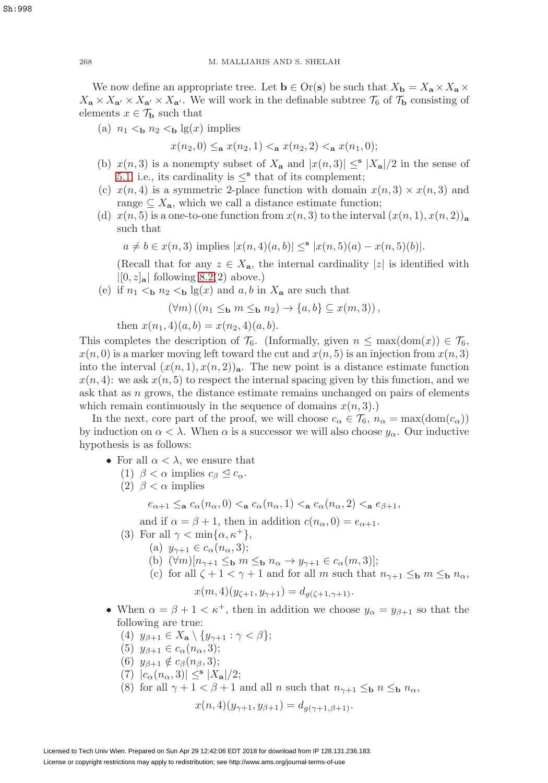We now define an appropriate tree. Let  $\mathbf{b} \in \text{Or}(\mathbf{s})$  be such that  $X_{\mathbf{b}} = X_{\mathbf{a}} \times X_{\mathbf{a}} \times X_{\mathbf{b}}$  $X_{\mathbf{a}} \times X_{\mathbf{a}'} \times X_{\mathbf{a}'} \times X_{\mathbf{a}'}$ . We will work in the definable subtree  $\mathcal{T}_6$  of  $\mathcal{T}_b$  consisting of elements  $x \in \mathcal{T}_{\mathbf{b}}$  such that

(a)  $n_1 <$ **b**  $n_2 <$ **b** lg(x) implies

 $x(n_2, 0) \leq_a x(n_2, 1) \leq_a x(n_2, 2) \leq_a x(n_1, 0);$ 

- (b)  $x(n, 3)$  is a nonempty subset of  $X_a$  and  $|x(n, 3)| \leq^s |X_a|/2$  in the sense of [5.1,](#page-19-0) i.e., its cardinality is  $\leq^{\mathbf{s}}$  that of its complement;
- (c)  $x(n, 4)$  is a symmetric 2-place function with domain  $x(n, 3) \times x(n, 3)$  and range  $\subseteq X_{\mathbf{a}}$ , which we call a distance estimate function;
- (d)  $x(n, 5)$  is a one-to-one function from  $x(n, 3)$  to the interval  $(x(n, 1), x(n, 2))$ <sub>a</sub> such that

$$
a \neq b \in x(n, 3)
$$
 implies  $|x(n, 4)(a, b)| \leq^{\mathbf{s}} |x(n, 5)(a) - x(n, 5)(b)|$ .

(Recall that for any  $z \in X_{\mathbf{a}}$ , the internal cardinality |z| is identified with  $|[0, z]_{\mathbf{a}}|$  following [8.2\(](#page-29-0)2) above.)

(e) if  $n_1 < b n_2 < b \lg(x)$  and a, b in  $X_a$  are such that

$$
(\forall m)((n_1 \leq_{\mathbf{b}} m \leq_{\mathbf{b}} n_2) \to \{a, b\} \subseteq x(m, 3)),
$$

then  $x(n_1, 4)(a, b) = x(n_2, 4)(a, b)$ .

This completes the description of  $\mathcal{T}_6$ . (Informally, given  $n \leq \max(\text{dom}(x)) \in \mathcal{T}_6$ ,  $x(n, 0)$  is a marker moving left toward the cut and  $x(n, 5)$  is an injection from  $x(n, 3)$ into the interval  $(x(n, 1), x(n, 2))$ <sub>a</sub>. The new point is a distance estimate function  $x(n, 4)$ : we ask  $x(n, 5)$  to respect the internal spacing given by this function, and we ask that as n grows, the distance estimate remains unchanged on pairs of elements which remain continuously in the sequence of domains  $x(n, 3)$ .)

In the next, core part of the proof, we will choose  $c_{\alpha} \in \mathcal{T}_6$ ,  $n_{\alpha} = \max(\text{dom}(c_{\alpha}))$ by induction on  $\alpha < \lambda$ . When  $\alpha$  is a successor we will also choose  $y_{\alpha}$ . Our inductive hypothesis is as follows:

- For all  $\alpha < \lambda$ , we ensure that
	- (1)  $\beta < \alpha$  implies  $c_{\beta} \leq c_{\alpha}$ .
	- (2)  $\beta < \alpha$  implies

$$
e_{\alpha+1} \leq_{\mathbf{a}} c_{\alpha}(n_{\alpha},0) <_{\mathbf{a}} c_{\alpha}(n_{\alpha},1) <_{\mathbf{a}} c_{\alpha}(n_{\alpha},2) <_{\mathbf{a}} e_{\beta+1},
$$

and if  $\alpha = \beta + 1$ , then in addition  $c(n_{\alpha}, 0) = e_{\alpha+1}$ .

- (3) For all  $\gamma < \min\{\alpha, \kappa^+\},$ 
	- (a)  $y_{\gamma+1} \in c_{\alpha}(n_{\alpha},3);$
	- (b)  $(\forall m)[n_{\gamma+1} \leq_b m \leq_b n_\alpha \rightarrow y_{\gamma+1} \in c_\alpha(m, 3)];$
	- (c) for all  $\zeta + 1 < \gamma + 1$  and for all m such that  $n_{\gamma+1} \leq_{\mathbf{b}} m \leq_{\mathbf{b}} n_{\alpha}$ ,

$$
x(m,4)(y_{\zeta+1}, y_{\gamma+1}) = d_{g(\zeta+1,\gamma+1)}.
$$

- <span id="page-31-0"></span>• When  $\alpha = \beta + 1 < \kappa^+$ , then in addition we choose  $y_\alpha = y_{\beta+1}$  so that the following are true:
	- (4)  $y_{\beta+1} \in X_{\mathbf{a}} \setminus \{y_{\gamma+1} : \gamma < \beta\};$
	- (5)  $y_{\beta+1} \in c_{\alpha}(n_{\alpha}, 3);$
	- (6)  $y_{\beta+1} \notin c_{\beta}(n_{\beta}, 3);$
	- $|c_{\alpha}(n_{\alpha},3)| \leq^{s} |X_{\mathbf{a}}|/2;$
	- (8) for all  $\gamma + 1 < \beta + 1$  and all n such that  $n_{\gamma+1} \leq_{\mathbf{b}} n \leq_{\mathbf{b}} n_{\alpha}$ ,

$$
x(n,4)(y_{\gamma+1}, y_{\beta+1}) = d_{g(\gamma+1,\beta+1)}.
$$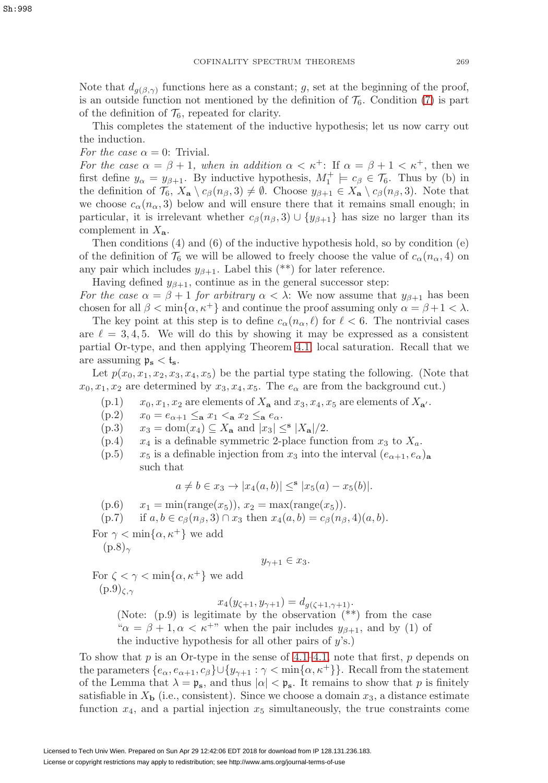Note that  $d_{q(\beta,\gamma)}$  functions here as a constant; g, set at the beginning of the proof, is an outside function not mentioned by the definition of  $\mathcal{T}_6$ . Condition [\(7\)](#page-31-0) is part of the definition of  $\mathcal{T}_6$ , repeated for clarity.

This completes the statement of the inductive hypothesis; let us now carry out the induction.

For the case  $\alpha = 0$ : Trivial.

For the case  $\alpha = \beta + 1$ , when in addition  $\alpha < \kappa^+$ : If  $\alpha = \beta + 1 < \kappa^+$ , then we first define  $y_{\alpha} = y_{\beta+1}$ . By inductive hypothesis,  $M_1^+ \models c_{\beta} \in \mathcal{T}_6$ . Thus by (b) in the definition of  $\mathcal{T}_6$ ,  $X_\mathbf{a} \setminus c_\beta(n_\beta, 3) \neq \emptyset$ . Choose  $y_{\beta+1} \in X_\mathbf{a} \setminus c_\beta(n_\beta, 3)$ . Note that we choose  $c_{\alpha}(n_{\alpha},3)$  below and will ensure there that it remains small enough; in particular, it is irrelevant whether  $c_\beta(n_\beta, 3) \cup \{y_{\beta+1}\}\$  has size no larger than its complement in X**a**.

Then conditions (4) and (6) of the inductive hypothesis hold, so by condition (e) of the definition of  $\mathcal{T}_6$  we will be allowed to freely choose the value of  $c_{\alpha}(n_{\alpha}, 4)$  on any pair which includes  $y_{\beta+1}$ . Label this (\*\*) for later reference.

Having defined  $y_{\beta+1}$ , continue as in the general successor step: For the case  $\alpha = \beta + 1$  for arbitrary  $\alpha < \lambda$ : We now assume that  $y_{\beta+1}$  has been

chosen for all  $\beta < \min{\{\alpha, \kappa^+\}}$  and continue the proof assuming only  $\alpha = \beta + 1 < \lambda$ . The key point at this step is to define  $c_{\alpha}(n_{\alpha}, \ell)$  for  $\ell < 6$ . The nontrivial cases are  $\ell = 3, 4, 5$ . We will do this by showing it may be expressed as a consistent partial Or-type, and then applying Theorem [4.1,](#page-18-1) local saturation. Recall that we are assuming  $\mathfrak{p}_s < \mathfrak{t}_s$ .

Let  $p(x_0, x_1, x_2, x_3, x_4, x_5)$  be the partial type stating the following. (Note that  $x_0, x_1, x_2$  are determined by  $x_3, x_4, x_5$ . The  $e_\alpha$  are from the background cut.)

- $(x_1, x_2, x_1, x_2, x_3)$  are elements of  $X_a$  and  $x_3, x_4, x_5$  are elements of  $X_{a'}$ .
- (p.2)  $x_0 = e_{\alpha+1} \leq_\mathbf{a} x_1 <_\mathbf{a} x_2 \leq_\mathbf{a} e_\alpha.$
- $(x_3)$   $x_3 = \text{dom}(x_4) \subseteq X_\mathbf{a}$  and  $|x_3| \leq |\mathbf{x}_\mathbf{a}|/2$ .
- $(p.4)$   $x_4$  is a definable symmetric 2-place function from  $x_3$  to  $X_a$ .
- (p.5)  $x_5$  is a definable injection from  $x_3$  into the interval  $(e_{\alpha+1}, e_{\alpha})_a$ such that

$$
a \neq b \in x_3 \to |x_4(a, b)| \leq^{\mathbf{s}} |x_5(a) - x_5(b)|.
$$

(p.6)  $x_1 = \min(\text{range}(x_5)), x_2 = \max(\text{range}(x_5)).$ 

(p.7) if  $a, b \in c_{\beta}(n_{\beta}, 3) \cap x_3$  then  $x_4(a, b) = c_{\beta}(n_{\beta}, 4)(a, b)$ .

For  $\gamma < \min\{\alpha, \kappa^+\}$  we add  $(p.8)_{\gamma}$ 

$$
y_{\gamma+1} \in x_3.
$$

For  $\zeta < \gamma < \min\{\alpha, \kappa^+\}$  we add  $(p.9)_{\zeta,\gamma}$ 

 $x_4(y_{\zeta+1}, y_{\gamma+1}) = d_{g(\zeta+1, \gamma+1)}.$ 

(Note:  $(p.9)$  is legitimate by the observation  $(**)$  from the case " $\alpha = \beta + 1, \alpha < \kappa^{+}$ " when the pair includes  $y_{\beta+1}$ , and by (1) of the inductive hypothesis for all other pairs of  $y$ 's.)

To show that  $p$  is an Or-type in the sense of [4.1–](#page-17-3)[4.1,](#page-18-1) note that first,  $p$  depends on the parameters  $\{e_{\alpha}, e_{\alpha+1}, c_{\beta}\}\cup \{y_{\gamma+1} : \gamma < \min\{\alpha, \kappa^+\}\}\.$  Recall from the statement of the Lemma that  $\lambda = \mathfrak{p}_s$ , and thus  $|\alpha| < \mathfrak{p}_s$ . It remains to show that p is finitely satisfiable in  $X<sub>b</sub>$  (i.e., consistent). Since we choose a domain  $x<sub>3</sub>$ , a distance estimate function  $x_4$ , and a partial injection  $x_5$  simultaneously, the true constraints come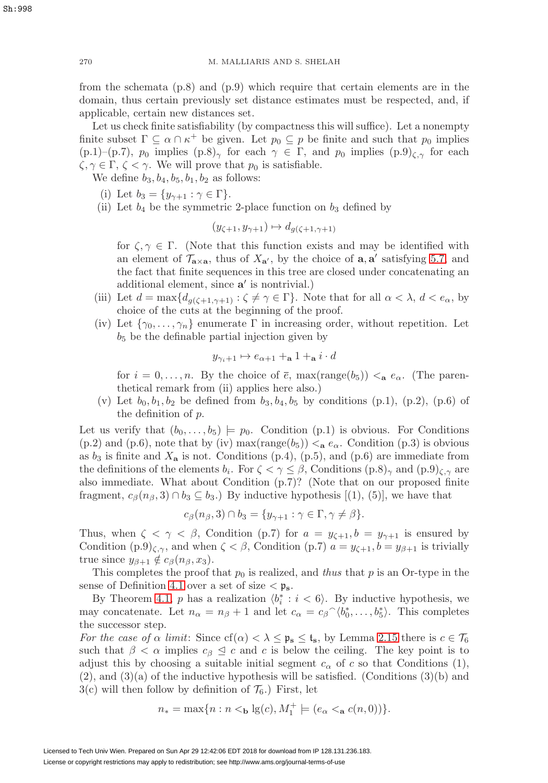from the schemata (p.8) and (p.9) which require that certain elements are in the domain, thus certain previously set distance estimates must be respected, and, if applicable, certain new distances set.

Let us check finite satisfiability (by compactness this will suffice). Let a nonempty finite subset  $\Gamma \subseteq \alpha \cap \kappa^+$  be given. Let  $p_0 \subseteq p$  be finite and such that  $p_0$  implies (p.1)–(p.7),  $p_0$  implies  $(p.8)_{\gamma}$  for each  $\gamma \in \Gamma$ , and  $p_0$  implies  $(p.9)_{\zeta,\gamma}$  for each  $\zeta, \gamma \in \Gamma, \zeta < \gamma$ . We will prove that  $p_0$  is satisfiable.

We define  $b_3$ ,  $b_4$ ,  $b_5$ ,  $b_1$ ,  $b_2$  as follows:

- (i) Let  $b_3 = \{y_{\gamma+1} : \gamma \in \Gamma\}.$
- (ii) Let  $b_4$  be the symmetric 2-place function on  $b_3$  defined by

$$
(y_{\zeta+1}, y_{\gamma+1}) \mapsto d_{g(\zeta+1, \gamma+1)}
$$

for  $\zeta, \gamma \in \Gamma$ . (Note that this function exists and may be identified with an element of  $\mathcal{T}_{\mathbf{a}\times\mathbf{a}}$ , thus of  $X_{\mathbf{a}'}$ , by the choice of  $\mathbf{a}, \mathbf{a}'$  satisfying [5.7,](#page-21-3) and the fact that finite sequences in this tree are closed under concatenating an additional element, since **a**' is nontrivial.)

- (iii) Let  $d = \max\{d_{g(\zeta+1,\gamma+1)} : \zeta \neq \gamma \in \Gamma\}$ . Note that for all  $\alpha < \lambda, d < e_\alpha$ , by choice of the cuts at the beginning of the proof.
- (iv) Let  $\{\gamma_0,\ldots,\gamma_n\}$  enumerate  $\Gamma$  in increasing order, without repetition. Let  $b<sub>5</sub>$  be the definable partial injection given by

$$
y_{\gamma_i+1} \mapsto e_{\alpha+1} +_{\mathbf{a}} 1 +_{\mathbf{a}} i \cdot d
$$

for  $i = 0, \ldots, n$ . By the choice of  $\bar{e}$ , max(range(b<sub>5</sub>))  $\lt_{a} e_{\alpha}$ . (The parenthetical remark from (ii) applies here also.)

(v) Let  $b_0, b_1, b_2$  be defined from  $b_3, b_4, b_5$  by conditions (p.1), (p.2), (p.6) of the definition of p.

Let us verify that  $(b_0,\ldots,b_5) \models p_0$ . Condition (p.1) is obvious. For Conditions (p.2) and (p.6), note that by (iv) max(range( $b_5$ ))  $\lt$ <sub>a</sub>  $e_\alpha$ . Condition (p.3) is obvious as  $b_3$  is finite and  $X_a$  is not. Conditions (p.4), (p.5), and (p.6) are immediate from the definitions of the elements  $b_i$ . For  $\zeta \leq \gamma \leq \beta$ , Conditions  $(p.8)_{\gamma}$  and  $(p.9)_{\zeta,\gamma}$  are also immediate. What about Condition (p.7)? (Note that on our proposed finite fragment,  $c_\beta(n_\beta, 3) \cap b_3 \subseteq b_3$ .) By inductive hypothesis [(1), (5)], we have that

$$
c_{\beta}(n_{\beta},3) \cap b_3 = \{y_{\gamma+1} : \gamma \in \Gamma, \gamma \neq \beta\}.
$$

Thus, when  $\zeta < \gamma < \beta$ , Condition (p.7) for  $a = y_{\zeta+1}, b = y_{\gamma+1}$  is ensured by Condition  $(p.9)_{\zeta,\gamma}$ , and when  $\zeta < \beta$ , Condition  $(p.7)$   $a = y_{\zeta+1}, b = y_{\beta+1}$  is trivially true since  $y_{\beta+1} \notin c_{\beta}(n_{\beta}, x_3)$ .

This completes the proof that  $p_0$  is realized, and thus that p is an Or-type in the sense of Definition [4.1](#page-17-3) over a set of size  $\langle \mathfrak{p}_s \rangle$ .

By Theorem [4.1,](#page-18-1)  $p$  has a realization  $\langle b_i^* : i < 6 \rangle$ . By inductive hypothesis, we may concatenate. Let  $n_{\alpha} = n_{\beta} + 1$  and let  $c_{\alpha} = c_{\beta} \gamma_{0}^{*}, \ldots, b_{5}^{*}$ . This completes the successor step.

For the case of  $\alpha$  limit: Since  $cf(\alpha) < \lambda \leq \mathfrak{p}_s \leq \mathfrak{t}_s$ , by Lemma [2.15](#page-13-2) there is  $c \in \mathcal{T}_6$ such that  $\beta < \alpha$  implies  $c_{\beta} \leq c$  and c is below the ceiling. The key point is to adjust this by choosing a suitable initial segment  $c_{\alpha}$  of c so that Conditions (1),  $(2)$ , and  $(3)(a)$  of the inductive hypothesis will be satisfied. (Conditions  $(3)(b)$  and  $3(c)$  will then follow by definition of  $\mathcal{T}_6$ .) First, let

$$
n_* = \max\{n : n <_{\mathbf{b}} \lg(c), M_1^+ \models (e_\alpha <_{\mathbf{a}} c(n, 0))\}.
$$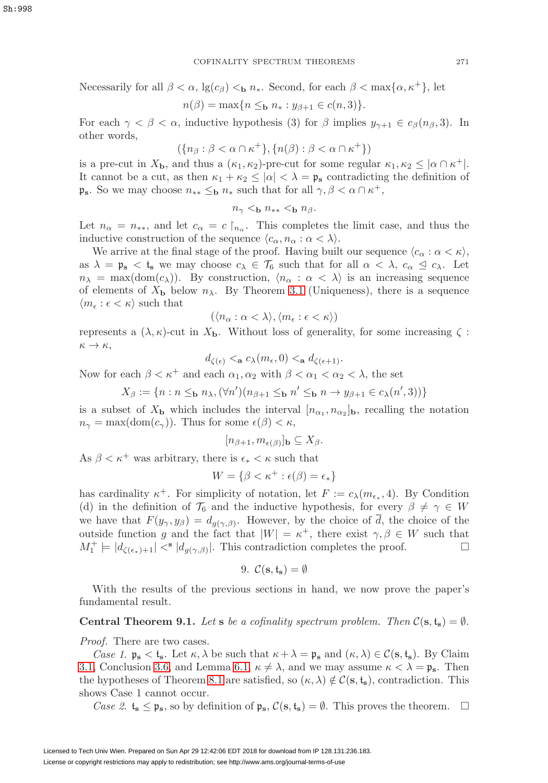Necessarily for all  $\beta < \alpha$ ,  $\lg(c_{\beta}) <_{\mathbf{b}} n_*$ . Second, for each  $\beta < \max\{\alpha, \kappa^+\}$ , let

$$
n(\beta) = \max\{n \leq_{\mathbf{b}} n_* : y_{\beta+1} \in c(n,3)\}.
$$

For each  $\gamma < \beta < \alpha$ , inductive hypothesis (3) for  $\beta$  implies  $y_{\gamma+1} \in c_{\beta}(n_{\beta}, 3)$ . In other words,

$$
(\{n_\beta : \beta < \alpha \cap \kappa^+ \}, \{n(\beta) : \beta < \alpha \cap \kappa^+ \})
$$

is a pre-cut in  $X_{\mathbf{b}}$ , and thus a  $(\kappa_1, \kappa_2)$ -pre-cut for some regular  $\kappa_1, \kappa_2 \leq |\alpha \cap \kappa^+|$ . It cannot be a cut, as then  $\kappa_1 + \kappa_2 \leq |\alpha| < \lambda = \mathfrak{p}_s$  contradicting the definition of  $\mathfrak{p}_s$ . So we may choose  $n_{**} \leq_b n_*$  such that for all  $\gamma, \beta < \alpha \cap \kappa^+,$ 

$$
n_{\gamma} <_{\mathbf{b}} n_{**} <_{\mathbf{b}} n_{\beta}.
$$

Let  $n_{\alpha} = n_{**}$ , and let  $c_{\alpha} = c \nvert_{n_{\alpha}}$ . This completes the limit case, and thus the inductive construction of the sequence  $\langle c_{\alpha}, n_{\alpha} : \alpha < \lambda \rangle$ .

We arrive at the final stage of the proof. Having built our sequence  $\langle c_{\alpha} : \alpha < \kappa \rangle$ , as  $\lambda = \mathfrak{p}_s < \mathfrak{t}_s$  we may choose  $c_{\lambda} \in \mathcal{T}_6$  such that for all  $\alpha < \lambda$ ,  $c_{\alpha} \leq c_{\lambda}$ . Let  $n_{\lambda} = \max(\text{dom}(c_{\lambda}))$ . By construction,  $\langle n_{\alpha} : \alpha \langle \lambda \rangle$  is an increasing sequence of elements of  $X_{\mathbf{b}}$  below  $n_{\lambda}$ . By Theorem [3.1](#page-14-0) (Uniqueness), there is a sequence  $\langle m_{\epsilon} : \epsilon < \kappa \rangle$  such that

$$
(\langle n_{\alpha} : \alpha < \lambda \rangle, \langle m_{\epsilon} : \epsilon < \kappa \rangle)
$$

represents a  $(\lambda, \kappa)$ -cut in  $X_{\mathbf{b}}$ . Without loss of generality, for some increasing  $\zeta$ :  $\kappa \to \kappa$ ,

$$
d_{\zeta(\epsilon)} <_{\mathbf{a}} c_{\lambda}(m_{\epsilon}, 0) <_{\mathbf{a}} d_{\zeta(\epsilon+1)}.
$$

Now for each  $\beta < \kappa^+$  and each  $\alpha_1, \alpha_2$  with  $\beta < \alpha_1 < \alpha_2 < \lambda$ , the set

$$
X_{\beta} := \{ n : n \leq_{\mathbf{b}} n_{\lambda}, (\forall n') (n_{\beta+1} \leq_{\mathbf{b}} n' \leq_{\mathbf{b}} n \rightarrow y_{\beta+1} \in c_{\lambda}(n', 3)) \}
$$

is a subset of  $X_{\mathbf{b}}$  which includes the interval  $[n_{\alpha_1}, n_{\alpha_2}]_{\mathbf{b}}$ , recalling the notation  $n_{\gamma} = \max(\text{dom}(c_{\gamma}))$ . Thus for some  $\epsilon(\beta) < \kappa$ ,

$$
[n_{\beta+1}, m_{\epsilon(\beta)}]_{\mathbf{b}} \subseteq X_{\beta}.
$$

As  $\beta < \kappa^+$  was arbitrary, there is  $\epsilon_* < \kappa$  such that

$$
W = \{ \beta < \kappa^+ : \epsilon(\beta) = \epsilon_* \}
$$

has cardinality  $\kappa^+$ . For simplicity of notation, let  $F := c_{\lambda}(m_{\epsilon_*}, 4)$ . By Condition (d) in the definition of  $\mathcal{T}_6$  and the inductive hypothesis, for every  $\beta \neq \gamma \in W$ we have that  $F(y_\gamma, y_\beta) = d_{g(\gamma, \beta)}$ . However, by the choice of  $\overline{d}$ , the choice of the outside function g and the fact that  $|W| = \kappa^+$ , there exist  $\gamma, \beta \in W$  such that  $M_1^+ \models |d_{\zeta(\epsilon_*)+1}| <^{\mathbf{s}} |d_{g(\gamma,\beta)}|$ . This contradiction completes the proof.

9. 
$$
\mathcal{C}(\mathbf{s}, \mathbf{t}_{\mathbf{s}}) = \emptyset
$$

<span id="page-34-0"></span>With the results of the previous sections in hand, we now prove the paper's fundamental result.

<span id="page-34-1"></span>**Central Theorem 9.1.** Let **s** be a cofinality spectrum problem. Then  $C(s, t_s) = \emptyset$ .

Proof. There are two cases.

Case 1.  $\mathfrak{p}_s < \mathfrak{t}_s$ . Let  $\kappa, \lambda$  be such that  $\kappa + \lambda = \mathfrak{p}_s$  and  $(\kappa, \lambda) \in \mathcal{C}(s, \mathfrak{t}_s)$ . By Claim [3.1,](#page-14-0) Conclusion [3.6,](#page-16-2) and Lemma [6.1,](#page-23-3)  $\kappa \neq \lambda$ , and we may assume  $\kappa < \lambda = \mathfrak{p}_s$ . Then the hypotheses of Theorem [8.1](#page-30-0) are satisfied, so  $(\kappa, \lambda) \notin C(\mathbf{s}, \mathbf{t}_{\mathbf{s}})$ , contradiction. This shows Case 1 cannot occur.

Case 2.  $t_s \leq p_s$ , so by definition of  $p_s$ ,  $\mathcal{C}(s, t_s) = \emptyset$ . This proves the theorem.  $\Box$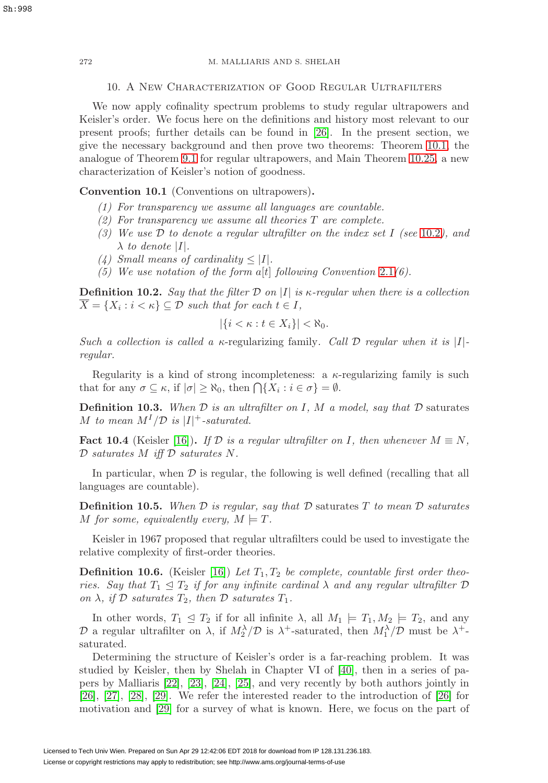## 10. A New Characterization of Good Regular Ultrafilters

We now apply cofinality spectrum problems to study regular ultrapowers and Keisler's order. We focus here on the definitions and history most relevant to our present proofs; further details can be found in [\[26\]](#page-59-13). In the present section, we give the necessary background and then prove two theorems: Theorem [10.1,](#page-40-1) the analogue of Theorem [9.1](#page-34-1) for regular ultrapowers, and Main Theorem [10.25,](#page-41-1) a new characterization of Keisler's notion of goodness.

## **Convention 10.1** (Conventions on ultrapowers)**.**

- (1) For transparency we assume all languages are countable.
- $(2)$  For transparency we assume all theories T are complete.
- (3) We use  $D$  to denote a regular ultrafilter on the index set I (see [10.2](#page-35-1)), and  $\lambda$  to denote |I|.
- (4) Small means of cardinality  $\leq |I|$ .
- (5) We use notation of the form a[t] following Convention [2.1](#page-6-2)(6).

<span id="page-35-1"></span>**Definition 10.2.** Say that the filter  $\mathcal{D}$  on |I| is  $\kappa$ -regular when there is a collection  $X = \{X_i : i < \kappa\} \subseteq \mathcal{D}$  such that for each  $t \in I$ ,

$$
|\{i < \kappa : t \in X_i\}| < \aleph_0.
$$

Such a collection is called a  $\kappa$ -regularizing family. Call D regular when it is [I]regular.

Regularity is a kind of strong incompleteness: a  $\kappa$ -regularizing family is such that for any  $\sigma \subseteq \kappa$ , if  $|\sigma| \geq \aleph_0$ , then  $\bigcap \{X_i : i \in \sigma\} = \emptyset$ .

**Definition 10.3.** When  $D$  is an ultrafilter on I, M a model, say that  $D$  saturates M to mean  $M^I/\mathcal{D}$  is  $|I|^+$ -saturated.

**Fact 10.4** (Keisler [\[16\]](#page-58-11)). If  $D$  is a regular ultrafilter on I, then whenever  $M \equiv N$ ,  $\mathcal D$  saturates  $M$  iff  $\mathcal D$  saturates  $N$ .

In particular, when  $D$  is regular, the following is well defined (recalling that all languages are countable).

**Definition 10.5.** When  $\mathcal D$  is regular, say that  $\mathcal D$  saturates  $T$  to mean  $\mathcal D$  saturates M for some, equivalently every,  $M \models T$ .

Keisler in 1967 proposed that regular ultrafilters could be used to investigate the relative complexity of first-order theories.

**Definition 10.6.** (Keisler [\[16\]](#page-58-11)) Let  $T_1, T_2$  be complete, countable first order theories. Say that  $T_1 \leq T_2$  if for any infinite cardinal  $\lambda$  and any regular ultrafilter  $\mathcal D$ on  $\lambda$ , if  $\mathcal D$  saturates  $T_2$ , then  $\mathcal D$  saturates  $T_1$ .

In other words,  $T_1 \leq T_2$  if for all infinite  $\lambda$ , all  $M_1 \models T_1, M_2 \models T_2$ , and any D a regular ultrafilter on  $\lambda$ , if  $M_2^{\lambda}/\mathcal{D}$  is  $\lambda^+$ -saturated, then  $M_1^{\lambda}/\mathcal{D}$  must be  $\lambda^+$ saturated.

Determining the structure of Keisler's order is a far-reaching problem. It was studied by Keisler, then by Shelah in Chapter VI of [\[40\]](#page-59-5), then in a series of papers by Malliaris [\[22\]](#page-58-9), [\[23\]](#page-58-12), [\[24\]](#page-58-8), [\[25\]](#page-59-7), and very recently by both authors jointly in [\[26\]](#page-59-13), [\[27\]](#page-59-14), [\[28\]](#page-59-6), [\[29\]](#page-59-15). We refer the interested reader to the introduction of [\[26\]](#page-59-13) for motivation and [\[29\]](#page-59-15) for a survey of what is known. Here, we focus on the part of

<span id="page-35-0"></span>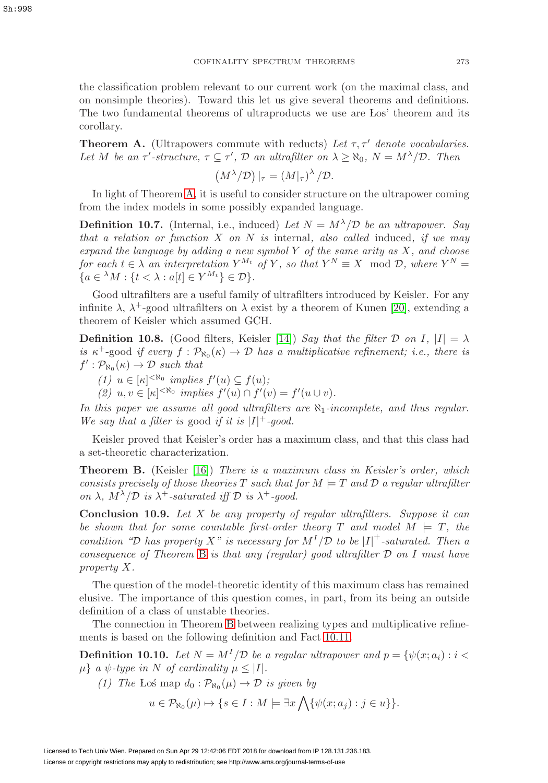the classification problem relevant to our current work (on the maximal class, and on nonsimple theories). Toward this let us give several theorems and definitions. The two fundamental theorems of ultraproducts we use are Los' theorem and its corollary.

<span id="page-36-1"></span>**Theorem A.** (Ultrapowers commute with reducts) Let  $\tau$ ,  $\tau'$  denote vocabularies. Let M be an  $\tau'$ -structure,  $\tau \subseteq \tau'$ ,  $\mathcal D$  an ultrafilter on  $\lambda \geq \aleph_0$ ,  $N = M^{\lambda}/\mathcal D$ . Then

$$
(M^{\lambda}/\mathcal{D})|_{\tau} = (M|_{\tau})^{\lambda}/\mathcal{D}.
$$

In light of Theorem [A,](#page-36-1) it is useful to consider structure on the ultrapower coming from the index models in some possibly expanded language.

**Definition 10.7.** (Internal, i.e., induced) Let  $N = M^{\lambda}/\mathcal{D}$  be an ultrapower. Say that a relation or function  $X$  on  $N$  is internal, also called induced, if we may expand the language by adding a new symbol  $Y$  of the same arity as  $X$ , and choose for each  $t \in \lambda$  an interpretation  $Y^{M_t}$  of Y, so that  $Y^N \equiv X \mod \mathcal{D}$ , where  $Y^N =$  ${a \in {}^{\lambda}M : \{t < \lambda : a[t] \in Y^{M_t}\} \in \mathcal{D}}.$ 

Good ultrafilters are a useful family of ultrafilters introduced by Keisler. For any infinite  $\lambda$ ,  $\lambda^+$ -good ultrafilters on  $\lambda$  exist by a theorem of Kunen [\[20\]](#page-58-13), extending a theorem of Keisler which assumed GCH.

<span id="page-36-0"></span>**Definition 10.8.** (Good filters, Keisler [\[14\]](#page-58-7)) Say that the filter D on I,  $|I| = \lambda$ is  $\kappa^+$ -good if every  $f : \mathcal{P}_{\aleph_0}(\kappa) \to \mathcal{D}$  has a multiplicative refinement; i.e., there is  $f' : \mathcal{P}_{\aleph_0}(\kappa) \to \mathcal{D}$  such that

- (1)  $u \in [\kappa]^{< \aleph_0}$  implies  $f'(u) \subseteq f(u)$ ;
- (2)  $u, v \in [\kappa]^{< \aleph_0}$  implies  $f'(u) \cap f'(v) = f'(u \cup v)$ .

In this paper we assume all good ultrafilters are  $\aleph_1$ -incomplete, and thus regular. We say that a filter is good if it is  $|I|$ <sup>+</sup>-good.

Keisler proved that Keisler's order has a maximum class, and that this class had a set-theoretic characterization.

<span id="page-36-2"></span>**Theorem B.** (Keisler [\[16\]](#page-58-11)) There is a maximum class in Keisler's order, which consists precisely of those theories T such that for  $M \models T$  and  $D$  a regular ultrafilter on  $\lambda$ ,  $M^{\lambda}/\mathcal{D}$  is  $\lambda^{+}$ -saturated iff  $\mathcal{D}$  is  $\lambda^{+}$ -good.

<span id="page-36-4"></span>**Conclusion 10.9.** Let X be any property of regular ultrafilters. Suppose it can be shown that for some countable first-order theory T and model  $M \models T$ , the condition "D has property X" is necessary for  $M^{I}/\mathcal{D}$  to be  $|I|^{+}$ -saturated. Then a consequence of Theorem [B](#page-36-2) is that any (regular) good ultrafilter  $D$  on I must have property X.

The question of the model-theoretic identity of this maximum class has remained elusive. The importance of this question comes, in part, from its being an outside definition of a class of unstable theories.

The connection in Theorem [B](#page-36-2) between realizing types and multiplicative refinements is based on the following definition and Fact [10.11.](#page-37-0)

<span id="page-36-3"></span>**Definition 10.10.** Let  $N = M^{I}/\mathcal{D}$  be a regular ultrapower and  $p = \{\psi(x; a_i) : i <$  $\mu$ } a  $\psi$ -type in N of cardinality  $\mu \leq |I|$ .

(1) The Los map  $d_0 : \mathcal{P}_{\aleph_0}(\mu) \to \mathcal{D}$  is given by

$$
u\in \mathcal{P}_{\aleph_0}(\mu)\mapsto \{s\in I: M\models \exists x\bigwedge \{\psi(x;a_j):j\in u\}\}.
$$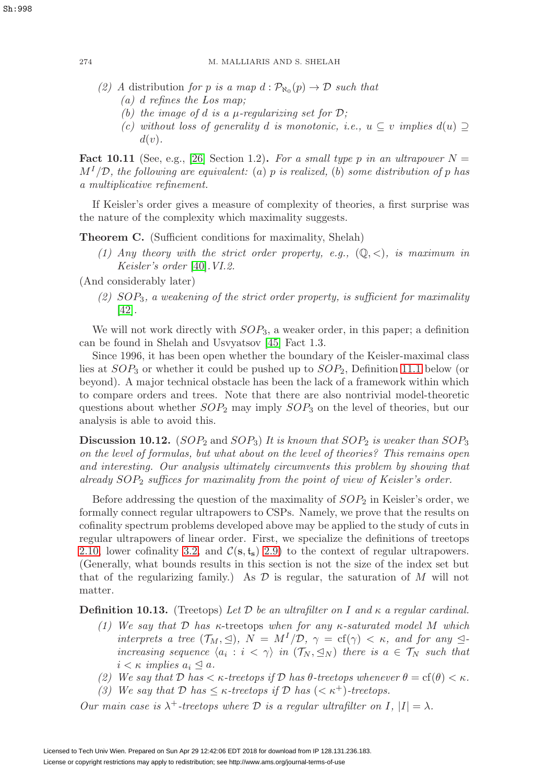- (2) A distribution for p is a map  $d : \mathcal{P}_{\aleph_0}(p) \to \mathcal{D}$  such that
	- (a) d refines the Los map;
	- (b) the image of d is a  $\mu$ -regularizing set for  $\mathcal{D}$ ;
	- (c) without loss of generality d is monotonic, i.e.,  $u \subseteq v$  implies  $d(u) \supseteq$  $d(v)$ .

<span id="page-37-0"></span>**Fact 10.11** (See, e.g., [\[26\]](#page-59-13) Section 1.2). For a small type p in an ultrapower  $N =$  $M<sup>I</sup>/\mathcal{D}$ , the following are equivalent: (a) p is realized, (b) some distribution of p has a multiplicative refinement.

If Keisler's order gives a measure of complexity of theories, a first surprise was the nature of the complexity which maximality suggests.

<span id="page-37-1"></span>**Theorem C.** (Sufficient conditions for maximality, Shelah)

(1) Any theory with the strict order property, e.g.,  $(\mathbb{Q}, \langle),$  is maximum in Keisler's order [\[40\]](#page-59-5).VI.2.

(And considerably later)

(2)  $SOP_3$ , a weakening of the strict order property, is sufficient for maximality [\[42\]](#page-59-16).

We will not work directly with  $SOP_3$ , a weaker order, in this paper; a definition can be found in Shelah and Usvyatsov [\[45\]](#page-59-11) Fact 1.3.

Since 1996, it has been open whether the boundary of the Keisler-maximal class lies at  $SOP_3$  or whether it could be pushed up to  $SOP_2$ , Definition [11.1](#page-41-2) below (or beyond). A major technical obstacle has been the lack of a framework within which to compare orders and trees. Note that there are also nontrivial model-theoretic questions about whether  $SOP_2$  may imply  $SOP_3$  on the level of theories, but our analysis is able to avoid this.

**Discussion 10.12.** (SOP<sub>2</sub> and SOP<sub>3</sub>) It is known that SOP<sub>2</sub> is weaker than SOP<sub>3</sub> on the level of formulas, but what about on the level of theories? This remains open and interesting. Our analysis ultimately circumvents this problem by showing that already  $SOP_2$  suffices for maximality from the point of view of Keisler's order.

Before addressing the question of the maximality of  $SOP_2$  in Keisler's order, we formally connect regular ultrapowers to CSPs. Namely, we prove that the results on cofinality spectrum problems developed above may be applied to the study of cuts in regular ultrapowers of linear order. First, we specialize the definitions of treetops [2.10,](#page-11-3) lower cofinality [3.2,](#page-16-4) and  $\mathcal{C}(\mathbf{s}, \mathbf{t}_{\mathbf{s}})$  [2.9\)](#page-11-0) to the context of regular ultrapowers. (Generally, what bounds results in this section is not the size of the index set but that of the regularizing family.) As  $\mathcal D$  is regular, the saturation of M will not matter.

<span id="page-37-2"></span>**Definition 10.13.** (Treetops) Let D be an ultrafilter on I and  $\kappa$  a regular cardinal.

- (1) We say that  $D$  has  $\kappa$ -treetops when for any  $\kappa$ -saturated model M which interprets a tree  $(\mathcal{T}_M, \trianglelefteq)$ ,  $N = M^I/\mathcal{D}$ ,  $\gamma = \text{cf}(\gamma) < \kappa$ , and for any  $\trianglelefteq$ increasing sequence  $\langle a_i : i \langle \gamma \rangle$  in  $(\mathcal{T}_N, \leq_N)$  there is  $a \in \mathcal{T}_N$  such that  $i < \kappa$  implies  $a_i \leq a$ .
- (2) We say that  $D$  has  $\lt \kappa$ -treetops if  $D$  has  $\theta$ -treetops whenever  $\theta = cf(\theta) \lt \kappa$ .
- (3) We say that  $D$  has  $\leq \kappa$ -treetops if  $D$  has  $( $\kappa^+$ )-treetops.$

Our main case is  $\lambda^+$ -treetops where D is a regular ultrafilter on I,  $|I| = \lambda$ .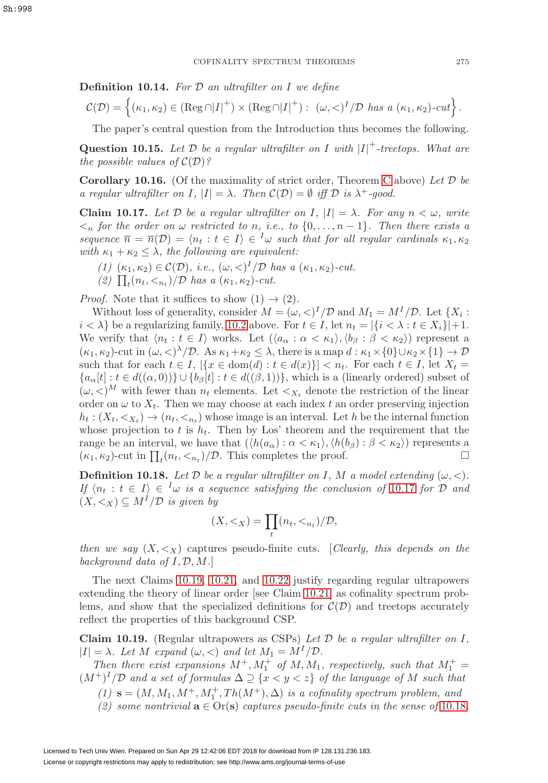**Definition 10.14.** For  $D$  an ultrafilter on I we define

$$
\mathcal{C}(\mathcal{D}) = \left\{ (\kappa_1, \kappa_2) \in (\text{Reg} \cap |I|^+) \times (\text{Reg} \cap |I|^+) : \ (\omega, \langle)^I / \mathcal{D} \text{ has a } (\kappa_1, \kappa_2) \text{-}cut \right\}.
$$

The paper's central question from the Introduction thus becomes the following.

**Question 10.15.** Let  $D$  be a regular ultrafilter on I with  $|I|$ <sup>+</sup>-treetops. What are the possible values of  $\mathcal{C}(\mathcal{D})$ ?

<span id="page-38-3"></span>**Corollary 10.16.** (Of the maximality of strict order, Theorem [C](#page-37-1) above) Let  $D$  be a regular ultrafilter on I,  $|I| = \lambda$ . Then  $\mathcal{C}(\mathcal{D}) = \emptyset$  iff  $\mathcal D$  is  $\lambda^+$ -good.

<span id="page-38-0"></span>**Claim 10.17.** Let D be a regular ultrafilter on I,  $|I| = \lambda$ . For any  $n < \omega$ , write  $\langle n \rangle$  for the order on  $\omega$  restricted to n, i.e., to  $\{0, \ldots, n-1\}$ . Then there exists a sequence  $\overline{n} = \overline{n}(\mathcal{D}) = \langle n_t : t \in I \rangle \in \mathcal{D}$  such that for all regular cardinals  $\kappa_1, \kappa_2$ with  $\kappa_1 + \kappa_2 \leq \lambda$ , the following are equivalent:

- (1)  $(\kappa_1, \kappa_2) \in \mathcal{C}(\mathcal{D}),$  i.e.,  $(\omega, \langle)^I/\mathcal{D}$  has a  $(\kappa_1, \kappa_2)$ -cut.
- (2)  $\prod_t(n_t, \langle n_t \rangle/\mathcal{D}$  has a  $(\kappa_1, \kappa_2)$ -cut.

*Proof.* Note that it suffices to show  $(1) \rightarrow (2)$ .

Without loss of generality, consider  $M = (\omega, \langle)^I / \mathcal{D}$  and  $M_1 = M^I / \mathcal{D}$ . Let  $\{X_i :$  $i < \lambda$  be a regularizing family, [10.2](#page-35-1) above. For  $t \in I$ , let  $n_t = |\{i < \lambda : t \in X_i\}| + 1$ . We verify that  $\langle n_t : t \in I \rangle$  works. Let  $(\langle a_\alpha : \alpha < \kappa_1 \rangle, \langle b_\beta : \beta < \kappa_2 \rangle)$  represent a  $(\kappa_1, \kappa_2)$ -cut in  $(\omega, \langle \rangle^{\lambda}/\mathcal{D})$ . As  $\kappa_1 + \kappa_2 \leq \lambda$ , there is a map  $d : \kappa_1 \times \{0\} \cup \kappa_2 \times \{1\} \to \mathcal{D}$ such that for each  $t \in I$ ,  $|\{x \in \text{dom}(d) : t \in d(x)\}| < n_t$ . For each  $t \in I$ , let  $X_t =$  ${a_{\alpha}[t]: t \in d((\alpha,0))\} \cup {b_{\beta}[t]: t \in d((\beta,1))},$  which is a (linearly ordered) subset of  $(\omega, \langle X \rangle^M)$  with fewer than  $n_t$  elements. Let  $\langle X_t \rangle$  denote the restriction of the linear order on  $\omega$  to  $X_t$ . Then we may choose at each index t an order preserving injection  $h_t: (X_t, \langle X_t \rangle \to (n_t, \langle X_t \rangle \cdot \langle X_t \rangle))$  whose image is an interval. Let h be the internal function whose projection to t is  $h_t$ . Then by Los' theorem and the requirement that the range be an interval, we have that  $(\langle h(a_\alpha): \alpha < \kappa_1 \rangle, \langle h(b_\beta): \beta < \kappa_2 \rangle)$  represents a  $(\kappa_1, \kappa_2)$ -cut in  $\prod_t (n_t, \langle n_t \rangle / \mathcal{D})$ . This completes the proof.

<span id="page-38-2"></span>**Definition 10.18.** Let  $D$  be a regular ultrafilter on I, M a model extending  $(\omega, <)$ . If  $\langle n_t : t \in I \rangle \in {}^I\omega$  is a sequence satisfying the conclusion of [10.17](#page-38-0) for  $\mathcal{D}$  and  $(X, \leq_X) \subseteq M^{I}/\mathcal{D}$  is given by

$$
(X, <_X) = \prod_t (n_t, <_{n_t})/\mathcal{D},
$$

then we say  $(X, \leq_X)$  captures pseudo-finite cuts. [Clearly, this depends on the background data of  $I, \mathcal{D}, M$ .

The next Claims [10.19,](#page-38-1) [10.21,](#page-39-0) and [10.22](#page-39-1) justify regarding regular ultrapowers extending the theory of linear order [see Claim [10.21\]](#page-39-0) as cofinality spectrum problems, and show that the specialized definitions for  $\mathcal{C}(\mathcal{D})$  and treetops accurately reflect the properties of this background CSP.

<span id="page-38-1"></span>**Claim 10.19.** (Regular ultrapowers as CSPs) Let  $\mathcal{D}$  be a regular ultrafilter on  $I$ .  $|I| = \lambda$ . Let M expand  $(\omega, <)$  and let  $M_1 = M^I/\mathcal{D}$ .

Then there exist expansions  $M^+$ ,  $M_1^+$  of  $M$ ,  $M_1$ , respectively, such that  $M_1^+$  =  $(M^+)^I/D$  and a set of formulas  $\Delta \supseteq {\{x < y < z\}}$  of the language of M such that

- $(1)$  **s** =  $(M, M_1, M^+, M_1^+, Th(M^+), \Delta)$  is a cofinality spectrum problem, and
- (2) some nontrivial  $\mathbf{a} \in \text{Or}(\mathbf{s})$  captures pseudo-finite cuts in the sense of [10.18](#page-38-2).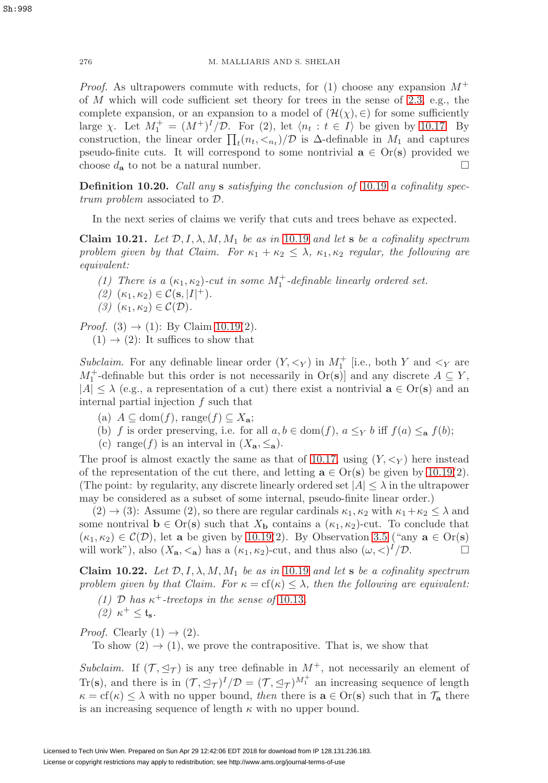*Proof.* As ultrapowers commute with reducts, for (1) choose any expansion  $M^+$ of  $M$  which will code sufficient set theory for trees in the sense of [2.3,](#page-8-1) e.g., the complete expansion, or an expansion to a model of  $(\mathcal{H}(\chi), \in)$  for some sufficiently large  $\chi$ . Let  $M_1^+ = (M^+)^I / \mathcal{D}$ . For (2), let  $\langle n_t : t \in I \rangle$  be given by [10.17.](#page-38-0) By construction, the linear order  $\prod_t(n_t, \langle n_t \rangle/\mathcal{D})$  is  $\Delta$ -definable in  $M_1$  and captures pseudo-finite cuts. It will correspond to some nontrivial  $\mathbf{a} \in \text{Or}(\mathbf{s})$  provided we choose  $d_{\mathbf{a}}$  to not be a natural number.

**Definition 10.20.** Call any **s** satisfying the conclusion of [10.19](#page-38-1) a cofinality spectrum problem associated to D.

In the next series of claims we verify that cuts and trees behave as expected.

<span id="page-39-0"></span>**Claim 10.21.** Let  $\mathcal{D}, I, \lambda, M, M_1$  be as in [10.19](#page-38-1) and let **s** be a cofinality spectrum problem given by that Claim. For  $\kappa_1 + \kappa_2 \leq \lambda$ ,  $\kappa_1, \kappa_2$  regular, the following are equivalent:

(1) There is a  $(\kappa_1, \kappa_2)$ -cut in some  $M_1^+$ -definable linearly ordered set.

$$
(2) \ (\kappa_1,\kappa_2) \in \mathcal{C}(\mathbf{s},|I|^+).
$$

(3)  $(\kappa_1, \kappa_2) \in \mathcal{C}(\mathcal{D}).$ 

*Proof.* (3)  $\rightarrow$  (1): By Claim [10.19\(](#page-38-1)2).

 $(1) \rightarrow (2)$ : It suffices to show that

Subclaim. For any definable linear order  $(Y, \leq_Y)$  in  $M_1^+$  [i.e., both Y and  $\leq_Y$  are  $M_1^+$ -definable but this order is not necessarily in  $\text{Or}(s)$  and any discrete  $A \subseteq Y$ ,  $|A| \leq \lambda$  (e.g., a representation of a cut) there exist a nontrivial  $\mathbf{a} \in \text{Or}(\mathbf{s})$  and an internal partial injection f such that

- (a) A ⊆ dom(f), range(f) ⊆ X**a**;
- (b) f is order preserving, i.e. for all  $a, b \in \text{dom}(f)$ ,  $a \leq_Y b$  iff  $f(a) \leq_{\mathbf{a}} f(b)$ ;
- (c) range(f) is an interval in  $(X_{\mathbf{a}}, \leq_{\mathbf{a}})$ .

The proof is almost exactly the same as that of [10.17,](#page-38-0) using  $(Y, \leq_Y)$  here instead of the representation of the cut there, and letting  $\mathbf{a} \in \text{Or}(\mathbf{s})$  be given by [10.19\(](#page-38-1)2). (The point: by regularity, any discrete linearly ordered set  $|A| \leq \lambda$  in the ultrapower may be considered as a subset of some internal, pseudo-finite linear order.)

 $(2) \rightarrow (3)$ : Assume  $(2)$ , so there are regular cardinals  $\kappa_1, \kappa_2$  with  $\kappa_1 + \kappa_2 \leq \lambda$  and some nontrival  $\mathbf{b} \in \text{Or}(\mathbf{s})$  such that  $X_{\mathbf{b}}$  contains a  $(\kappa_1, \kappa_2)$ -cut. To conclude that  $(\kappa_1, \kappa_2) \in \mathcal{C}(\mathcal{D})$ , let **a** be given by [10.19\(](#page-38-1)2). By Observation [3.5](#page-16-1) ("any  $\mathbf{a} \in \text{Or}(\mathbf{s})$ will work"), also  $(X_{\mathbf{a}}, \leq_{\mathbf{a}})$  has a  $(\kappa_1, \kappa_2)$ -cut, and thus also  $(\omega, \leq)^1/\mathcal{D}$ .

<span id="page-39-1"></span>**Claim 10.22.** Let  $\mathcal{D}, I, \lambda, M, M_1$  be as in [10.19](#page-38-1) and let **s** be a cofinality spectrum problem given by that Claim. For  $\kappa = \text{cf}(\kappa) \leq \lambda$ , then the following are equivalent:

(1) D has  $\kappa^+$ -treetops in the sense of [10.13](#page-37-2). (2)  $\kappa^+ \leq \mathfrak{t}_s$ .

*Proof.* Clearly  $(1) \rightarrow (2)$ .

To show  $(2) \rightarrow (1)$ , we prove the contrapositive. That is, we show that

Subclaim. If  $(\mathcal{T}, \leq_{\mathcal{T}})$  is any tree definable in  $M^+$ , not necessarily an element of Tr(s), and there is in  $(\mathcal{T}, \preceq_{\mathcal{T}})^{I}/\mathcal{D} = (\mathcal{T}, \preceq_{\mathcal{T}})^{M_{1}^{+}}$  an increasing sequence of length  $\kappa = \text{cf}(\kappa) \leq \lambda$  with no upper bound, then there is  $\mathbf{a} \in \text{Or}(\mathbf{s})$  such that in  $\mathcal{T}_{\mathbf{a}}$  there is an increasing sequence of length  $\kappa$  with no upper bound.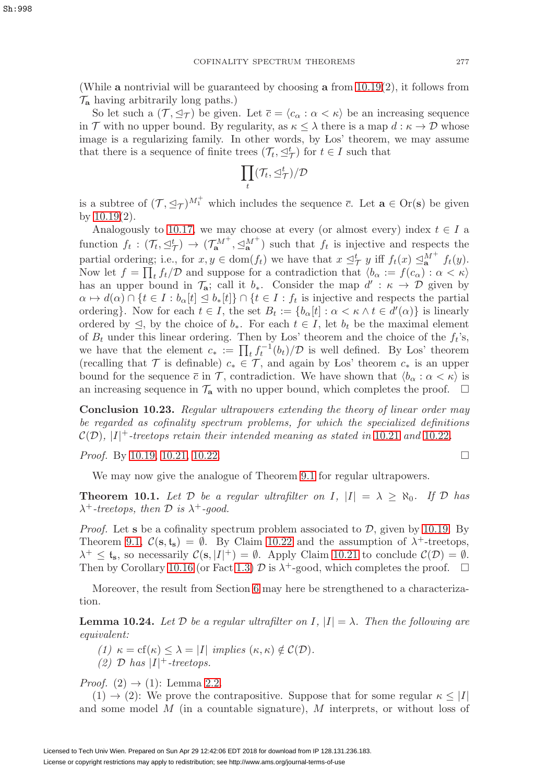(While **a** nontrivial will be guaranteed by choosing **a** from [10.19\(](#page-38-1)2), it follows from  $\mathcal{T}_{a}$  having arbitrarily long paths.)

So let such a  $(\mathcal{T}, \trianglelefteq_{\mathcal{T}})$  be given. Let  $\overline{c} = \langle c_{\alpha} : \alpha < \kappa \rangle$  be an increasing sequence in T with no upper bound. By regularity, as  $\kappa \leq \lambda$  there is a map  $d : \kappa \to \mathcal{D}$  whose image is a regularizing family. In other words, by Los' theorem, we may assume that there is a sequence of finite trees  $(\mathcal{T}_t, \leq^t_{\mathcal{T}})$  for  $t \in I$  such that

$$
\prod_t(\mathcal{T}_t,\trianglelefteq^t_{\mathcal{T}})/\mathcal{D}
$$

is a subtree of  $(\mathcal{T}, \leq_{\mathcal{T}})^{M_1^+}$  which includes the sequence  $\bar{c}$ . Let  $\mathbf{a} \in \text{Or}(\mathbf{s})$  be given by [10.19\(](#page-38-1)2).

Analogously to [10.17,](#page-38-0) we may choose at every (or almost every) index  $t \in I$  a function  $f_t: (\mathcal{T}_t, \leq^t_\mathcal{T}) \to (\mathcal{T}_{\mathbf{a}}^{M^+}, \leq^M_\mathbf{a}^{\mathcal{T}})$  such that  $f_t$  is injective and respects the partial ordering; i.e., for  $x, y \in \text{dom}(f_t)$  we have that  $x \leq^t_\mathcal{T} y$  iff  $f_t(x) \leq^M_{\mathbf{a}} f_t(y)$ . Now let  $f = \prod_t f_t/\mathcal{D}$  and suppose for a contradiction that  $\langle b_\alpha := f(c_\alpha) : \alpha < \kappa \rangle$ has an upper bound in  $\mathcal{T}_a$ ; call it  $b_*$ . Consider the map  $d' : \kappa \to \mathcal{D}$  given by  $\alpha \mapsto d(\alpha) \cap \{t \in I : b_{\alpha}[t] \leq b_*[t] \} \cap \{t \in I : f_t \text{ is injective and respects the partial }$ ordering}. Now for each  $t \in I$ , the set  $B_t := \{b_\alpha[t] : \alpha < \kappa \wedge t \in d'(\alpha)\}\$ is linearly ordered by  $\leq$ , by the choice of  $b_*$ . For each  $t \in I$ , let  $b_t$  be the maximal element of  $B_t$  under this linear ordering. Then by Los' theorem and the choice of the  $f_t$ 's, we have that the element  $c_* := \prod_t f_t^{-1}(b_t)/\mathcal{D}$  is well defined. By Los' theorem (recalling that T is definable)  $c_* \in \mathcal{T}$ , and again by Los' theorem  $c_*$  is an upper bound for the sequence  $\bar{c}$  in  $\mathcal{T}$ , contradiction. We have shown that  $\langle b_{\alpha} : \alpha < \kappa \rangle$  is an increasing sequence in  $\mathcal{T}_a$  with no upper bound, which completes the proof.  $\Box$ 

**Conclusion 10.23.** Regular ultrapowers extending the theory of linear order may be regarded as cofinality spectrum problems, for which the specialized definitions  $\mathcal{C}(\mathcal{D}),$  |I|<sup>+</sup>-treetops retain their intended meaning as stated in [10.21](#page-39-0) and [10.22](#page-39-1).

*Proof.* By [10.19,](#page-38-1) [10.21,](#page-39-0) [10.22.](#page-39-1)

We may now give the analogue of Theorem [9.1](#page-34-1) for regular ultrapowers.

<span id="page-40-1"></span>**Theorem 10.1.** Let  $D$  be a regular ultrafilter on I,  $|I| = \lambda \geq \aleph_0$ . If  $D$  has  $\lambda^+$ -treetops, then  $\mathcal D$  is  $\lambda^+$ -good.

*Proof.* Let **s** be a cofinality spectrum problem associated to  $D$ , given by [10.19.](#page-38-1) By Theorem [9.1,](#page-34-1)  $\mathcal{C}(\mathbf{s}, \mathbf{t_s}) = \emptyset$ . By Claim [10.22](#page-39-1) and the assumption of  $\lambda^+$ -treetops,  $\lambda^+ \leq t_s$ , so necessarily  $\mathcal{C}(s, |I|^+) = \emptyset$ . Apply Claim [10.21](#page-39-0) to conclude  $\mathcal{C}(\mathcal{D}) = \emptyset$ . Then by Corollary [10.16](#page-38-3) (or Fact [1.3\)](#page-3-3)  $\mathcal D$  is  $\lambda^+$ -good, which completes the proof.  $\Box$ 

Moreover, the result from Section [6](#page-23-0) may here be strengthened to a characterization.

<span id="page-40-0"></span>**Lemma 10.24.** Let  $\mathcal{D}$  be a regular ultrafilter on  $I, |I| = \lambda$ . Then the following are equivalent:

(1)  $\kappa = cf(\kappa) \leq \lambda = |I|$  implies  $(\kappa, \kappa) \notin C(\mathcal{D})$ .

(2)  $\mathcal{D}$  has  $|I|$ <sup>+</sup>-treetops.

*Proof.*  $(2) \rightarrow (1)$ : Lemma [2.2.](#page-6-3)

 $(1) \rightarrow (2)$ : We prove the contrapositive. Suppose that for some regular  $\kappa \leq |I|$ and some model M (in a countable signature), M interprets, or without loss of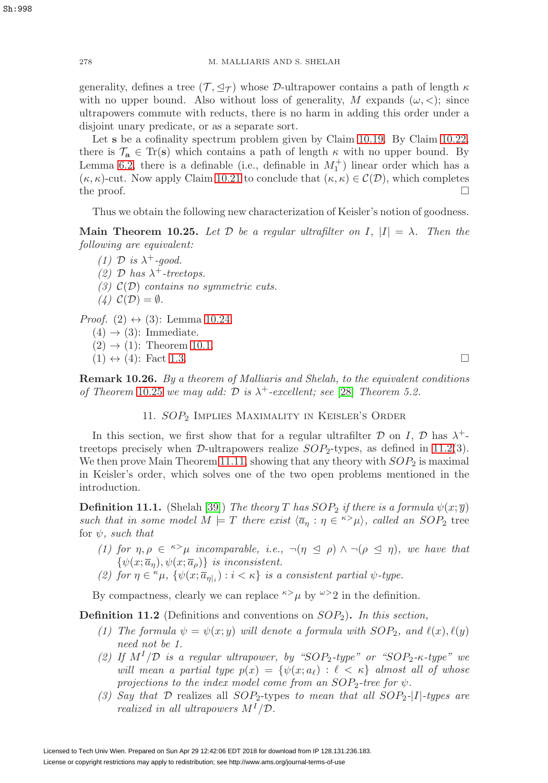generality, defines a tree  $(\mathcal{T}, \trianglelefteq_{\mathcal{T}})$  whose  $\mathcal{D}\text{-ultrapower contains a path of length } \kappa$ with no upper bound. Also without loss of generality, M expands  $(\omega, <)$ ; since ultrapowers commute with reducts, there is no harm in adding this order under a disjoint unary predicate, or as a separate sort.

Let **s** be a cofinality spectrum problem given by Claim [10.19.](#page-38-1) By Claim [10.22,](#page-39-1) there is  $\mathcal{T}_a \in \text{Tr}(s)$  which contains a path of length  $\kappa$  with no upper bound. By Lemma [6.2,](#page-24-0) there is a definable (i.e., definable in  $M_1^+$ ) linear order which has a  $(\kappa, \kappa)$ -cut. Now apply Claim [10.21](#page-39-0) to conclude that  $(\kappa, \kappa) \in C(\mathcal{D})$ , which completes the proof.  $\Box$ 

Thus we obtain the following new characterization of Keisler's notion of goodness.

<span id="page-41-1"></span>**Main Theorem 10.25.** Let D be a regular ultrafilter on I,  $|I| = \lambda$ . Then the following are equivalent:

- (1) D is  $\lambda^+$ -good.
- (2) D has  $\lambda^+$ -treetops.
- (3)  $\mathcal{C}(\mathcal{D})$  contains no symmetric cuts.
- $(4)$   $C(\mathcal{D}) = \emptyset$ .

*Proof.*  $(2) \leftrightarrow (3)$ : Lemma [10.24.](#page-40-0)

- $(4) \rightarrow (3)$ : Immediate.
- $(2) \rightarrow (1)$ : Theorem [10.1.](#page-40-1)
- $(1) \leftrightarrow (4)$ : Fact [1.3.](#page-3-3)

<span id="page-41-0"></span>**Remark 10.26.** By a theorem of Malliaris and Shelah, to the equivalent conditions of Theorem [10.25](#page-41-1) we may add:  $D$  is  $\lambda^+$ -excellent; see [\[28\]](#page-59-6) Theorem 5.2.

## 11. SOP<sub>2</sub> IMPLIES MAXIMALITY IN KEISLER'S ORDER

In this section, we first show that for a regular ultrafilter  $\mathcal D$  on I,  $\mathcal D$  has  $\lambda^+$ treetops precisely when  $\mathcal{D}\text{-ultrapowers}$  realize  $SOP_2$ -types, as defined in [11.2\(](#page-41-3)3). We then prove Main Theorem [11.11,](#page-44-1) showing that any theory with  $SOP_2$  is maximal in Keisler's order, which solves one of the two open problems mentioned in the introduction.

<span id="page-41-2"></span>**Definition 11.1.** (Shelah [\[39\]](#page-59-17)) The theory T has  $SOP_2$  if there is a formula  $\psi(x;\overline{y})$ such that in some model  $M \models T$  there exist  $\langle \overline{a}_\eta : \eta \in {}^{\kappa} \rangle \mu$ , called an  $SOP_2$  tree for  $\psi$ , such that

- (1) for  $\eta, \rho \in \infty$  incomparable, i.e.,  $\neg(\eta \leq \rho) \wedge \neg(\rho \leq \eta)$ , we have that  $\{\psi(x;\overline{a}_{\eta}),\psi(x;\overline{a}_{\rho})\}\$ is inconsistent.
- (2) for  $\eta \in \kappa \mu$ ,  $\{\psi(x; \overline{a}_{\eta\vert i}) : i < \kappa\}$  is a consistent partial  $\psi$ -type.

By compactness, clearly we can replace  $\kappa > \mu$  by  $\omega > 2$  in the definition.

<span id="page-41-3"></span>**Definition 11.2** (Definitions and conventions on SOP2)**.** In this section,

- (1) The formula  $\psi = \psi(x; y)$  will denote a formula with  $SOP_2$ , and  $\ell(x), \ell(y)$ need not be 1.
- (2) If  $M<sup>I</sup>/D$  is a regular ultrapower, by "SOP<sub>2</sub>-type" or "SOP<sub>2</sub>- $\kappa$ -type" we will mean a partial type  $p(x) = \{ \psi(x; a_{\ell}) : \ell < \kappa \}$  almost all of whose projections to the index model come from an  $SOP<sub>2</sub>$ -tree for  $\psi$ .
- (3) Say that  $D$  realizes all SOP<sub>2</sub>-types to mean that all SOP<sub>2</sub>-[I]-types are realized in all ultrapowers  $M^{I}/\mathcal{D}$ .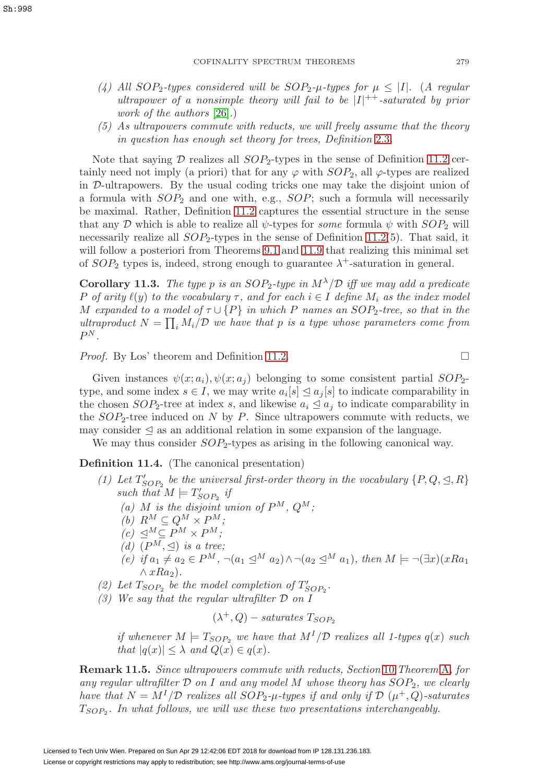- (4) All  $SOP_2$ -types considered will be  $SOP_2$ -μ-types for  $\mu \leq |I|$ . (A regular ultrapower of a nonsimple theory will fail to be  $|I|^{++}$ -saturated by prior work of the authors [\[26\]](#page-59-13).)
- (5) As ultrapowers commute with reducts, we will freely assume that the theory in question has enough set theory for trees, Definition [2.3](#page-8-1).

Note that saying  $D$  realizes all  $SOP_2$ -types in the sense of Definition [11.2](#page-41-3) certainly need not imply (a priori) that for any  $\varphi$  with  $SOP_2$ , all  $\varphi$ -types are realized in D-ultrapowers. By the usual coding tricks one may take the disjoint union of a formula with  $SOP_2$  and one with, e.g.,  $SOP$ ; such a formula will necessarily be maximal. Rather, Definition [11.2](#page-41-3) captures the essential structure in the sense that any D which is able to realize all  $\psi$ -types for some formula  $\psi$  with  $SOP_2$  will necessarily realize all  $SOP_2$ -types in the sense of Definition [11.2\(](#page-41-3)5). That said, it will follow a posteriori from Theorems [9.1](#page-34-1) and [11.9](#page-44-2) that realizing this minimal set of  $SOP_2$  types is, indeed, strong enough to guarantee  $\lambda^+$ -saturation in general.

**Corollary 11.3.** The type p is an  $SOP_2$ -type in  $M^{\lambda}/\mathcal{D}$  iff we may add a predicate P of arity  $\ell(y)$  to the vocabulary  $\tau$ , and for each  $i \in I$  define  $M_i$  as the index model M expanded to a model of  $\tau \cup \{P\}$  in which P names an SOP<sub>2</sub>-tree, so that in the ultraproduct  $N = \prod_i M_i/\mathcal{D}$  we have that p is a type whose parameters come from  $P^N$ .

*Proof.* By Los' theorem and Definition [11.2.](#page-41-3)  $\Box$ 

Given instances  $\psi(x; a_i), \psi(x; a_i)$  belonging to some consistent partial  $SOP_{2-}$ type, and some index  $s \in I$ , we may write  $a_i[s] \leq a_j[s]$  to indicate comparability in the chosen  $SOP_2$ -tree at index s, and likewise  $a_i \leq a_j$  to indicate comparability in the  $SOP_2$ -tree induced on N by P. Since ultrapowers commute with reducts, we may consider  $\leq$  as an additional relation in some expansion of the language.

We may thus consider  $SOP_2$ -types as arising in the following canonical way.

<span id="page-42-0"></span>**Definition 11.4.** (The canonical presentation)

- (1) Let  $T'_{SOP_2}$  be the universal first-order theory in the vocabulary  $\{P,Q,\leq,R\}$ such that  $M \models T'_{SOP_2}$  if
	- (a) M is the disjoint union of  $P^M$ ,  $Q^M$ ;
	- (b)  $R^M \subseteq Q^M \times P^M$ ;
	- $(c) \leq^M \subseteq P^M \times P^M;$
	- (d)  $(P^M, \trianglelefteq)$  is a tree;
	- (e) if  $a_1 \neq a_2 \in P^M$ ,  $\neg(a_1 \leq^M a_2) \land \neg(a_2 \leq^M a_1)$ , then  $M \models \neg (\exists x) (xRa_1)$  $\wedge xRa_2$ ).
- (2) Let  $T_{SOP_2}$  be the model completion of  $T'_{SOP_2}$ .
- (3) We say that the regular ultrafilter  $\mathcal D$  on  $I$

$$
(\lambda^+,Q) - saturates\;T_{SOP_2}
$$

if whenever  $M \models T_{SOP_2}$  we have that  $M<sup>I</sup>/\mathcal{D}$  realizes all 1-types  $q(x)$  such that  $|q(x)| \leq \lambda$  and  $Q(x) \in q(x)$ .

<span id="page-42-1"></span>**Remark 11.5.** Since ultrapowers commute with reducts, Section [10](#page-35-0) Theorem [A](#page-36-1), for any regular ultrafilter  $D$  on I and any model M whose theory has  $SOP_2$ , we clearly have that  $N = M^{1}/\mathcal{D}$  realizes all  $SOP_2$ -μ-types if and only if  $\mathcal{D}(\mu^{+}, Q)$ -saturates  $T<sub>SOP2</sub>$ . In what follows, we will use these two presentations interchangeably.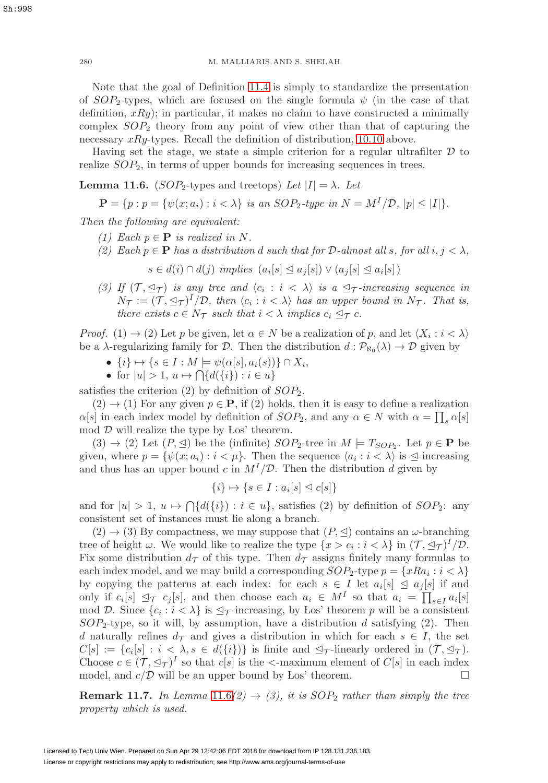Note that the goal of Definition [11.4](#page-42-0) is simply to standardize the presentation of  $SOP_2$ -types, which are focused on the single formula  $\psi$  (in the case of that definition,  $xRy$ ; in particular, it makes no claim to have constructed a minimally complex  $SOP_2$  theory from any point of view other than that of capturing the necessary  $xRy$ -types. Recall the definition of distribution, [10.10](#page-36-3) above.

Having set the stage, we state a simple criterion for a regular ultrafilter  $\mathcal D$  to realize  $SOP_2$ , in terms of upper bounds for increasing sequences in trees.

<span id="page-43-0"></span>**Lemma 11.6.** (SOP<sub>2</sub>-types and treetops) Let  $|I| = \lambda$ . Let

$$
\mathbf{P} = \{ p : p = \{ \psi(x; a_i) : i < \lambda \} \text{ is an } SOP_2\text{-type in } N = M^I/\mathcal{D}, |p| \leq |I| \}.
$$

Then the following are equivalent:

- (1) Each  $p \in \mathbf{P}$  is realized in N.
- (2) Each  $p \in \mathbf{P}$  has a distribution d such that for D-almost all s, for all  $i, j < \lambda$ ,  $s \in d(i) \cap d(j)$  implies  $(a_i[s] \leq a_j[s]) \vee (a_j[s] \leq a_i[s])$
- (3) If  $(\mathcal{T}, \preceq_{\mathcal{T}})$  is any tree and  $\langle c_i : i \langle \lambda \rangle$  is a  $\preceq_{\mathcal{T}}$ -increasing sequence in  $N_{\mathcal{T}} := (\mathcal{T}, \trianglelefteq_{\mathcal{T}})^I / \mathcal{D}$ , then  $\langle c_i : i \langle \lambda \rangle$  has an upper bound in  $N_{\mathcal{T}}$ . That is, there exists  $c \in N_{\mathcal{T}}$  such that  $i < \lambda$  implies  $c_i \leq_{\mathcal{T}} c$ .

*Proof.* (1)  $\rightarrow$  (2) Let p be given, let  $\alpha \in N$  be a realization of p, and let  $\langle X_i : i < \lambda \rangle$ be a  $\lambda$ -regularizing family for D. Then the distribution  $d : \mathcal{P}_{\aleph_0}(\lambda) \to \mathcal{D}$  given by

- $\{i\} \mapsto \{s \in I : M \models \psi(\alpha[s], a_i(s))\} \cap X_i,$
- for  $|u| > 1$ ,  $u \mapsto \bigcap \{d(\{i\}) : i \in u\}$

satisfies the criterion  $(2)$  by definition of  $SOP<sub>2</sub>$ .

 $(2) \rightarrow (1)$  For any given  $p \in \mathbf{P}$ , if  $(2)$  holds, then it is easy to define a realization  $\alpha[s]$  in each index model by definition of  $SOP_2$ , and any  $\alpha \in N$  with  $\alpha = \prod_s \alpha[s]$ mod  $D$  will realize the type by Los' theorem.

 $(3) \rightarrow (2)$  Let  $(P, \leq)$  be the (infinite)  $SOP_2$ -tree in  $M \models T_{SOP_2}$ . Let  $p \in \mathbf{P}$  be given, where  $p = \{\psi(x; a_i) : i < \mu\}$ . Then the sequence  $\langle a_i : i < \lambda \rangle$  is  $\trianglelefteq$ -increasing and thus has an upper bound c in  $M<sup>I</sup>/D$ . Then the distribution d given by

$$
\{i\} \mapsto \{s \in I : a_i[s] \trianglelefteq c[s]\}
$$

and for  $|u| > 1$ ,  $u \mapsto \bigcap \{d(\{i\}) : i \in u\}$ , satisfies (2) by definition of  $SOP_2$ : any consistent set of instances must lie along a branch.

 $(2) \rightarrow (3)$  By compactness, we may suppose that  $(P, \trianglelefteq)$  contains an  $\omega$ -branching tree of height  $\omega$ . We would like to realize the type  $\{x > c_i : i < \lambda\}$  in  $(\mathcal{T}, \preceq_{\mathcal{T}})^I / \mathcal{D}$ . Fix some distribution  $d_{\mathcal{T}}$  of this type. Then  $d_{\mathcal{T}}$  assigns finitely many formulas to each index model, and we may build a corresponding  $SOP_2$ -type  $p = \{xRa_i : i < \lambda\}$ by copying the patterns at each index: for each  $s \in I$  let  $a_i[s] \leq a_j[s]$  if and only if  $c_i[s] \leq \tau c_j[s]$ , and then choose each  $a_i \in M^I$  so that  $a_i = \prod_{s \in I} a_i[s]$ mod D. Since  $\{c_i : i < \lambda\}$  is  $\mathcal{I}_{\mathcal{T}}$ -increasing, by Los' theorem p will be a consistent  $SOP_2$ -type, so it will, by assumption, have a distribution d satisfying (2). Then d naturally refines  $d_{\mathcal{T}}$  and gives a distribution in which for each  $s \in I$ , the set  $C[s] := \{c_i[s] : i \leq \lambda, s \in d(\{i\})\}$  is finite and  $\preceq_{\mathcal{T}}$ -linearly ordered in  $(\mathcal{T}, \preceq_{\mathcal{T}})$ . Choose  $c \in (\mathcal{T}, \leq_{\mathcal{T}})^I$  so that  $c[s]$  is the  $\leq$ -maximum element of  $C[s]$  in each index model, and  $c/D$  will be an upper bound by Los' theorem.

**Remark 11.7.** In Lemma  $11.6(2) \rightarrow (3)$  $11.6(2) \rightarrow (3)$ , it is SOP<sub>2</sub> rather than simply the tree property which is used.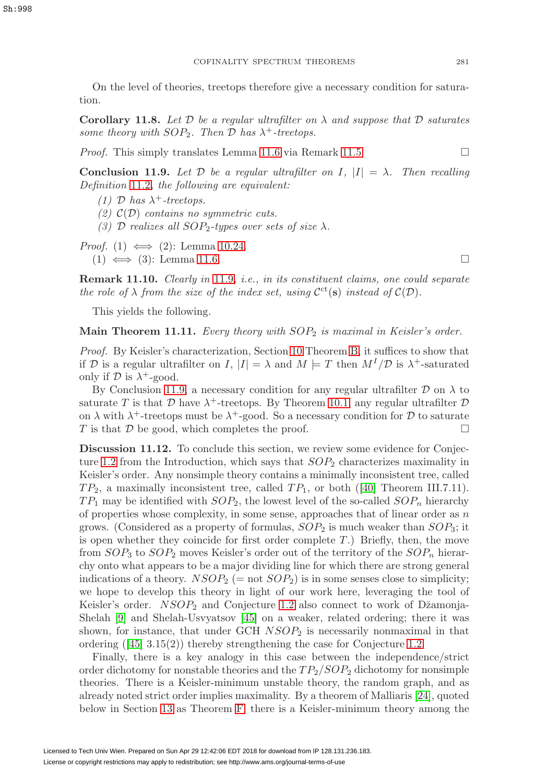On the level of theories, treetops therefore give a necessary condition for saturation.

<span id="page-44-3"></span>**Corollary 11.8.** Let  $\mathcal{D}$  be a regular ultrafilter on  $\lambda$  and suppose that  $\mathcal{D}$  saturates some theory with  $SOP_2$ . Then  $\mathcal D$  has  $\lambda^+$ -treetops.

*Proof.* This simply translates Lemma [11.6](#page-43-0) via Remark [11.5.](#page-42-1)  $\Box$ 

<span id="page-44-2"></span>**Conclusion 11.9.** Let  $D$  be a regular ultrafilter on I,  $|I| = \lambda$ . Then recalling Definition [11.2](#page-41-3), the following are equivalent:

- (1) D has  $\lambda^+$ -treetops.
- (2)  $\mathcal{C}(\mathcal{D})$  contains no symmetric cuts.
- (3) D realizes all  $SOP_2$ -types over sets of size  $\lambda$ .
- *Proof.* (1)  $\iff$  (2): Lemma [10.24.](#page-40-0)  $(1) \iff (3)$ : Lemma [11.6.](#page-43-0)

**Remark 11.10.** Clearly in [11.9](#page-44-2), i.e., in its constituent claims, one could separate the role of  $\lambda$  from the size of the index set, using  $\mathcal{C}^{ct}(s)$  instead of  $\mathcal{C}(\mathcal{D})$ .

This yields the following.

<span id="page-44-1"></span>**Main Theorem 11.11.** Every theory with  $SOP_2$  is maximal in Keisler's order.

Proof. By Keisler's characterization, Section [10](#page-35-0) Theorem [B,](#page-36-2) it suffices to show that if D is a regular ultrafilter on I,  $|I| = \lambda$  and  $M \models T$  then  $M^I/\mathcal{D}$  is  $\lambda^+$ -saturated only if  $\mathcal D$  is  $\lambda^+$ -good.

By Conclusion [11.9,](#page-44-2) a necessary condition for any regular ultrafilter  $\mathcal D$  on  $\lambda$  to saturate T is that D have  $\lambda^+$ -treetops. By Theorem [10.1,](#page-40-1) any regular ultrafilter D on  $\lambda$  with  $\lambda^+$ -treetops must be  $\lambda^+$ -good. So a necessary condition for D to saturate T is that  $\mathcal D$  be good, which completes the proof.  $\square$ 

<span id="page-44-0"></span>**Discussion 11.12.** To conclude this section, we review some evidence for Conjec-ture [1.2](#page-3-4) from the Introduction, which says that  $SOP<sub>2</sub>$  characterizes maximality in Keisler's order. Any nonsimple theory contains a minimally inconsistent tree, called  $TP_2$ , a maximally inconsistent tree, called  $TP_1$ , or both ([\[40\]](#page-59-5) Theorem III.7.11).  $TP_1$  may be identified with  $SOP_2$ , the lowest level of the so-called  $SOP_n$  hierarchy of properties whose complexity, in some sense, approaches that of linear order as  $n$ grows. (Considered as a property of formulas,  $SOP_2$  is much weaker than  $SOP_3$ ; it is open whether they coincide for first order complete  $T$ .) Briefly, then, the move from  $SOP_3$  to  $SOP_2$  moves Keisler's order out of the territory of the  $SOP_n$  hierarchy onto what appears to be a major dividing line for which there are strong general indications of a theory.  $NSOP_2$  (= not  $SOP_2$ ) is in some senses close to simplicity; we hope to develop this theory in light of our work here, leveraging the tool of Keisler's order.  $NSOP_2$  and Conjecture [1.2](#page-3-4) also connect to work of Džamonja-Shelah [\[9\]](#page-58-10) and Shelah-Usvyatsov [\[45\]](#page-59-11) on a weaker, related ordering; there it was shown, for instance, that under GCH  $NSOP<sub>2</sub>$  is necessarily nonmaximal in that ordering ([\[45\]](#page-59-11) 3.15(2)) thereby strengthening the case for Conjecture [1.2.](#page-3-4)

Finally, there is a key analogy in this case between the independence/strict order dichotomy for nonstable theories and the  $TP_2/SOP_2$  dichotomy for nonsimple theories. There is a Keisler-minimum unstable theory, the random graph, and as already noted strict order implies maximality. By a theorem of Malliaris [\[24\]](#page-58-8), quoted below in Section [13](#page-48-0) as Theorem [F,](#page-48-3) there is a Keisler-minimum theory among the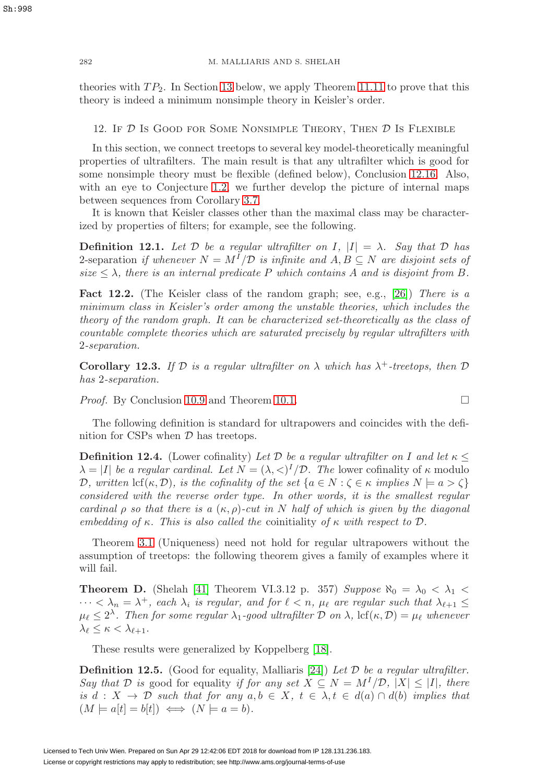theories with  $TP_2$ . In Section [13](#page-48-0) below, we apply Theorem [11.11](#page-44-1) to prove that this theory is indeed a minimum nonsimple theory in Keisler's order.

<span id="page-45-0"></span>12. IF  $D$  Is Good for Some Nonsimple Theory, Then  $D$  Is Flexible

In this section, we connect treetops to several key model-theoretically meaningful properties of ultrafilters. The main result is that any ultrafilter which is good for some nonsimple theory must be flexible (defined below), Conclusion [12.16.](#page-48-2) Also, with an eye to Conjecture [1.2,](#page-3-4) we further develop the picture of internal maps between sequences from Corollary [3.7.](#page-16-3)

It is known that Keisler classes other than the maximal class may be characterized by properties of filters; for example, see the following.

**Definition 12.1.** Let  $\mathcal{D}$  be a regular ultrafilter on I,  $|I| = \lambda$ . Say that  $\mathcal{D}$  has 2-separation if whenever  $N = M^{I}/\mathcal{D}$  is infinite and  $A, B \subseteq N$  are disjoint sets of size  $\lt \lambda$ , there is an internal predicate P which contains A and is disjoint from B.

<span id="page-45-2"></span>**Fact 12.2.** (The Keisler class of the random graph; see, e.g., [\[26\]](#page-59-13)) There is a minimum class in Keisler's order among the unstable theories, which includes the theory of the random graph. It can be characterized set-theoretically as the class of countable complete theories which are saturated precisely by regular ultrafilters with 2-separation.

**Corollary 12.3.** If  $D$  is a regular ultrafilter on  $\lambda$  which has  $\lambda^+$ -treetops, then  $D$ has 2-separation.

*Proof.* By Conclusion [10.9](#page-36-4) and Theorem [10.1.](#page-40-1) □

The following definition is standard for ultrapowers and coincides with the definition for CSPs when  $\mathcal D$  has treetops.

**Definition 12.4.** (Lower cofinality) Let D be a regular ultrafilter on I and let  $\kappa \leq$  $\lambda = |I|$  be a regular cardinal. Let  $N = (\lambda, \langle)^I/\mathcal{D}$ . The lower cofinality of  $\kappa$  modulo D, written  $\text{lcf}(\kappa, \mathcal{D})$ , is the cofinality of the set  $\{a \in N : \zeta \in \kappa \text{ implies } N \models a > \zeta\}$ considered with the reverse order type. In other words, it is the smallest regular cardinal  $\rho$  so that there is a  $(\kappa, \rho)$ -cut in N half of which is given by the diagonal embedding of κ. This is also called the coinitiality of κ with respect to  $\mathcal{D}$ .

Theorem [3.1](#page-14-0) (Uniqueness) need not hold for regular ultrapowers without the assumption of treetops: the following theorem gives a family of examples where it will fail.

**Theorem D.** (Shelah [\[41\]](#page-59-18) Theorem VI.3.12 p. 357) Suppose  $\aleph_0 = \lambda_0 < \lambda_1$  $\cdots < \lambda_n = \lambda^+$ , each  $\lambda_i$  is regular, and for  $\ell < n$ ,  $\mu_{\ell}$  are regular such that  $\lambda_{\ell+1} \leq$  $\mu_{\ell} \leq 2^{\lambda}$ . Then for some regular  $\lambda_1$ -good ultrafilter D on  $\lambda$ , lcf( $\kappa$ , D) =  $\mu_{\ell}$  whenever  $\lambda_{\ell} \leq \kappa < \lambda_{\ell+1}.$ 

These results were generalized by Koppelberg [\[18\]](#page-58-14).

<span id="page-45-1"></span>**Definition 12.5.** (Good for equality, Malliaris [\[24\]](#page-58-8)) Let  $D$  be a regular ultrafilter. Say that D is good for equality if for any set  $X \subseteq N = M^{I}/\mathcal{D}$ ,  $|X| \leq |I|$ , there is d :  $X \to \mathcal{D}$  such that for any  $a, b \in X$ ,  $t \in \lambda, t \in d(a) \cap d(b)$  implies that  $(M \models a[t] = b[t]) \iff (N \models a = b).$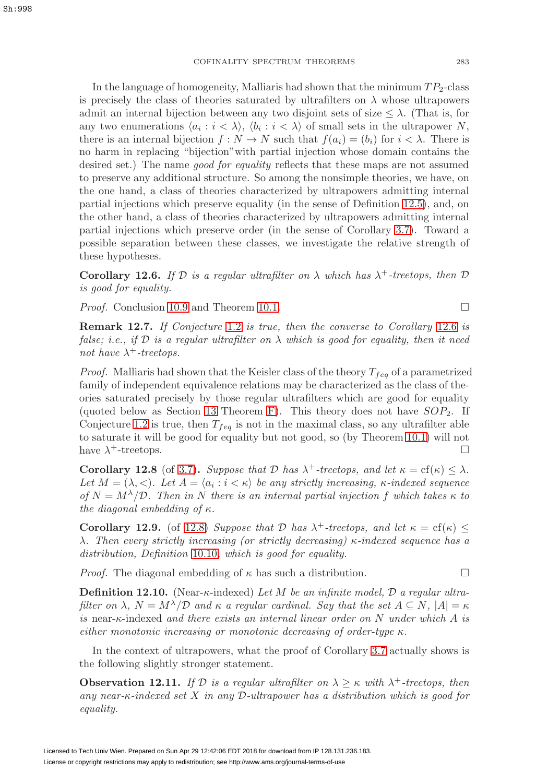In the language of homogeneity, Malliaris had shown that the minimum  $TP_2$ -class is precisely the class of theories saturated by ultrafilters on  $\lambda$  whose ultrapowers admit an internal bijection between any two disjoint sets of size  $\leq \lambda$ . (That is, for any two enumerations  $\langle a_i : i \langle \lambda \rangle, \langle b_i : i \langle \lambda \rangle \rangle$  of small sets in the ultrapower N, there is an internal bijection  $f: N \to N$  such that  $f(a_i)=(b_i)$  for  $i < \lambda$ . There is no harm in replacing "bijection"with partial injection whose domain contains the desired set.) The name good for equality reflects that these maps are not assumed to preserve any additional structure. So among the nonsimple theories, we have, on the one hand, a class of theories characterized by ultrapowers admitting internal partial injections which preserve equality (in the sense of Definition [12.5\)](#page-45-1), and, on the other hand, a class of theories characterized by ultrapowers admitting internal partial injections which preserve order (in the sense of Corollary [3.7\)](#page-16-3). Toward a possible separation between these classes, we investigate the relative strength of these hypotheses.

<span id="page-46-0"></span>**Corollary 12.6.** If  $\mathcal{D}$  is a regular ultrafilter on  $\lambda$  which has  $\lambda^+$ -treetops, then  $\mathcal{D}$ is good for equality.

*Proof.* Conclusion [10.9](#page-36-4) and Theorem [10.1.](#page-40-1) □

**Remark 12.7.** If Conjecture [1.2](#page-3-4) is true, then the converse to Corollary [12.6](#page-46-0) is false; i.e., if  $\mathcal D$  is a regular ultrafilter on  $\lambda$  which is good for equality, then it need not have  $\lambda^+$ -treetops.

*Proof.* Malliaris had shown that the Keisler class of the theory  $T_{feq}$  of a parametrized family of independent equivalence relations may be characterized as the class of theories saturated precisely by those regular ultrafilters which are good for equality (quoted below as Section [13](#page-48-0) Theorem [F\)](#page-48-3). This theory does not have  $SOP<sub>2</sub>$ . If Conjecture [1.2](#page-3-4) is true, then  $T_{feq}$  is not in the maximal class, so any ultrafilter able to saturate it will be good for equality but not good, so (by Theorem [10.1\)](#page-40-1) will not have  $\lambda^+$ -treetops.

<span id="page-46-1"></span>**Corollary 12.8** (of [3.7\)](#page-16-3). Suppose that D has  $\lambda^+$ -treetops, and let  $\kappa = cf(\kappa) \leq \lambda$ . Let  $M = (\lambda, <)$ . Let  $A = \langle a_i : i < \kappa \rangle$  be any strictly increasing,  $\kappa$ -indexed sequence of  $N = M^{\lambda}/\mathcal{D}$ . Then in N there is an internal partial injection f which takes  $\kappa$  to the diagonal embedding of  $\kappa$ .

<span id="page-46-3"></span>**Corollary 12.9.** (of [12.8\)](#page-46-1) Suppose that D has  $\lambda^+$ -treetops, and let  $\kappa = cf(\kappa)$  < λ. Then every strictly increasing (or strictly decreasing)  $κ$ -indexed sequence has a distribution, Definition [10.10](#page-36-3), which is good for equality.

*Proof.* The diagonal embedding of  $\kappa$  has such a distribution.

**Definition 12.10.** (Near-κ-indexed) Let M be an infinite model, D a regular ultrafilter on  $\lambda$ ,  $N = M^{\lambda}/\mathcal{D}$  and  $\kappa$  a regular cardinal. Say that the set  $A \subseteq N$ ,  $|A| = \kappa$ is near- $\kappa$ -indexed and there exists an internal linear order on N under which A is either monotonic increasing or monotonic decreasing of order-type  $\kappa$ .

In the context of ultrapowers, what the proof of Corollary [3.7](#page-16-3) actually shows is the following slightly stronger statement.

<span id="page-46-2"></span>**Observation 12.11.** If D is a regular ultrafilter on  $\lambda \geq \kappa$  with  $\lambda^+$ -treetops, then any near- $\kappa$ -indexed set X in any D-ultrapower has a distribution which is good for equality.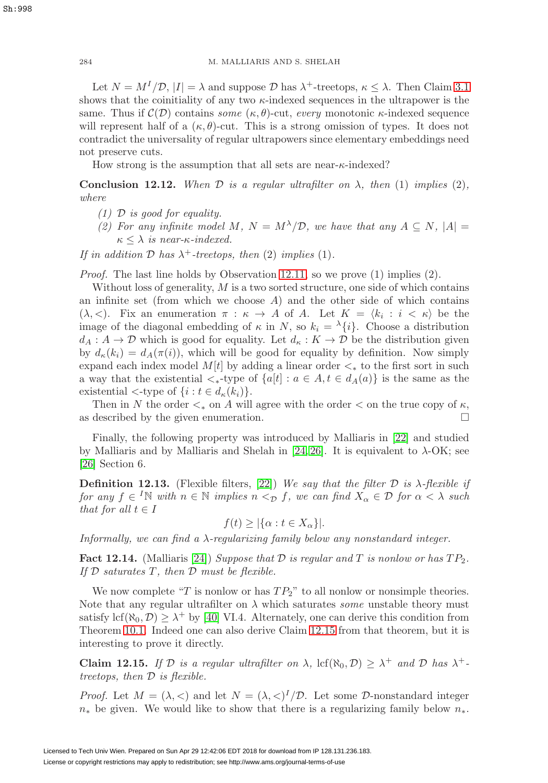Let  $N = M^{I}/\mathcal{D}$ ,  $|I| = \lambda$  and suppose  $\mathcal{D}$  has  $\lambda^{+}$ -treetops,  $\kappa < \lambda$ . Then Claim [3.1](#page-14-0) shows that the coinitiality of any two  $\kappa$ -indexed sequences in the ultrapower is the same. Thus if  $\mathcal{C}(\mathcal{D})$  contains some  $(\kappa, \theta)$ -cut, every monotonic  $\kappa$ -indexed sequence will represent half of a  $(\kappa, \theta)$ -cut. This is a strong omission of types. It does not contradict the universality of regular ultrapowers since elementary embeddings need not preserve cuts.

How strong is the assumption that all sets are near- $\kappa$ -indexed?

**Conclusion 12.12.** When  $D$  is a regular ultrafilter on  $\lambda$ , then (1) implies (2), where

- $(1)$  D is good for equality.
- (2) For any infinite model M,  $N = M^{\lambda}/\mathcal{D}$ , we have that any  $A \subseteq N$ ,  $|A| =$  $\kappa \leq \lambda$  is near- $\kappa$ -indexed.

If in addition  $D$  has  $\lambda^+$ -treetops, then (2) implies (1).

*Proof.* The last line holds by Observation [12.11,](#page-46-2) so we prove  $(1)$  implies  $(2)$ .

Without loss of generality,  $M$  is a two sorted structure, one side of which contains an infinite set (from which we choose  $A$ ) and the other side of which contains ( $\lambda, <$ ). Fix an enumeration  $\pi : \kappa \to A$  of A. Let  $K = \langle k_i : i < \kappa \rangle$  be the image of the diagonal embedding of  $\kappa$  in N, so  $k_i = \lambda \{i\}$ . Choose a distribution  $d_A: A \to \mathcal{D}$  which is good for equality. Let  $d_{\kappa}: K \to \mathcal{D}$  be the distribution given by  $d_{\kappa}(k_i) = d_{A}(\pi(i))$ , which will be good for equality by definition. Now simply expand each index model  $M[t]$  by adding a linear order  $\lt_*$  to the first sort in such a way that the existential  $\lt_{\ast}$ -type of  $\{a[t] : a \in A, t \in d_A(a)\}$  is the same as the existential  $\lt$ -type of  $\{i : t \in d_{\kappa}(k_i)\}.$ 

Then in N the order  $\lt_{*}$  on A will agree with the order  $\lt$  on the true copy of  $\kappa$ , described by the given enumeration. as described by the given enumeration.

Finally, the following property was introduced by Malliaris in [\[22\]](#page-58-9) and studied by Malliaris and by Malliaris and Shelah in [\[24,](#page-58-8) [26\]](#page-59-13). It is equivalent to  $\lambda$ -OK; see [\[26\]](#page-59-13) Section 6.

**Definition 12.13.** (Flexible filters, [\[22\]](#page-58-9)) We say that the filter  $D$  is  $\lambda$ -flexible if for any  $f \in {}^I\mathbb{N}$  with  $n \in \mathbb{N}$  implies  $n <_{\mathcal{D}} f$ , we can find  $X_\alpha \in \mathcal{D}$  for  $\alpha < \lambda$  such that for all  $t \in I$ 

$$
f(t) \ge |\{\alpha : t \in X_{\alpha}\}|.
$$

Informally, we can find a λ-regularizing family below any nonstandard integer.

<span id="page-47-1"></span>**Fact 12.14.** (Malliaris [\[24\]](#page-58-8)) Suppose that  $D$  is regular and  $T$  is nonlow or has  $TP_2$ . If  $D$  saturates  $T$ , then  $D$  must be flexible.

We now complete "T is nonlow or has  $TP_2$ " to all nonlow or nonsimple theories. Note that any regular ultrafilter on  $\lambda$  which saturates some unstable theory must satisfy  $\text{lcf}(\aleph_0, \mathcal{D}) \geq \lambda^+$  by [\[40\]](#page-59-5) VI.4. Alternately, one can derive this condition from Theorem [10.1.](#page-40-1) Indeed one can also derive Claim [12.15](#page-47-0) from that theorem, but it is interesting to prove it directly.

<span id="page-47-0"></span>**Claim 12.15.** If D is a regular ultrafilter on  $\lambda$ ,  $\text{lcf}(\aleph_0, \mathcal{D}) \geq \lambda^+$  and D has  $\lambda^+$ treetops, then D is flexible.

*Proof.* Let  $M = (\lambda, <)$  and let  $N = (\lambda, <)^{I}/D$ . Let some D-nonstandard integer  $n_{\ast}$  be given. We would like to show that there is a regularizing family below  $n_{\ast}$ .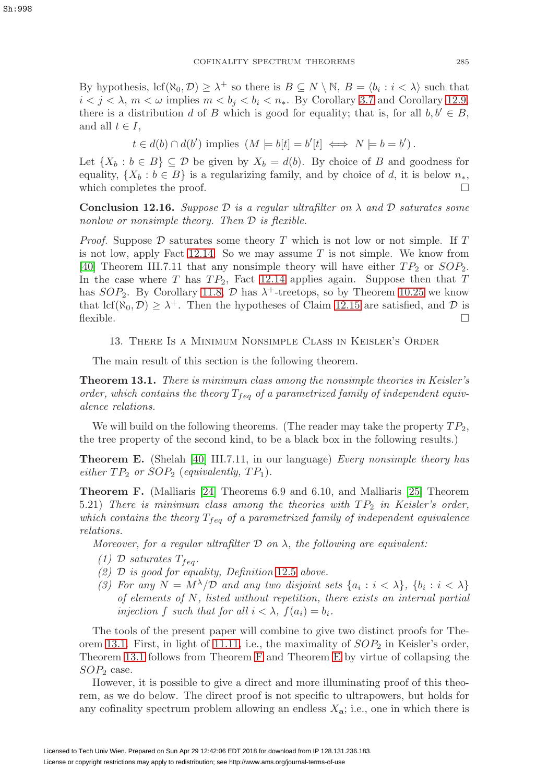By hypothesis,  $\text{lcf}(\aleph_0, \mathcal{D}) \geq \lambda^+$  so there is  $B \subseteq N \setminus \mathbb{N}$ ,  $B = \langle b_i : i \langle \lambda \rangle$  such that  $i < j < \lambda$ ,  $m < \omega$  implies  $m < b_i < b_i < n_*$ . By Corollary [3.7](#page-16-3) and Corollary [12.9,](#page-46-3) there is a distribution d of B which is good for equality; that is, for all  $b, b' \in B$ , and all  $t \in I$ ,

$$
t \in d(b) \cap d(b')
$$
 implies  $(M \models b[t] = b'[t] \iff N \models b = b')$ .

Let  $\{X_b : b \in B\} \subseteq \mathcal{D}$  be given by  $X_b = d(b)$ . By choice of B and goodness for equality,  $\{X_b : b \in B\}$  is a regularizing family, and by choice of d, it is below  $n_*,$  which completes the proof. which completes the proof.

<span id="page-48-2"></span>**Conclusion 12.16.** Suppose  $\mathcal{D}$  is a regular ultrafilter on  $\lambda$  and  $\mathcal{D}$  saturates some nonlow or nonsimple theory. Then  $\mathcal D$  is flexible.

*Proof.* Suppose  $D$  saturates some theory  $T$  which is not low or not simple. If  $T$ is not low, apply Fact  $12.14$ . So we may assume T is not simple. We know from [\[40\]](#page-59-5) Theorem III.7.11 that any nonsimple theory will have either  $TP_2$  or  $SOP_2$ . In the case where T has  $TP_2$ , Fact [12.14](#page-47-1) applies again. Suppose then that T has  $SOP_2$ . By Corollary [11.8,](#page-44-3) D has  $\lambda^+$ -treetops, so by Theorem [10.25](#page-41-1) we know that lcf( $\aleph_0, \mathcal{D}$ )  $\geq \lambda^+$ . Then the hypotheses of Claim [12.15](#page-47-0) are satisfied, and  $\mathcal D$  is flexible.  $\Box$ 

<span id="page-48-0"></span>13. There Is a Minimum Nonsimple Class in Keisler's Order

The main result of this section is the following theorem.

<span id="page-48-1"></span>**Theorem 13.1.** There is minimum class among the nonsimple theories in Keisler's order, which contains the theory  $T_{feq}$  of a parametrized family of independent equivalence relations.

We will build on the following theorems. (The reader may take the property  $TP_2$ , the tree property of the second kind, to be a black box in the following results.)

<span id="page-48-4"></span>**Theorem E.** (Shelah [\[40\]](#page-59-5) III.7.11, in our language) Every nonsimple theory has either  $TP_2$  or  $SOP_2$  (equivalently,  $TP_1$ ).

<span id="page-48-3"></span>**Theorem F.** (Malliaris [\[24\]](#page-58-8) Theorems 6.9 and 6.10, and Malliaris [\[25\]](#page-59-7) Theorem 5.21) There is minimum class among the theories with  $TP_2$  in Keisler's order, which contains the theory  $T_{feq}$  of a parametrized family of independent equivalence relations.

Moreover, for a regular ultrafilter  $D$  on  $\lambda$ , the following are equivalent:

- (1) D saturates  $T_{fea}$ .
- (2)  $D$  is good for equality, Definition [12.5](#page-45-1) above.
- (3) For any  $N = M^{\lambda}/\mathcal{D}$  and any two disjoint sets  $\{a_i : i < \lambda\}, \{b_i : i < \lambda\}$ of elements of N, listed without repetition, there exists an internal partial injection f such that for all  $i < \lambda$ ,  $f(a_i) = b_i$ .

The tools of the present paper will combine to give two distinct proofs for The-orem [13.1.](#page-48-1) First, in light of [11.11,](#page-44-1) i.e., the maximality of  $SOP_2$  in Keisler's order, Theorem [13.1](#page-48-1) follows from Theorem [F](#page-48-3) and Theorem [E](#page-48-4) by virtue of collapsing the  $SOP<sub>2</sub>$  case.

However, it is possible to give a direct and more illuminating proof of this theorem, as we do below. The direct proof is not specific to ultrapowers, but holds for any cofinality spectrum problem allowing an endless  $X_{\mathbf{a}}$ ; i.e., one in which there is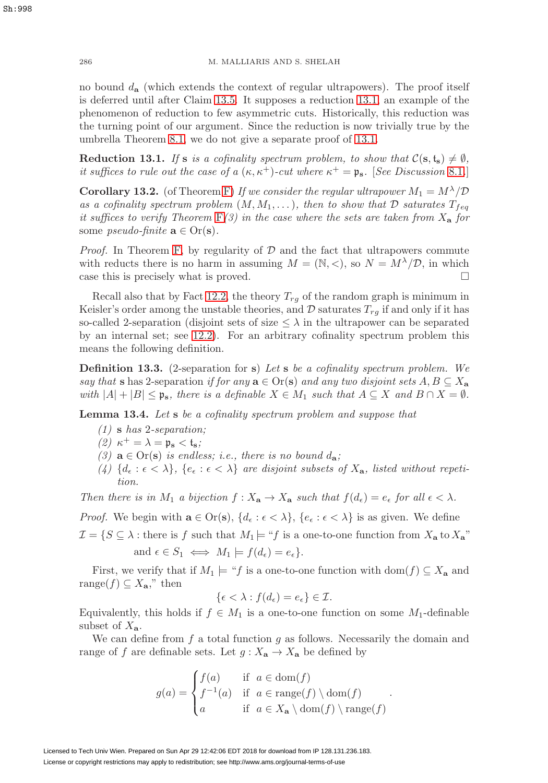286 M. MALLIARIS AND S. SHELAH

no bound  $d_{\mathbf{a}}$  (which extends the context of regular ultrapowers). The proof itself is deferred until after Claim [13.5.](#page-52-1) It supposes a reduction [13.1,](#page-49-0) an example of the phenomenon of reduction to few asymmetric cuts. Historically, this reduction was the turning point of our argument. Since the reduction is now trivially true by the umbrella Theorem [8.1,](#page-30-0) we do not give a separate proof of [13.1.](#page-49-0)

<span id="page-49-0"></span>**Reduction 13.1.** If **s** is a cofinality spectrum problem, to show that  $C(\mathbf{s}, \mathbf{t}_\mathbf{s}) \neq \emptyset$ , it suffices to rule out the case of a  $(\kappa, \kappa^+)$ -cut where  $\kappa^+ = \mathfrak{p}_s$ . [See Discussion [8.1](#page-28-2).]

<span id="page-49-1"></span>**Corollary 13.2.** (of Theorem [F\)](#page-48-3) If we consider the regular ultrapower  $M_1 = M^{\lambda}/\mathcal{D}$ as a cofinality spectrum problem  $(M, M_1, \ldots)$ , then to show that  $\mathcal D$  saturates  $T_{f eq}$ it suffices to verify Theorem  $F(3)$  $F(3)$  in the case where the sets are taken from  $X_{\mathbf{a}}$  for some *pseudo-finite*  $\mathbf{a} \in \text{Or}(\mathbf{s})$ .

*Proof.* In Theorem [F,](#page-48-3) by regularity of  $D$  and the fact that ultrapowers commute with reducts there is no harm in assuming  $M = (\mathbb{N}, <)$ , so  $N = M^{\lambda}/\mathcal{D}$ , in which case this is precisely what is proved.  $\square$ 

Recall also that by Fact [12.2,](#page-45-2) the theory  $T_{rg}$  of the random graph is minimum in Keisler's order among the unstable theories, and  $\mathcal D$  saturates  $T_{rq}$  if and only if it has so-called 2-separation (disjoint sets of size  $\leq \lambda$  in the ultrapower can be separated by an internal set; see [12.2\)](#page-45-2). For an arbitrary cofinality spectrum problem this means the following definition.

**Definition 13.3.** (2-separation for **s**) Let **s** be a cofinality spectrum problem. We say that **s** has 2-separation if for any  $\mathbf{a} \in \text{Or}(\mathbf{s})$  and any two disjoint sets  $A, B \subseteq X_{\mathbf{a}}$ with  $|A| + |B| \leq \mathfrak{p}_s$ , there is a definable  $X \in M_1$  such that  $A \subseteq X$  and  $B \cap X = \emptyset$ .

<span id="page-49-2"></span>**Lemma 13.4.** Let **s** be a cofinality spectrum problem and suppose that

- (1) **s** has 2-separation;
- (2)  $\kappa^+ = \lambda = \mathfrak{p}_s < \mathfrak{t}_s$ ;
- (3)  $\mathbf{a} \in \text{Or}(\mathbf{s})$  is endless; i.e., there is no bound  $d_{\mathbf{a}}$ ;
- (4)  $\{d_{\epsilon} : \epsilon < \lambda\}$ ,  $\{e_{\epsilon} : \epsilon < \lambda\}$  are disjoint subsets of  $X_{\mathbf{a}}$ , listed without repetition.

Then there is in M<sub>1</sub> a bijection  $f: X_{\mathbf{a}} \to X_{\mathbf{a}}$  such that  $f(d_{\epsilon}) = e_{\epsilon}$  for all  $\epsilon < \lambda$ .

*Proof.* We begin with  $\mathbf{a} \in \text{Or}(\mathbf{s}), \{d_{\epsilon} : \epsilon < \lambda\}, \{e_{\epsilon} : \epsilon < \lambda\}$  is as given. We define

 $\mathcal{I} = \{S \subseteq \lambda : \text{there is } f \text{ such that } M_1 \models ``f \text{ is a one-to-one function from } X_\mathbf{a} \text{ to } X_\mathbf{a}"\}$ 

and  $\epsilon \in S_1 \iff M_1 \models f(d_{\epsilon}) = e_{\epsilon}$ .

First, we verify that if  $M_1 \models "f$  is a one-to-one function with dom $(f) \subseteq X_a$  and range( $f$ )  $\subseteq X_{\mathbf{a}}$ ," then

$$
\{\epsilon < \lambda : f(d_{\epsilon}) = e_{\epsilon}\} \in \mathcal{I}.
$$

Equivalently, this holds if  $f \in M_1$  is a one-to-one function on some  $M_1$ -definable subset of  $X_{\mathbf{a}}$ .

We can define from  $f$  a total function  $g$  as follows. Necessarily the domain and range of f are definable sets. Let  $g: X_{\mathbf{a}} \to X_{\mathbf{a}}$  be defined by

$$
g(a) = \begin{cases} f(a) & \text{if } a \in \text{dom}(f) \\ f^{-1}(a) & \text{if } a \in \text{range}(f) \setminus \text{dom}(f) \\ a & \text{if } a \in X_{\mathbf{a}} \setminus \text{dom}(f) \setminus \text{range}(f) \end{cases}.
$$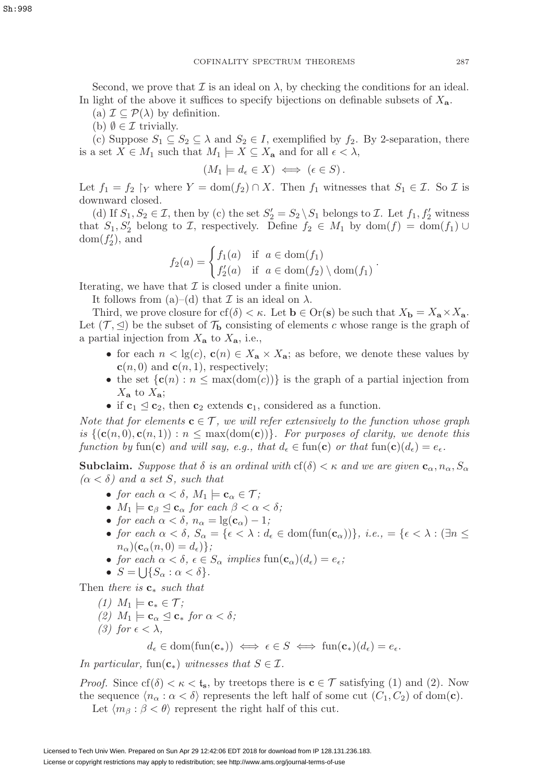Second, we prove that  $\mathcal I$  is an ideal on  $\lambda$ , by checking the conditions for an ideal. In light of the above it suffices to specify bijections on definable subsets of  $X_{a}$ .

(a)  $\mathcal{I} \subset \mathcal{P}(\lambda)$  by definition.

(b)  $\emptyset \in \mathcal{I}$  trivially.

(c) Suppose  $S_1 \subseteq S_2 \subseteq \lambda$  and  $S_2 \in I$ , exemplified by  $f_2$ . By 2-separation, there is a set  $X \in M_1$  such that  $M_1 \models X \subseteq X_a$  and for all  $\epsilon < \lambda$ ,

 $(M_1 \models d_{\epsilon} \in X) \iff (\epsilon \in S).$ 

Let  $f_1 = f_2$   $\upharpoonright_Y$  where  $Y = \text{dom}(f_2) \cap X$ . Then  $f_1$  witnesses that  $S_1 \in \mathcal{I}$ . So  $\mathcal{I}$  is downward closed.

(d) If  $S_1, S_2 \in \mathcal{I}$ , then by (c) the set  $S_2' = S_2 \setminus S_1$  belongs to  $\mathcal{I}$ . Let  $f_1, f_2'$  witness that  $S_1, S_2'$  belong to  $\mathcal{I}$ , respectively. Define  $f_2 \in M_1$  by  $dom(f) = dom(f_1) \cup$  $dom(f'_2)$ , and

$$
f_2(a) = \begin{cases} f_1(a) & \text{if } a \in \text{dom}(f_1) \\ f'_2(a) & \text{if } a \in \text{dom}(f_2) \setminus \text{dom}(f_1) \end{cases}
$$

.

Iterating, we have that  $\mathcal I$  is closed under a finite union.

It follows from (a)–(d) that  $\mathcal I$  is an ideal on  $\lambda$ .

Third, we prove closure for cf( $\delta$ )  $\lt \kappa$ . Let  $\mathbf{b} \in \text{Or}(\mathbf{s})$  be such that  $X_{\mathbf{b}} = X_{\mathbf{a}} \times X_{\mathbf{a}}$ . Let  $(\mathcal{T}, \trianglelefteq)$  be the subset of  $\mathcal{T}_{\mathbf{b}}$  consisting of elements c whose range is the graph of a partial injection from  $X_{\mathbf{a}}$  to  $X_{\mathbf{a}}$ , i.e.,

- for each  $n < \lg(c)$ ,  $\mathbf{c}(n) \in X_a \times X_a$ ; as before, we denote these values by  $\mathbf{c}(n,0)$  and  $\mathbf{c}(n,1)$ , respectively;
- the set  $\{c(n) : n \leq max(\text{dom}(c))\}$  is the graph of a partial injection from  $X_{\mathbf{a}}$  to  $X_{\mathbf{a}}$ ;
- if  $c_1 \leq c_2$ , then  $c_2$  extends  $c_1$ , considered as a function.

Note that for elements  $\mathbf{c} \in \mathcal{T}$ , we will refer extensively to the function whose graph is  $\{(\mathbf{c}(n, 0), \mathbf{c}(n, 1)) : n \leq \max(\text{dom}(\mathbf{c}))\}$ . For purposes of clarity, we denote this function by fun(**c**) and will say, e.g., that  $d_{\epsilon} \in \text{fun}(\mathbf{c})$  or that  $\text{fun}(\mathbf{c})(d_{\epsilon}) = e_{\epsilon}$ .

**Subclaim.** Suppose that  $\delta$  is an ordinal with  $cf(\delta) < \kappa$  and we are given  $\mathbf{c}_{\alpha}, n_{\alpha}, S_{\alpha}$  $(\alpha < \delta)$  and a set S, such that

- for each  $\alpha < \delta$ ,  $M_1 \models \mathbf{c}_{\alpha} \in \mathcal{T}$ ;
- $M_1 \models \mathbf{c}_{\beta} \trianglelefteq \mathbf{c}_{\alpha}$  for each  $\beta < \alpha < \delta$ ;
- for each  $\alpha < \delta$ ,  $n_{\alpha} = \lg(c_{\alpha}) 1$ ;
- for each  $\alpha < \delta$ ,  $S_{\alpha} = {\epsilon < \lambda : d_{\epsilon} \in \text{dom}(\text{fun}(\mathbf{c}_{\alpha})) }$ , i.e.,  $= {\epsilon < \lambda : (\exists n \leq \epsilon) }$  $n_{\alpha}$ )(**c**<sub> $\alpha$ </sub>(*n*, 0) = *d*<sub> $\epsilon$ </sub>)};
- for each  $\alpha < \delta$ ,  $\epsilon \in S_\alpha$  implies  $\text{fun}(\mathbf{c}_\alpha)(d_\epsilon) = e_\epsilon$ ;
- $S = \bigcup \{ S_\alpha : \alpha < \delta \}.$

Then there is **c**<sup>∗</sup> such that

- (1)  $M_1$   $\models$  **c**<sub>∗</sub>  $∈$   $T$ ;
- $(2)$   $M_1 \models \mathbf{c}_{\alpha} \trianglelefteq \mathbf{c}_{*}$  for  $\alpha < \delta$ ;
- (3) for  $\epsilon < \lambda$ ,

 $d_{\epsilon} \in \text{dom}(\text{fun}(\mathbf{c}_*)) \iff \epsilon \in S \iff \text{fun}(\mathbf{c}_*)(d_{\epsilon}) = e_{\epsilon}.$ 

In particular, fun( $\mathbf{c}_*$ ) witnesses that  $S \in \mathcal{I}$ .

*Proof.* Since  $cf(\delta) < \kappa < t_s$ , by treetops there is  $\mathbf{c} \in \mathcal{T}$  satisfying (1) and (2). Now the sequence  $\langle n_{\alpha} : \alpha < \delta \rangle$  represents the left half of some cut  $(C_1, C_2)$  of dom(**c**).

Let  $\langle m_\beta : \beta < \theta \rangle$  represent the right half of this cut.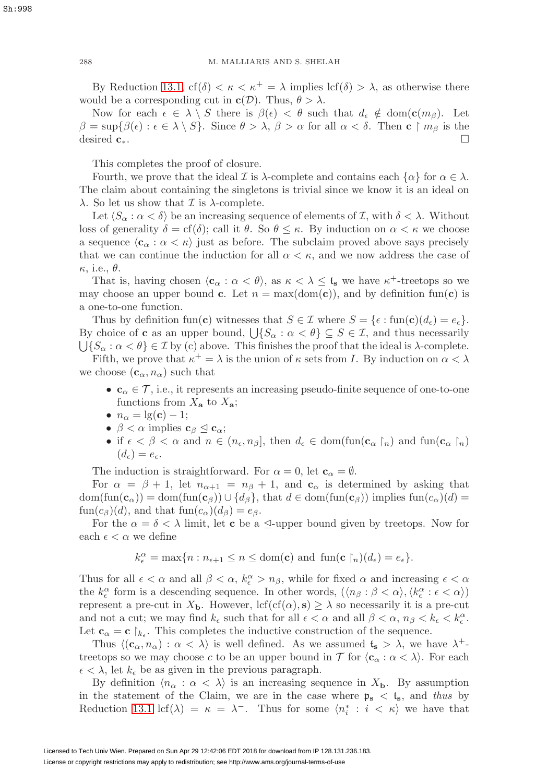By Reduction [13.1,](#page-49-0)  $cf(\delta) < \kappa < \kappa^+ = \lambda$  implies  $\text{lcf}(\delta) > \lambda$ , as otherwise there would be a corresponding cut in  $c(\mathcal{D})$ . Thus,  $\theta > \lambda$ .

Now for each  $\epsilon \in \lambda \setminus S$  there is  $\beta(\epsilon) < \theta$  such that  $d_{\epsilon} \notin \text{dom}(\mathbf{c}(m_{\beta}))$ . Let  $\beta = \sup{\{\beta(\epsilon) : \epsilon \in \lambda \setminus S\}}$ . Since  $\theta > \lambda$ ,  $\beta > \alpha$  for all  $\alpha < \delta$ . Then **c**  $\upharpoonright m_{\beta}$  is the desired **c**∗.

This completes the proof of closure.

Fourth, we prove that the ideal  $\mathcal I$  is  $\lambda$ -complete and contains each  $\{\alpha\}$  for  $\alpha \in \lambda$ . The claim about containing the singletons is trivial since we know it is an ideal on  $\lambda$ . So let us show that  $\mathcal I$  is  $\lambda$ -complete.

Let  $\langle S_\alpha : \alpha < \delta \rangle$  be an increasing sequence of elements of  $\mathcal{I}$ , with  $\delta < \lambda$ . Without loss of generality  $\delta = cf(\delta)$ ; call it  $\theta$ . So  $\theta \leq \kappa$ . By induction on  $\alpha < \kappa$  we choose a sequence  $\langle \mathbf{c}_{\alpha} : \alpha < \kappa \rangle$  just as before. The subclaim proved above says precisely that we can continue the induction for all  $\alpha < \kappa$ , and we now address the case of  $\kappa$ , i.e.,  $\theta$ .

That is, having chosen  $\langle \mathbf{c}_{\alpha} : \alpha < \theta \rangle$ , as  $\kappa < \lambda \leq \mathbf{t}_{s}$  we have  $\kappa^{+}$ -treetops so we may choose an upper bound **c**. Let  $n = max(dom(c))$ , and by definition fun(**c**) is a one-to-one function.

Thus by definition fun(**c**) witnesses that  $S \in \mathcal{I}$  where  $S = \{\epsilon : \text{fun}(\mathbf{c})(d_{\epsilon}) = e_{\epsilon}\}.$ By choice of **c** as an upper bound,  $\bigcup \{S_\alpha : \alpha < \theta\} \subseteq S \in \mathcal{I}$ , and thus necessarily  $\{S_\alpha : \alpha < \theta\} \in \mathcal{I}$  by (c) above. This finishes the proof that the ideal is  $\lambda$ -complete. Fifth, we prove that  $\kappa^+ = \lambda$  is the union of  $\kappa$  sets from I. By induction on  $\alpha < \lambda$ we choose  $(c_{\alpha}, n_{\alpha})$  such that

- $c_{\alpha} \in \mathcal{T}$ , i.e., it represents an increasing pseudo-finite sequence of one-to-one functions from  $X_{\mathbf{a}}$  to  $X_{\mathbf{a}}$ ;
- $n_{\alpha} = \lg(c) 1;$
- $\beta < \alpha$  implies  $\mathbf{c}_{\beta} \leq \mathbf{c}_{\alpha};$
- if  $\epsilon < \beta < \alpha$  and  $n \in (n_{\epsilon}, n_{\beta}]$ , then  $d_{\epsilon} \in \text{dom}(\text{fun}(\mathbf{c}_{\alpha} \restriction_n))$  and  $\text{fun}(\mathbf{c}_{\alpha} \restriction_n)$  $(d_{\epsilon}) = e_{\epsilon}.$

The induction is straightforward. For  $\alpha = 0$ , let  $\mathbf{c}_{\alpha} = \emptyset$ .

For  $\alpha = \beta + 1$ , let  $n_{\alpha+1} = n_{\beta} + 1$ , and  $\mathbf{c}_{\alpha}$  is determined by asking that  $dom(fun(\mathbf{c}_{\alpha})) = dom(fun(\mathbf{c}_{\beta})) \cup \{d_{\beta}\}\$ , that  $d \in dom(fun(\mathbf{c}_{\beta}))$  implies  $fun(c_{\alpha})(d) =$  $\text{fun}(c_{\beta})(d)$ , and that  $\text{fun}(c_{\alpha})(d_{\beta})=e_{\beta}$ .

For the  $\alpha = \delta < \lambda$  limit, let **c** be a  $\leq$ -upper bound given by treetops. Now for each  $\epsilon < \alpha$  we define

$$
k_{\epsilon}^{\alpha} = \max\{n : n_{\epsilon+1} \leq n \leq \text{dom}(\mathbf{c}) \text{ and } \text{fun}(\mathbf{c} \restriction_n)(d_{\epsilon}) = e_{\epsilon}\}.
$$

Thus for all  $\epsilon < \alpha$  and all  $\beta < \alpha$ ,  $k_{\epsilon}^{\alpha} > n_{\beta}$ , while for fixed  $\alpha$  and increasing  $\epsilon < \alpha$ the  $k_{\epsilon}^{\alpha}$  form is a descending sequence. In other words,  $(\langle n_{\beta} : \beta < \alpha \rangle, \langle k_{\epsilon}^{\alpha} : \epsilon < \alpha \rangle)$ represent a pre-cut in  $X_{\mathbf{b}}$ . However,  $\text{lcf}(\text{cf}(\alpha), \mathbf{s}) \geq \lambda$  so necessarily it is a pre-cut and not a cut; we may find  $k_{\epsilon}$  such that for all  $\epsilon < \alpha$  and all  $\beta < \alpha$ ,  $n_{\beta} < k_{\epsilon} < k_{\epsilon}^{\alpha}$ . Let  $\mathbf{c}_{\alpha} = \mathbf{c} \restriction_{k_{\epsilon}}$ . This completes the inductive construction of the sequence.

Thus  $\langle (c_{\alpha}, n_{\alpha}) : \alpha < \lambda \rangle$  is well defined. As we assumed  $t_s > \lambda$ , we have  $\lambda^+$ treetops so we may choose c to be an upper bound in  $\mathcal T$  for  $\langle \mathbf{c}_\alpha : \alpha < \lambda \rangle$ . For each  $\epsilon < \lambda$ , let  $k_{\epsilon}$  be as given in the previous paragraph.

By definition  $\langle n_{\alpha} : \alpha \langle \lambda \rangle$  is an increasing sequence in  $X_{\mathbf{b}}$ . By assumption in the statement of the Claim, we are in the case where  $\mathfrak{p}_s < t_s$ , and thus by Reduction [13.1](#page-49-0) lcf( $\lambda$ ) =  $\kappa = \lambda^-$ . Thus for some  $\langle n_i^* : i \langle \kappa \rangle$  we have that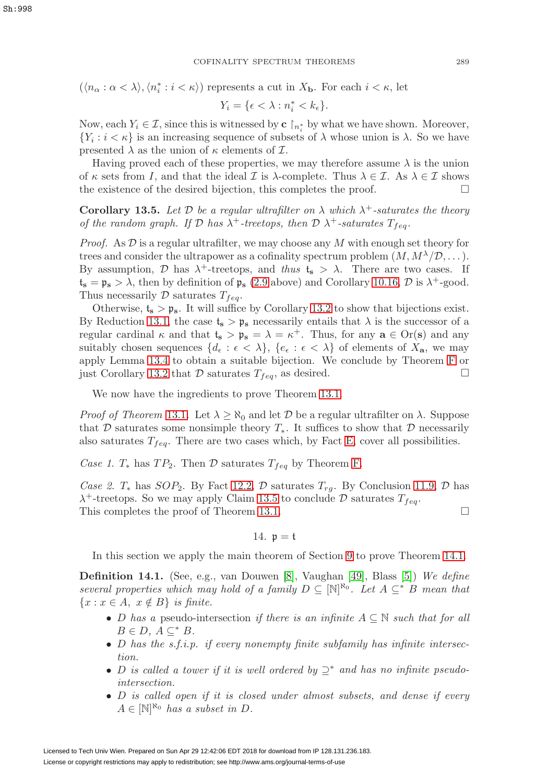$(\langle n_{\alpha} : \alpha < \lambda \rangle, \langle n_i^* : i < \kappa \rangle)$  represents a cut in  $X_{\mathbf{b}}$ . For each  $i < \kappa$ , let

$$
Y_i = \{ \epsilon < \lambda : n_i^* < k_\epsilon \}.
$$

Now, each  $Y_i \in \mathcal{I}$ , since this is witnessed by **c**  $\upharpoonright_{n_i^*}$  by what we have shown. Moreover,  ${Y_i : i < \kappa}$  is an increasing sequence of subsets of  $\lambda$  whose union is  $\lambda$ . So we have presented  $\lambda$  as the union of  $\kappa$  elements of  $\mathcal{I}$ .

Having proved each of these properties, we may therefore assume  $\lambda$  is the union of  $\kappa$  sets from I, and that the ideal I is  $\lambda$ -complete. Thus  $\lambda \in \mathcal{I}$ . As  $\lambda \in \mathcal{I}$  shows the existence of the desired bijection, this completes the proof.  $\Box$ 

<span id="page-52-1"></span>**Corollary 13.5.** Let D be a regular ultrafilter on  $\lambda$  which  $\lambda^+$ -saturates the theory of the random graph. If  $\mathcal D$  has  $\lambda^+$ -treetops, then  $\mathcal D$   $\lambda^+$ -saturates  $T_{fea}$ .

*Proof.* As  $D$  is a regular ultrafilter, we may choose any  $M$  with enough set theory for trees and consider the ultrapower as a cofinality spectrum problem  $(M, M^{\lambda}/\mathcal{D}, \dots)$ . By assumption,  $\mathcal{D}$  has  $\lambda^+$ -treetops, and thus  $t_s > \lambda$ . There are two cases. If  $t_s = \mathfrak{p}_s > \lambda$ , then by definition of  $\mathfrak{p}_s$  [\(2.9](#page-11-0) above) and Corollary [10.16,](#page-38-3) D is  $\lambda^+$ -good. Thus necessarily  $D$  saturates  $T_{feq}$ .

Otherwise,  $t_s > p_s$ . It will suffice by Corollary [13.2](#page-49-1) to show that bijections exist. By Reduction [13.1,](#page-49-0) the case  $t_s > p_s$  necessarily entails that  $\lambda$  is the successor of a regular cardinal  $\kappa$  and that  $t_s > \mathfrak{p}_s = \lambda = \kappa^+$ . Thus, for any  $\mathbf{a} \in \text{Or}(\mathbf{s})$  and any suitably chosen sequences  $\{d_{\epsilon} : \epsilon < \lambda\}$ ,  $\{e_{\epsilon} : \epsilon < \lambda\}$  of elements of  $X_{\mathbf{a}}$ , we may apply Lemma [13.4](#page-49-2) to obtain a suitable bijection. We conclude by Theorem [F](#page-48-3) or just Corollary [13.2](#page-49-1) that  $\mathcal D$  saturates  $T_{feq}$ , as desired.

We now have the ingredients to prove Theorem [13.1.](#page-48-1)

*Proof of Theorem [13.1](#page-48-1).* Let  $\lambda \geq \aleph_0$  and let D be a regular ultrafilter on  $\lambda$ . Suppose that D saturates some nonsimple theory  $T_*$ . It suffices to show that D necessarily also saturates  $T_{feq}$ . There are two cases which, by Fact [E,](#page-48-4) cover all possibilities.

Case 1.  $T_*$  has  $TP_2$ . Then  $\mathcal D$  saturates  $T_{f \neq g}$  by Theorem [F.](#page-48-3)

Case 2.  $T_*$  has  $SOP_2$ . By Fact [12.2,](#page-45-2)  $D$  saturates  $T_{rq}$ . By Conclusion [11.9,](#page-44-2)  $D$  has  $\lambda^+$ -treetops. So we may apply Claim [13.5](#page-52-1) to conclude D saturates  $T_{feq}$ . This completes the proof of Theorem [13.1.](#page-48-1)

14.  $p = t$ 

<span id="page-52-0"></span>In this section we apply the main theorem of Section [9](#page-34-0) to prove Theorem [14.1.](#page-57-0)

**Definition 14.1.** (See, e.g., van Douwen [\[8\]](#page-58-3), Vaughan [\[49\]](#page-59-0), Blass [\[5\]](#page-58-4)) We define several properties which may hold of a family  $D \subseteq [\mathbb{N}]^{\aleph_0}$ . Let  $A \subseteq^* B$  mean that  ${x : x \in A, x \notin B}$  is finite.

- D has a pseudo-intersection if there is an infinite  $A \subseteq \mathbb{N}$  such that for all  $B \in D, A \subseteq^* B.$
- D has the s.f.i.p. if every nonempty finite subfamily has infinite intersection.
- D is called a tower if it is well ordered by  $\supseteq^*$  and has no infinite pseudointersection.
- D is called open if it is closed under almost subsets, and dense if every  $A \in [\mathbb{N}]^{\aleph_0}$  has a subset in D.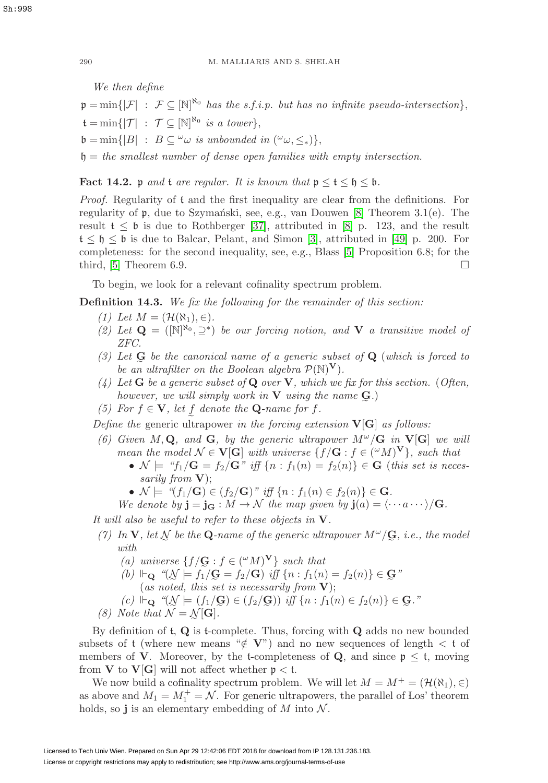We then define  $\mathfrak{p} = \min\{|\mathcal{F}| : \mathcal{F} \subseteq [\mathbb{N}]^{\mathbb{N}_0} \text{ has the s.f.i.p. but has no infinite pseudo-intersection}\},\$  $\mathfrak{t} = \min \{ |\mathcal{T}| \; : \; \mathcal{T} \subseteq [\mathbb{N}]^{\aleph_0} \; \text{is a tower} \},$  $\mathfrak{b} = \min\{|B| : B \subseteq \omega \text{ is unbounded in } (\omega_{\omega}, \leq_{*})\},\$  $h = the$  smallest number of dense open families with empty intersection.

**Fact 14.2.** p and t are regular. It is known that  $p \le t \le b \le b$ .

Proof. Regularity of t and the first inequality are clear from the definitions. For regularity of  $\mathfrak{p}$ , due to Szymański, see, e.g., van Douwen [\[8\]](#page-58-3) Theorem 3.1(e). The result  $t \leq b$  is due to Rothberger [\[37\]](#page-59-1), attributed in [\[8\]](#page-58-3) p. 123, and the result  $t \leq \mathfrak{h} \leq \mathfrak{b}$  is due to Balcar, Pelant, and Simon [\[3\]](#page-58-15), attributed in [\[49\]](#page-59-0) p. 200. For completeness: for the second inequality, see, e.g., Blass [\[5\]](#page-58-4) Proposition 6.8; for the third,  $[5]$  Theorem 6.9.

To begin, we look for a relevant cofinality spectrum problem.

<span id="page-53-0"></span>**Definition 14.3.** We fix the following for the remainder of this section:

- (1) Let  $M = (\mathcal{H}(\aleph_1), \in)$ .
- (2) Let  $\mathbf{Q} = (\mathbb{N}^{\aleph_0}, \supseteq^*)$  be our forcing notion, and **V** a transitive model of ZFC.
- (3) Let  $\mathbf{G}$  be the canonical name of a generic subset of  $\mathbf{Q}$  (which is forced to be an ultrafilter on the Boolean algebra  $\mathcal{P}(\mathbb{N})^{\mathbf{V}}$ ). be an ultrafilter on the Boolean algebra  $\mathcal{P}(\mathbb{N})^{\mathbf{V}}$ .
- (4) Let **G** be a generic subset of **Q** over **V**, which we fix for this section. (Often, however, we will simply work in **V** using the name **G** .)
- (5) For  $f \in V$ , let f denote the **Q**-name for f.

Define the generic ultrapower in the forcing extension **V**[**G**] as follows:

- (6) Given  $M, \mathbf{Q}$ , and  $\mathbf{G}$ , by the generic ultrapower  $M^{\omega}/\mathbf{G}$  in  $\mathbf{V}[\mathbf{G}]$  we will mean the model  $\mathcal{N} \in \mathbf{V}[\mathbf{G}]$  with universe  $\{f/\mathbf{G} : f \in (^\omega M)^\mathbf{V}\}\$ , such that
	- $\mathcal{N} \models$  " $f_1/\mathbf{G} = f_2/\mathbf{G}$ " iff  $\{n : f_1(n) = f_2(n)\} \in \mathbf{G}$  (this set is necessarily from **V**);
	- $\mathcal{N} \models \text{``}(f_1/\mathbf{G}) \in (f_2/\mathbf{G}) \text{''} \text{ iff } \{n : f_1(n) \in f_2(n)\} \in \mathbf{G}.$

We denote by  $\mathbf{j} = \mathbf{j}_\mathbf{G} : M \to \mathcal{N}$  the map given by  $\mathbf{j}(a) = \langle \cdots a \cdots \rangle / \mathbf{G}$ .

It will also be useful to refer to these objects in **V**.

- (7) In **V**, let  $\mathcal{N}$  be the **Q**-name of the generic ultrapower  $M^{\omega}/\mathbf{G}$ , i.e., the model with with
	- (a) universe  $\{f/\mathbf{G} : f \in (^\omega M)^\mathbf{V}\}\$  such that
	- (a) universe  $\{f/\mathbf{G} : f \in (^\omega M)^\mathbf{V}\}\$  such that<br>
	(b)  $\Vdash_{\mathbf{Q}} \text{``}(\mathcal{N} \models f_1/\mathbf{G} = f_2/\mathbf{G}) \text{ iff } \{n : f_1(n) = f_2(n)\} \in \mathbf{G}$ "<br>
	(as noted, this set is necessarily from **V**);
	- (as noted, this set is necessarily from **V**);
	- $(c) \Vdash_{\mathbf{Q}} \text{``}(\mathcal{N} \models (f_1/\mathbf{G}) \in (f_2/\mathbf{G})) \text{ iff } \{n : f_1(n) \in f_2(n)\} \in \mathbf{G}.$ "<br>Vote that  $\mathcal{N} = \mathcal{N}[\mathbf{G}].$
- (8) Note that  $\mathcal{N} = \mathcal{N}[\mathbf{G}].$ <br>By definition of **t**, **Q** is **t**-co:

By definition of t, **Q** is t-complete. Thus, forcing with **Q** adds no new bounded subsets of t (where new means " $\notin \mathbf{V}$ ") and no new sequences of length  $\lt t$  of members of **V**. Moreover, by the t-completeness of **Q**, and since  $p \le t$ , moving from **V** to **V**[**G**] will not affect whether  $p < t$ .

We now build a cofinality spectrum problem. We will let  $M = M^+ = (\mathcal{H}(\aleph_1), \in)$ as above and  $M_1 = M_1^+ = \mathcal{N}$ . For generic ultrapowers, the parallel of Los' theorem holds, so **j** is an elementary embedding of  $M$  into  $\mathcal N$ .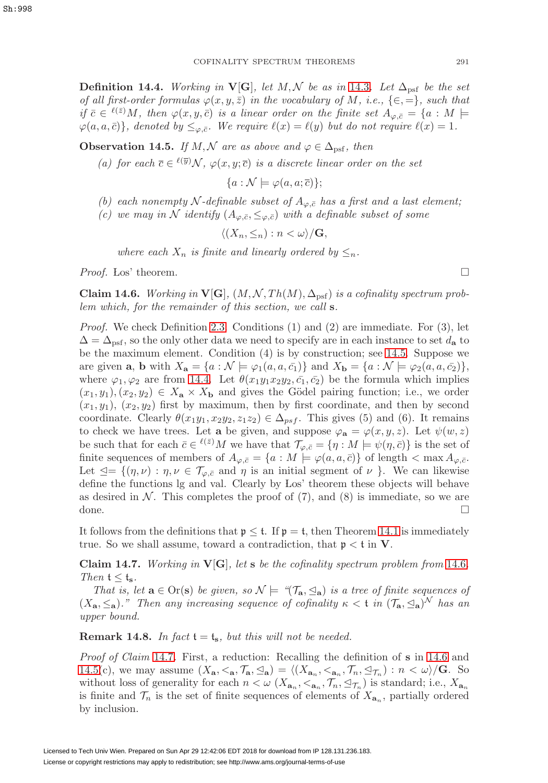<span id="page-54-1"></span>**Definition 14.4.** Working in  $\mathbf{V}[\mathbf{G}]$ , let  $M, \mathcal{N}$  be as in [14.3](#page-53-0). Let  $\Delta_{\text{psf}}$  be the set of all first-order formulas  $\varphi(x, y, \bar{z})$  in the vocabulary of M, i.e., { $\in$ , =}, such that if  $\bar{c} \in {}^{\ell(\bar{z})}M$ , then  $\varphi(x, y, \bar{c})$  is a linear order on the finite set  $A_{\varphi, \bar{c}} = \{a : M \models$  $\varphi(a, a, \bar{c})\},$  denoted by  $\leq_{\varphi, \bar{c}}$ . We require  $\ell(x) = \ell(y)$  but do not require  $\ell(x) = 1$ .

<span id="page-54-0"></span>**Observation 14.5.** If M, N are as above and  $\varphi \in \Delta_{\text{psf}}$ , then

(a) for each  $\overline{c} \in \ell(\overline{y})\mathcal{N}$ ,  $\varphi(x, y; \overline{c})$  is a discrete linear order on the set

 ${a : \mathcal{N} \models \varphi(a, a; \overline{c}) };$ 

- (b) each nonempty N-definable subset of  $A_{\varphi,\bar{c}}$  has a first and a last element;
- (c) we may in N identify  $(A_{\varphi,\bar{c}}, \leq_{\varphi,\bar{c}})$  with a definable subset of some

$$
\langle (X_n, \leq_n) : n < \omega \rangle / \mathbf{G},
$$

where each  $X_n$  is finite and linearly ordered by  $\leq_n$ .

*Proof.* Los' theorem.  $\Box$ 

<span id="page-54-2"></span>**Claim 14.6.** Working in  $\mathbf{V}[\mathbf{G}]$ ,  $(M, \mathcal{N}, Th(M), \Delta_{\text{psf}})$  is a cofinality spectrum problem which, for the remainder of this section, we call **s**.

Proof. We check Definition [2.3.](#page-8-1) Conditions (1) and (2) are immediate. For (3), let  $\Delta = \Delta_{\text{psf}}$ , so the only other data we need to specify are in each instance to set  $d_{\mathbf{a}}$  to be the maximum element. Condition (4) is by construction; see [14.5.](#page-54-0) Suppose we are given **a**, **b** with  $X_{\mathbf{a}} = \{a : \mathcal{N} \models \varphi_1(a, a, \bar{c}_1)\}\$ and  $X_{\mathbf{b}} = \{a : \mathcal{N} \models \varphi_2(a, a, \bar{c}_2)\}\$ where  $\varphi_1, \varphi_2$  are from [14.4.](#page-54-1) Let  $\theta(x_1y_1x_2y_2, \bar{c}_1, \bar{c}_2)$  be the formula which implies  $(x_1, y_1), (x_2, y_2) \in X_{\mathbf{a}} \times X_{\mathbf{b}}$  and gives the Gödel pairing function; i.e., we order  $(x_1, y_1)$ ,  $(x_2, y_2)$  first by maximum, then by first coordinate, and then by second coordinate. Clearly  $\theta(x_1y_1, x_2y_2, z_1z_2) \in \Delta_{psf}$ . This gives (5) and (6). It remains to check we have trees. Let **a** be given, and suppose  $\varphi_{\mathbf{a}} = \varphi(x, y, z)$ . Let  $\psi(w, z)$ be such that for each  $\bar{c} \in {}^{\ell(\bar{z})}M$  we have that  $\mathcal{T}_{\varphi,\bar{c}} = \{\eta : M \models \psi(\eta,\bar{c})\}$  is the set of finite sequences of members of  $A_{\varphi,\bar{c}} = \{a : M \models \varphi(a,a,\bar{c})\}$  of length  $\langle \max A_{\varphi,\bar{c}} \rangle$ . Let  $\trianglelefteq = \{(\eta, \nu) : \eta, \nu \in \mathcal{T}_{\varphi, \bar{c}} \text{ and } \eta \text{ is an initial segment of } \nu \}.$  We can likewise define the functions lg and val. Clearly by Los' theorem these objects will behave as desired in  $\mathcal N$ . This completes the proof of (7), and (8) is immediate, so we are done.  $\Box$ 

It follows from the definitions that  $\mathfrak{p} \leq \mathfrak{t}$ . If  $\mathfrak{p} = \mathfrak{t}$ , then Theorem [14.1](#page-57-0) is immediately true. So we shall assume, toward a contradiction, that  $p \lt t$  in **V**.

<span id="page-54-3"></span>**Claim 14.7.** Working in  $\mathbf{V}[\mathbf{G}]$ , let **s** be the cofinality spectrum problem from [14.6](#page-54-2). Then  $t \leq t_{s}$ .

That is, let  $\mathbf{a} \in \text{Or}(\mathbf{s})$  be given, so  $\mathcal{N} \models \text{``}(\mathcal{T}_{\mathbf{a}}, \leq_{\mathbf{a}})$  is a tree of finite sequences of  $(X_{\mathbf{a}}, \leq_{\mathbf{a}})$ ." Then any increasing sequence of cofinality  $\kappa < \mathfrak{t}$  in  $(\mathcal{T}_{\mathbf{a}}, \leq_{\mathbf{a}})$ <sup>N</sup> has an upper bound.

**Remark 14.8.** In fact  $t = t_s$ , but this will not be needed.

Proof of Claim [14.7](#page-54-3). First, a reduction: Recalling the definition of **s** in [14.6](#page-54-2) and [14.5\(](#page-54-0)c), we may assume  $(X_{\mathbf{a}}, \leq_{\mathbf{a}}, \mathcal{T}_{\mathbf{a}}, \leq_{\mathbf{a}}) = \langle (X_{\mathbf{a}_n}, \leq_{\mathbf{a}_n}, \mathcal{T}_n, \leq_{\mathcal{T}_n}) : n < \omega \rangle / \mathbf{G}$ . So without loss of generality for each  $n < \omega$  ( $X_{\mathbf{a}_n}, <_{\mathbf{a}_n}, \mathcal{T}_n, \leq_{\mathcal{T}_n}$ ) is standard; i.e.,  $X_{\mathbf{a}_n}$ is finite and  $\mathcal{T}_n$  is the set of finite sequences of elements of  $X_{\mathbf{a}_n}$ , partially ordered by inclusion.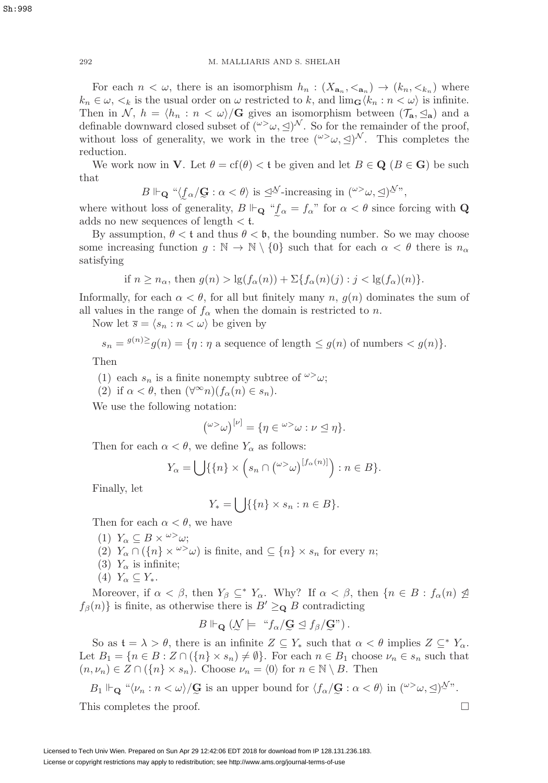292 M. MALLIARIS AND S. SHELAH

For each  $n < \omega$ , there is an isomorphism  $h_n : (X_{\mathbf{a}_n}, <_{\mathbf{a}_n}) \to (k_n, <_{k_n})$  where  $k_n \in \omega, \langle k \rangle$  is the usual order on  $\omega$  restricted to k, and  $\lim_{\mathbf{G}} \langle k_n : n \langle \omega \rangle$  is infinite. Then in N,  $h = \langle h_n : n \langle \omega \rangle / G$  gives an isomorphism between  $(\mathcal{T}_a, \leq_a)$  and a definable downward closed subset of  $({}^{\omega\gt}\omega,\leq)^\mathcal{N}$ . So for the remainder of the proof, without loss of generality, we work in the tree  $({}^{\omega\gt}\omega,\trianglelefteq)^{\mathcal{N}}$ . This completes the reduction.

We work now in **V**. Let  $\theta = \text{cf}(\theta) < t$  be given and let  $B \in \mathbf{Q}$  ( $B \in \mathbf{G}$ ) be such that

$$
B \Vdash_{\mathbf{Q}} \text{``$\langle f_{\alpha}/\mathbf{G} : \alpha < \theta \rangle$ is $\preceq^{\mathcal{N}}$-increasing in $(^{\omega>} \omega, \preceq)^{\mathcal{N}}$''},
$$

 $B \Vdash_{\mathbf{Q}} \text{``$\langle \underline{f}_{\alpha}/\mathbf{G} : \alpha < \theta \rangle$ is $\preceq^{\mathcal{N}}$-increasing in $(^{\omega}{}>^{\omega}, \preceq)^{\mathcal{N}}$''},$ <br>where without loss of generality,  $B \Vdash_{\mathbf{Q}} \text{``$\langle \underline{f}_{\alpha} = \underline{f}_{\alpha} \rangle$''}$  for  $\alpha < \theta$  since forcing with  $\mathbf{Q}$  $\mathbf{r}$ adds no new sequences of length  $\lt t$ .

By assumption,  $\theta < t$  and thus  $\theta < \mathfrak{b}$ , the bounding number. So we may choose some increasing function  $g : \mathbb{N} \to \mathbb{N} \setminus \{0\}$  such that for each  $\alpha < \theta$  there is  $n_{\alpha}$ satisfying

if 
$$
n \ge n_\alpha
$$
, then  $g(n) > \lg(f_\alpha(n)) + \sum\{f_\alpha(n)(j) : j < \lg(f_\alpha)(n)\}.$ 

Informally, for each  $\alpha < \theta$ , for all but finitely many n,  $g(n)$  dominates the sum of all values in the range of  $f_{\alpha}$  when the domain is restricted to n.

Now let  $\overline{s} = \langle s_n : n \langle \omega \rangle$  be given by

$$
s_n = \frac{g(n)}{2}g(n) = \{ \eta : \eta \text{ a sequence of length } \le g(n) \text{ of numbers } < g(n) \}.
$$

Then

- (1) each  $s_n$  is a finite nonempty subtree of  $\omega > \omega$ ;
- (2) if  $\alpha < \theta$ , then  $(\forall^{\infty} n)(f_{\alpha}(n) \in s_n)$ .

We use the following notation:

$$
({}^{\omega{>}}\omega)^{[\nu]} = \{\eta \in {}^{\omega{>}}\omega : \nu \trianglelefteq \eta\}.
$$

Then for each  $\alpha < \theta$ , we define  $Y_{\alpha}$  as follows:

$$
Y_{\alpha} = \bigcup \{ \{n\} \times \left( s_n \cap {\omega} > \omega} \right) [f_{\alpha}(n)] \}, n \in B \}.
$$

Finally, let

$$
Y_* = \bigcup \{ \{n\} \times s_n : n \in B \}.
$$

Then for each  $\alpha < \theta$ , we have

(1)  $Y_{\alpha} \subset B \times \omega > \omega$ ; (2)  $Y_\alpha \cap (\{n\} \times \infty)$  is finite, and  $\subseteq \{n\} \times s_n$  for every n; (3)  $Y_\alpha$  is infinite; (4)  $Y_{\alpha} \subseteq Y_*$ .

Moreover, if  $\alpha < \beta$ , then  $Y_{\beta} \subseteq^* Y_{\alpha}$ . Why? If  $\alpha < \beta$ , then  $\{n \in B : f_{\alpha}(n) \not\supseteq$  $f_{\beta}(n)$  is finite, as otherwise there is  $B' \geq_{\mathbf{Q}} B$  contradicting

$$
B \Vdash_{\mathbf{Q}} (\mathcal{N} \models \text{``} f_{\alpha}/\mathbf{G} \trianglelefteq f_{\beta}/\mathbf{G} \text{''})\,.
$$

 $B \Vdash_{\mathbf{Q}} (\mathcal{N} \models \text{``} f_{\alpha}/\mathbf{G} \trianglelefteq f_{\beta}/\mathbf{G})'.$ <br>So as  $\mathfrak{t} = \lambda > \theta$ , there is an infinite  $Z \subseteq Y_*$  such that  $\alpha < \theta$  implies  $Z \subseteq^* Y_{\alpha}$ . Let  $B_1 = \{n \in B : Z \cap (\{n\} \times s_n) \neq \emptyset\}$ . For each  $n \in B_1$  choose  $\nu_n \in s_n$  such that  $(n, \nu_n) \in Z \cap (\{n\} \times s_n)$ . Choose  $\nu_n = \langle 0 \rangle$  for  $n \in \mathbb{N} \setminus B$ . Then

$$
B_1 \Vdash_{\mathbf{Q}} \text{``$\langle \nu_n : n < \omega \rangle$/\mathbf{G}$ is an upper bound for $\langle f_\alpha / \mathbf{G} : \alpha < \theta \rangle$ in $(\omega > \omega, \Delta)^{\mathcal{N}}$''}.
$$
\nthis completes the proof

This completes the proof.  $\Box$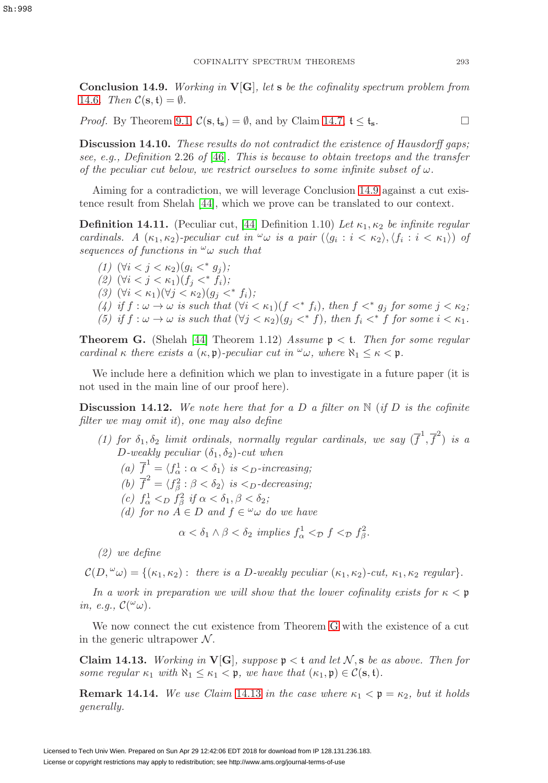<span id="page-56-2"></span>**Conclusion 14.9.** Working in **V**[**G**], let **s** be the cofinality spectrum problem from [14.6](#page-54-2). Then  $C(\mathbf{s}, \mathbf{t}) = \emptyset$ .

*Proof.* By Theorem [9.1,](#page-34-1)  $C(s, t_s) = \emptyset$ , and by Claim [14.7,](#page-54-3)  $t \le t_s$ .

**Discussion 14.10.** These results do not contradict the existence of Hausdorff gaps: see, e.g., Definition 2.26 of [\[46\]](#page-59-19). This is because to obtain treetops and the transfer of the peculiar cut below, we restrict ourselves to some infinite subset of  $\omega$ .

Aiming for a contradiction, we will leverage Conclusion [14.9](#page-56-2) against a cut existence result from Shelah [\[44\]](#page-59-4), which we prove can be translated to our context.

<span id="page-56-4"></span>**Definition 14.11.** (Peculiar cut, [\[44\]](#page-59-4) Definition 1.10) Let  $\kappa_1, \kappa_2$  be infinite regular cardinals. A  $(\kappa_1, \kappa_2)$ -peculiar cut in  $\omega$  is a pair  $(\langle q_i : i < \kappa_2 \rangle, \langle f_i : i < \kappa_1 \rangle)$  of sequences of functions in  $\omega_{\omega}$  such that

(1)  $(\forall i < j < \kappa_2)(g_i <^* g_j);$ (2)  $(\forall i < j < \kappa_1)(f_i <^* f_i);$ (3)  $(\forall i < \kappa_1)(\forall j < \kappa_2)(g_i <^* f_i);$ (4) if  $f: \omega \to \omega$  is such that  $(\forall i < \kappa_1)(f <^* f_i)$ , then  $f <^* g_i$  for some  $j < \kappa_2$ ; (5) if  $f: \omega \to \omega$  is such that  $(\forall j < \kappa_2)(q_i <^* f)$ , then  $f_i <^* f$  for some  $i < \kappa_1$ .

<span id="page-56-0"></span>**Theorem G.** (Shelah [\[44\]](#page-59-4) Theorem 1.12) Assume  $p < t$ . Then for some regular cardinal κ there exists a  $(\kappa, \mathfrak{p})$ -peculiar cut in  $\omega_{\omega}$ , where  $\aleph_1 \leq \kappa < \mathfrak{p}$ .

We include here a definition which we plan to investigate in a future paper (it is not used in the main line of our proof here).

<span id="page-56-1"></span>**Discussion 14.12.** We note here that for a D a filter on  $\mathbb{N}$  (if D is the cofinite filter we may omit it), one may also define

(1) for  $\delta_1, \delta_2$  limit ordinals, normally regular cardinals, we say  $(\overline{f}^1, \overline{f}^2)$  is a D-weakly peculiar  $(\delta_1, \delta_2)$ -cut when

(a)  $\overline{f}^1 = \langle f^1_\alpha : \alpha < \delta_1 \rangle$  is  $\langle \delta_1 \rangle$  is  $\langle \delta_2 \rangle$  increasing;

(b)  $\overline{f}^2 = \langle f_\beta^2 : \beta < \delta_2 \rangle$  is  $\langle D \rangle$ -decreasing;

- (c)  $f^1_\alpha <_{D} f^2_\beta$  if  $\alpha < \delta_1, \beta < \delta_2$ ;
- (d) for no  $A \in D$  and  $f \in \omega \omega$  do we have

 $\alpha < \delta_1 \wedge \beta < \delta_2$  implies  $f^1_\alpha <_{\mathcal{D}} f <_{\mathcal{D}} f^2_\beta$ .

(2) we define

 $\mathcal{C}(D,^{\omega}\omega) = \{(\kappa_1, \kappa_2): \text{ there is a } D\text{-weakly peculiar } (\kappa_1, \kappa_2)\text{-cut}, \kappa_1, \kappa_2 \text{ regular} \}.$ 

In a work in preparation we will show that the lower cofinality exists for  $\kappa < \mathfrak{p}$ in, e.g.,  $\mathcal{C}(\omega_{\omega})$ .

We now connect the cut existence from Theorem [G](#page-56-0) with the existence of a cut in the generic ultrapower  $\mathcal N$ .

<span id="page-56-3"></span>**Claim 14.13.** Working in  $V[G]$ , suppose  $\mathfrak{p} < \mathfrak{t}$  and let N, s be as above. Then for some regular  $\kappa_1$  with  $\aleph_1 \leq \kappa_1 < \mathfrak{p}$ , we have that  $(\kappa_1, \mathfrak{p}) \in \mathcal{C}(\mathbf{s}, \mathfrak{t})$ .

**Remark 14.14.** We use Claim [14.13](#page-56-3) in the case where  $\kappa_1 < \mathfrak{p} = \kappa_2$ , but it holds generally.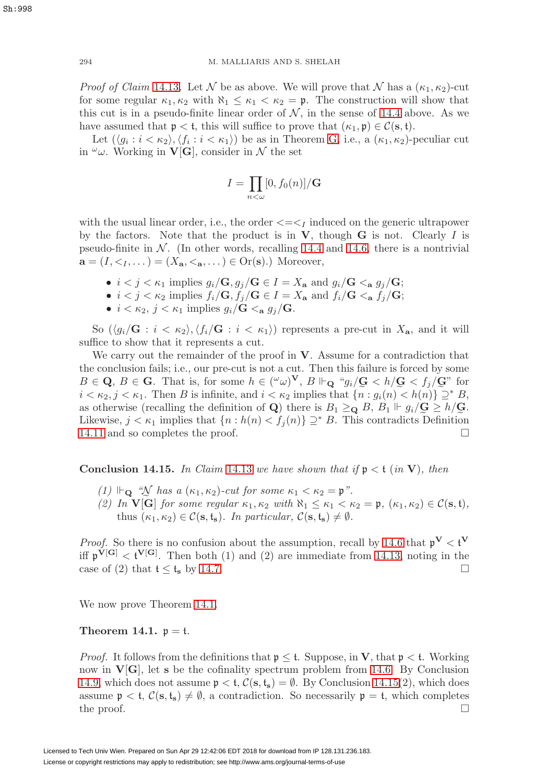*Proof of Claim* [14.13](#page-56-3). Let N be as above. We will prove that N has a  $(\kappa_1, \kappa_2)$ -cut for some regular  $\kappa_1, \kappa_2$  with  $\aleph_1 \leq \kappa_1 < \kappa_2 = \mathfrak{p}$ . The construction will show that this cut is in a pseudo-finite linear order of  $N$ , in the sense of [14.4](#page-54-1) above. As we have assumed that  $p < t$ , this will suffice to prove that  $(\kappa_1, \mathfrak{p}) \in \mathcal{C}(\mathbf{s}, t)$ .

Let  $(\langle g_i : i < \kappa_2 \rangle, \langle f_i : i < \kappa_1 \rangle)$  be as in Theorem [G,](#page-56-0) i.e., a  $(\kappa_1, \kappa_2)$ -peculiar cut in  $\omega$ . Working in **V**[**G**], consider in N the set

$$
I = \prod_{n < \omega} [0, f_0(n)] / \mathbf{G}
$$

with the usual linear order, i.e., the order  $\langle \equiv \langle \rangle$  induced on the generic ultrapower by the factors. Note that the product is in **V**, though **G** is not. Clearly I is pseudo-finite in  $N$ . (In other words, recalling [14.4](#page-54-1) and [14.6,](#page-54-2) there is a nontrivial  $\mathbf{a} = (I, \langle I_1, \rangle \mathbf{a}) = (X_{\mathbf{a}}, \langle \mathbf{a}, \rangle \mathbf{a}) \in \mathcal{O}(\mathbf{s})$ .) Moreover,

- $i < j < \kappa_1$  implies  $g_i/\mathbf{G}, g_j/\mathbf{G} \in I = X_a$  and  $g_i/\mathbf{G} < a g_j/\mathbf{G}$ ;
- $i < j < \kappa_2$  implies  $f_i/\mathbf{G}, f_j/\mathbf{G} \in I = X_a$  and  $f_i/\mathbf{G} <_{\mathbf{a}} f_j/\mathbf{G}$ ;
- $i < \kappa_2, j < \kappa_1$  implies  $g_i/\mathbf{G} <_{\mathbf{a}} g_j/\mathbf{G}$ .

So  $(\langle g_i/G : i < \kappa_2 \rangle, \langle f_i/G : i < \kappa_1 \rangle)$  represents a pre-cut in  $X_{\mathbf{a}}$ , and it will suffice to show that it represents a cut.

We carry out the remainder of the proof in **V**. Assume for a contradiction that the conclusion fails; i.e., our pre-cut is not a cut. Then this failure is forced by some  $B \in \mathbf{Q}, B \in \mathbf{G}$ . That is, for some  $h \in ({}^{\omega}\omega)^{\mathbf{V}}, B \Vdash_{\mathbf{Q}} {}^{\omega}g_i/\mathbf{G} < h/\mathbf{G} < f_j/\mathbf{G}$ " for  $B \in \mathbf{Q}$ ,  $B \in \mathbf{G}$ . That is, for some  $h \in ({}^{\omega}\omega)^{\mathbf{V}}$ ,  $B \Vdash_{\mathbf{Q}} {}^{\omega}g_i/\mathbf{G} < h/\mathbf{G} < f_j/\mathbf{G}$ " for  $i < \kappa_2, j < \kappa_1$ . Then B is infinite, and  $i < \kappa_2$  implies that  $\{n : g_i(n) < h(n)\} \supseteq^* B$ , as otherwise (recalling the definition of **Q**) there is  $B_1 \geq_{\mathbf{Q}} B$ ,  $B_1 \Vdash g_i/\mathbf{G} \geq h/\mathbf{G}$ . as otherwise (recalling the definition of **Q**) there is  $B_1 \geq_Q B$ ,  $B_1 \Vdash g_i/\mathbf{G} \geq h/\mathbf{G}$ .<br>Likewise,  $j < \kappa_1$  implies that  $\{n : h(n) < f_j(n)\} \supseteq^* B$ . This contradicts Definition [14.11](#page-56-4) and so completes the proof.

<span id="page-57-1"></span>**Conclusion 14.15.** In Claim [14.13](#page-56-3) we have shown that if  $p < t$  (in **V**), then

- $(1)$   $\Vdash_{\mathbf{Q}}$  "N has a  $(\kappa_1, \kappa_2)$ -cut for some  $\kappa_1 < \kappa_2 = \mathfrak{p}$ ".
- (1)  $\Vdash_{\mathbf{Q}} \mathcal{W}$  has a  $(\kappa_1, \kappa_2)$ -cut for some  $\kappa_1 < \kappa_2 = \mathfrak{p}$ ".<br>(2) In  $\mathbf{V}[\mathbf{\tilde{G}}]$  for some regular  $\kappa_1, \kappa_2$  with  $\aleph_1 \leq \kappa_1 < \kappa_2 = \mathfrak{p}$ ,  $(\kappa_1, \kappa_2) \in \mathcal{C}(\mathbf{s}, \mathfrak{t})$ , thus  $(\kappa_1, \kappa_2) \in \mathcal{C}(\mathbf{s}, \mathbf{t}_\mathbf{s})$ . In particular,  $\mathcal{C}(\mathbf{s}, \mathbf{t}_\mathbf{s}) \neq \emptyset$ .

*Proof.* So there is no confusion about the assumption, recall by [14.6](#page-54-2) that  $p^V < t^V$ iff  $\mathfrak{p}^{\mathbf{V}[\mathbf{G}]} < \mathfrak{t}^{\mathbf{V}[\mathbf{G}]}.$  Then both (1) and (2) are immediate from [14.13,](#page-56-3) noting in the case of (2) that  $t \le t_s$  by [14.7.](#page-54-3)

We now prove Theorem [14.1.](#page-57-0)

#### <span id="page-57-0"></span>**Theorem 14.1.**  $p = t$ .

*Proof.* It follows from the definitions that  $p \leq t$ . Suppose, in **V**, that  $p < t$ . Working now in  $\mathbf{V}[\mathbf{G}]$ , let **s** be the cofinality spectrum problem from [14.6.](#page-54-2) By Conclusion [14.9,](#page-56-2) which does not assume  $\mathfrak{p} < \mathfrak{t}$ ,  $\mathcal{C}(\mathbf{s}, \mathfrak{t}_{\mathbf{s}}) = \emptyset$ . By Conclusion [14.15\(](#page-57-1)2), which does assume  $\mathfrak{p} < \mathfrak{t}$ ,  $\mathcal{C}(\mathbf{s}, \mathfrak{t}_{\mathbf{s}}) \neq \emptyset$ , a contradiction. So necessarily  $\mathfrak{p} = \mathfrak{t}$ , which completes the proof.  $\Box$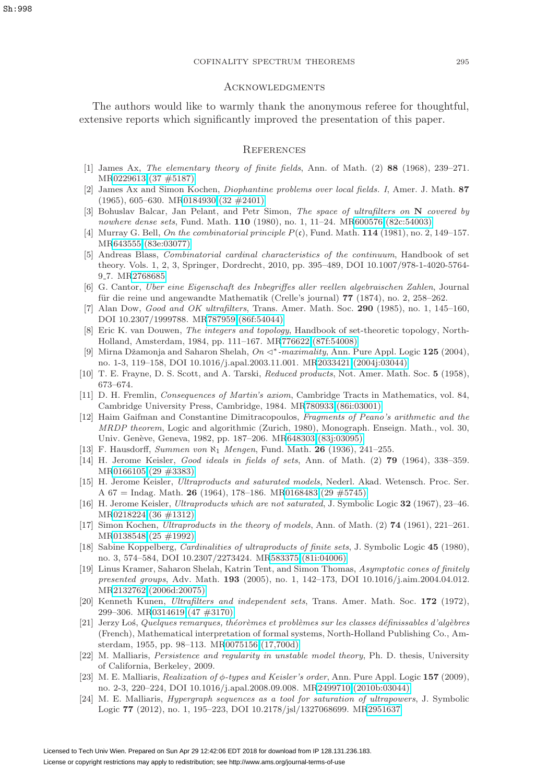#### <span id="page-58-0"></span>**ACKNOWLEDGMENTS**

The authors would like to warmly thank the anonymous referee for thoughtful, extensive reports which significantly improved the presentation of this paper.

#### <span id="page-58-1"></span>**REFERENCES**

- [1] James Ax, The elementary theory of finite fields, Ann. of Math. (2) **88** (1968), 239–271. M[R0229613 \(37 #5187\)](http://www.ams.org/mathscinet-getitem?mr=0229613)
- [2] James Ax and Simon Kochen, Diophantine problems over local fields. I, Amer. J. Math. **87** (1965), 605–630. M[R0184930 \(32 #2401\)](http://www.ams.org/mathscinet-getitem?mr=0184930)
- <span id="page-58-15"></span>[3] Bohuslav Balcar, Jan Pelant, and Petr Simon, The space of ultrafilters on **N** covered by nowhere dense sets, Fund. Math. **110** (1980), no. 1, 11–24. M[R600576 \(82c:54003\)](http://www.ams.org/mathscinet-getitem?mr=600576)
- <span id="page-58-6"></span>[4] Murray G. Bell, On the combinatorial principle P(c), Fund. Math. **114** (1981), no. 2, 149–157. M[R643555 \(83e:03077\)](http://www.ams.org/mathscinet-getitem?mr=643555)
- <span id="page-58-4"></span>[5] Andreas Blass, Combinatorial cardinal characteristics of the continuum, Handbook of set theory. Vols. 1, 2, 3, Springer, Dordrecht, 2010, pp. 395–489, DOI 10.1007/978-1-4020-5764- 9<sub>-7.</sub> M[R2768685](http://www.ams.org/mathscinet-getitem?mr=2768685)
- <span id="page-58-2"></span>[6] G. Cantor, Uber eine Eigenschaft des Inbegriffes aller reellen algebraischen Zahlen, Journal für die reine und angewandte Mathematik (Crelle's journal) 77 (1874), no. 2, 258–262.
- [7] Alan Dow, Good and OK ultrafilters, Trans. Amer. Math. Soc. **290** (1985), no. 1, 145–160, DOI 10.2307/1999788. M[R787959 \(86f:54044\)](http://www.ams.org/mathscinet-getitem?mr=787959)
- <span id="page-58-3"></span>[8] Eric K. van Douwen, The integers and topology, Handbook of set-theoretic topology, North-Holland, Amsterdam, 1984, pp. 111–167. M[R776622 \(87f:54008\)](http://www.ams.org/mathscinet-getitem?mr=776622)
- <span id="page-58-10"></span>[9] Mirna Dˇzamonja and Saharon Shelah, On ∗-maximality, Ann. Pure Appl. Logic **125** (2004), no. 1-3, 119–158, DOI 10.1016/j.apal.2003.11.001. M[R2033421 \(2004j:03044\)](http://www.ams.org/mathscinet-getitem?mr=2033421)
- [10] T. E. Frayne, D. S. Scott, and A. Tarski, Reduced products, Not. Amer. Math. Soc. **5** (1958), 673–674.
- [11] D. H. Fremlin, Consequences of Martin's axiom, Cambridge Tracts in Mathematics, vol. 84, Cambridge University Press, Cambridge, 1984. M[R780933 \(86i:03001\)](http://www.ams.org/mathscinet-getitem?mr=780933)
- [12] Haim Gaifman and Constantine Dimitracopoulos, Fragments of Peano's arithmetic and the MRDP theorem, Logic and algorithmic (Zurich, 1980), Monograph. Enseign. Math., vol. 30, Univ. Genève, Geneva, 1982, pp. 187–206. M[R648303 \(83j:03095\)](http://www.ams.org/mathscinet-getitem?mr=648303)
- <span id="page-58-5"></span>[13] F. Hausdorff, Summen von ℵ<sup>1</sup> Mengen, Fund. Math. **26** (1936), 241–255.
- <span id="page-58-7"></span>[14] H. Jerome Keisler, Good ideals in fields of sets, Ann. of Math. (2) **79** (1964), 338–359. M[R0166105 \(29 #3383\)](http://www.ams.org/mathscinet-getitem?mr=0166105)
- [15] H. Jerome Keisler, Ultraproducts and saturated models, Nederl. Akad. Wetensch. Proc. Ser. A 67 = Indag. Math. **26** (1964), 178–186. M[R0168483 \(29 #5745\)](http://www.ams.org/mathscinet-getitem?mr=0168483)
- <span id="page-58-11"></span>[16] H. Jerome Keisler, Ultraproducts which are not saturated, J. Symbolic Logic **32** (1967), 23–46. M[R0218224 \(36 #1312\)](http://www.ams.org/mathscinet-getitem?mr=0218224)
- [17] Simon Kochen, Ultraproducts in the theory of models, Ann. of Math. (2) **74** (1961), 221–261. M[R0138548 \(25 #1992\)](http://www.ams.org/mathscinet-getitem?mr=0138548)
- <span id="page-58-14"></span>[18] Sabine Koppelberg, Cardinalities of ultraproducts of finite sets, J. Symbolic Logic **45** (1980), no. 3, 574–584, DOI 10.2307/2273424. M[R583375 \(81i:04006\)](http://www.ams.org/mathscinet-getitem?mr=583375)
- [19] Linus Kramer, Saharon Shelah, Katrin Tent, and Simon Thomas, Asymptotic cones of finitely presented groups, Adv. Math. **193** (2005), no. 1, 142–173, DOI 10.1016/j.aim.2004.04.012. M[R2132762 \(2006d:20075\)](http://www.ams.org/mathscinet-getitem?mr=2132762)
- <span id="page-58-13"></span>[20] Kenneth Kunen, Ultrafilters and independent sets, Trans. Amer. Math. Soc. **172** (1972), 299–306. M[R0314619 \(47 #3170\)](http://www.ams.org/mathscinet-getitem?mr=0314619)
- [21] Jerzy Los, Quelques remarques, théorèmes et problèmes sur les classes définissables d'algèbres (French), Mathematical interpretation of formal systems, North-Holland Publishing Co., Amsterdam, 1955, pp. 98–113. M[R0075156 \(17,700d\)](http://www.ams.org/mathscinet-getitem?mr=0075156)
- <span id="page-58-9"></span>[22] M. Malliaris, Persistence and regularity in unstable model theory, Ph. D. thesis, University of California, Berkeley, 2009.
- <span id="page-58-12"></span>[23] M. E. Malliaris, Realization of φ-types and Keisler's order, Ann. Pure Appl. Logic **157** (2009), no. 2-3, 220–224, DOI 10.1016/j.apal.2008.09.008. M[R2499710 \(2010b:03044\)](http://www.ams.org/mathscinet-getitem?mr=2499710)
- <span id="page-58-8"></span>[24] M. E. Malliaris, Hypergraph sequences as a tool for saturation of ultrapowers, J. Symbolic Logic **77** (2012), no. 1, 195–223, DOI 10.2178/jsl/1327068699. M[R2951637](http://www.ams.org/mathscinet-getitem?mr=2951637)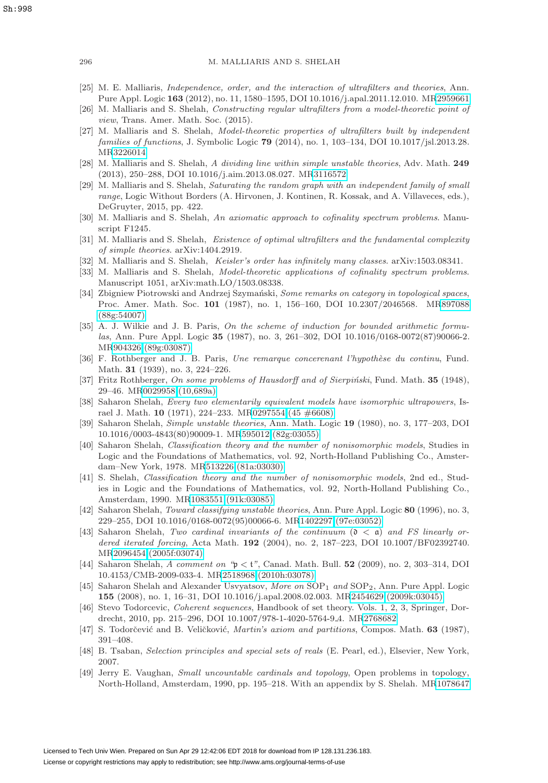- <span id="page-59-7"></span>[25] M. E. Malliaris, Independence, order, and the interaction of ultrafilters and theories, Ann. Pure Appl. Logic **163** (2012), no. 11, 1580–1595, DOI 10.1016/j.apal.2011.12.010. M[R2959661](http://www.ams.org/mathscinet-getitem?mr=2959661)
- <span id="page-59-13"></span>[26] M. Malliaris and S. Shelah, Constructing regular ultrafilters from a model-theoretic point of view, Trans. Amer. Math. Soc. (2015).
- <span id="page-59-14"></span>[27] M. Malliaris and S. Shelah, Model-theoretic properties of ultrafilters built by independent families of functions, J. Symbolic Logic **79** (2014), no. 1, 103–134, DOI 10.1017/jsl.2013.28. M[R3226014](http://www.ams.org/mathscinet-getitem?mr=3226014)
- <span id="page-59-6"></span>[28] M. Malliaris and S. Shelah, A dividing line within simple unstable theories, Adv. Math. **249** (2013), 250–288, DOI 10.1016/j.aim.2013.08.027. M[R3116572](http://www.ams.org/mathscinet-getitem?mr=3116572)
- <span id="page-59-15"></span>[29] M. Malliaris and S. Shelah, Saturating the random graph with an independent family of small range, Logic Without Borders (A. Hirvonen, J. Kontinen, R. Kossak, and A. Villaveces, eds.), DeGruyter, 2015, pp. 422.
- <span id="page-59-12"></span>[30] M. Malliaris and S. Shelah, An axiomatic approach to cofinality spectrum problems. Manuscript F1245.
- <span id="page-59-10"></span>[31] M. Malliaris and S. Shelah, Existence of optimal ultrafilters and the fundamental complexity of simple theories. arXiv:1404.2919.
- <span id="page-59-9"></span>[32] M. Malliaris and S. Shelah, Keisler's order has infinitely many classes. arXiv:1503.08341.
- <span id="page-59-8"></span>[33] M. Malliaris and S. Shelah, *Model-theoretic applications of cofinality spectrum problems*. Manuscript 1051, arXiv:math.LO/1503.08338.
- <span id="page-59-3"></span>[34] Zbigniew Piotrowski and Andrzej Szymański, Some remarks on category in topological spaces, Proc. Amer. Math. Soc. **101** (1987), no. 1, 156–160, DOI 10.2307/2046568. M[R897088](http://www.ams.org/mathscinet-getitem?mr=897088) [\(88g:54007\)](http://www.ams.org/mathscinet-getitem?mr=897088)
- [35] A. J. Wilkie and J. B. Paris, On the scheme of induction for bounded arithmetic formulas, Ann. Pure Appl. Logic **35** (1987), no. 3, 261–302, DOI 10.1016/0168-0072(87)90066-2. M[R904326 \(89g:03087\)](http://www.ams.org/mathscinet-getitem?mr=904326)
- [36] F. Rothberger and J. B. Paris, Une remarque concerenant l'hypothèse du continu, Fund. Math. **31** (1939), no. 3, 224–226.
- <span id="page-59-1"></span>[37] Fritz Rothberger, On some problems of Hausdorff and of Sierpiński, Fund. Math. **35** (1948), 29–46. M[R0029958 \(10,689a\)](http://www.ams.org/mathscinet-getitem?mr=0029958)
- [38] Saharon Shelah, *Every two elementarily equivalent models have isomorphic ultrapowers*, Israel J. Math. **10** (1971), 224–233. M[R0297554 \(45 #6608\)](http://www.ams.org/mathscinet-getitem?mr=0297554)
- <span id="page-59-17"></span>[39] Saharon Shelah, Simple unstable theories, Ann. Math. Logic **19** (1980), no. 3, 177–203, DOI 10.1016/0003-4843(80)90009-1. M[R595012 \(82g:03055\)](http://www.ams.org/mathscinet-getitem?mr=595012)
- <span id="page-59-5"></span>[40] Saharon Shelah, Classification theory and the number of nonisomorphic models, Studies in Logic and the Foundations of Mathematics, vol. 92, North-Holland Publishing Co., Amsterdam–New York, 1978. M[R513226 \(81a:03030\)](http://www.ams.org/mathscinet-getitem?mr=513226)
- <span id="page-59-18"></span>[41] S. Shelah, Classification theory and the number of nonisomorphic models, 2nd ed., Studies in Logic and the Foundations of Mathematics, vol. 92, North-Holland Publishing Co., Amsterdam, 1990. M[R1083551 \(91k:03085\)](http://www.ams.org/mathscinet-getitem?mr=1083551)
- <span id="page-59-16"></span>[42] Saharon Shelah, Toward classifying unstable theories, Ann. Pure Appl. Logic **80** (1996), no. 3, 229–255, DOI 10.1016/0168-0072(95)00066-6. M[R1402297 \(97e:03052\)](http://www.ams.org/mathscinet-getitem?mr=1402297)
- <span id="page-59-2"></span>[43] Saharon Shelah, Two cardinal invariants of the continuum  $(0 < a)$  and FS linearly ordered iterated forcing, Acta Math. **192** (2004), no. 2, 187–223, DOI 10.1007/BF02392740. M[R2096454 \(2005f:03074\)](http://www.ams.org/mathscinet-getitem?mr=2096454)
- <span id="page-59-4"></span>[44] Saharon Shelah, A comment on "p < t", Canad. Math. Bull. **52** (2009), no. 2, 303–314, DOI 10.4153/CMB-2009-033-4. M[R2518968 \(2010h:03078\)](http://www.ams.org/mathscinet-getitem?mr=2518968)
- <span id="page-59-11"></span>[45] Saharon Shelah and Alexander Usvyatsov, More on SOP<sub>1</sub> and SOP<sub>2</sub>, Ann. Pure Appl. Logic **155** (2008), no. 1, 16–31, DOI 10.1016/j.apal.2008.02.003. M[R2454629 \(2009k:03045\)](http://www.ams.org/mathscinet-getitem?mr=2454629)
- <span id="page-59-19"></span>[46] Stevo Todorcevic, Coherent sequences, Handbook of set theory. Vols. 1, 2, 3, Springer, Dordrecht, 2010, pp. 215–296, DOI 10.1007/978-1-4020-5764-9 4. M[R2768682](http://www.ams.org/mathscinet-getitem?mr=2768682)
- [47] S. Todorčević and B. Veličković, *Martin's axiom and partitions*, Compos. Math. **63** (1987), 391–408.
- [48] B. Tsaban, Selection principles and special sets of reals (E. Pearl, ed.), Elsevier, New York, 2007.
- <span id="page-59-0"></span>[49] Jerry E. Vaughan, Small uncountable cardinals and topology, Open problems in topology, North-Holland, Amsterdam, 1990, pp. 195–218. With an appendix by S. Shelah. M[R1078647](http://www.ams.org/mathscinet-getitem?mr=1078647)